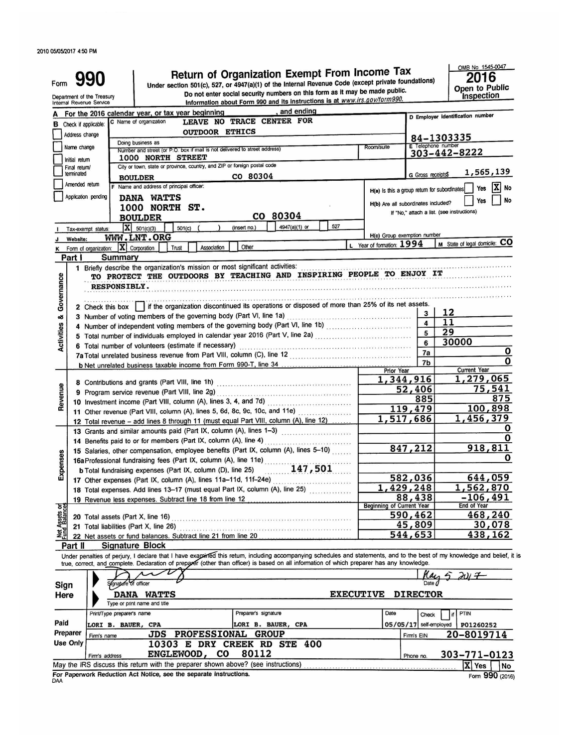| Form                    | Department of the Treasury<br>Internal Revenue Service |                            |                                                                                                 |                                                                                                                     |                                                                                                                                               | Return of Organization Exempt From Income Tax<br>Under section 501(c), 527, or 4947(a)(1) of the Internal Revenue Code (except private foundations)<br>Do not enter social security numbers on this form as it may be made public.<br>Information about Form 990 and its instructions is at www.irs.gov/form990. |                                              |                        | OMB No. 1545-0047<br>2016<br>Open to Public<br><b>Inspection</b>                                                                                                           |  |  |
|-------------------------|--------------------------------------------------------|----------------------------|-------------------------------------------------------------------------------------------------|---------------------------------------------------------------------------------------------------------------------|-----------------------------------------------------------------------------------------------------------------------------------------------|------------------------------------------------------------------------------------------------------------------------------------------------------------------------------------------------------------------------------------------------------------------------------------------------------------------|----------------------------------------------|------------------------|----------------------------------------------------------------------------------------------------------------------------------------------------------------------------|--|--|
|                         |                                                        |                            | For the 2016 calendar year, or tax year beginning                                               |                                                                                                                     |                                                                                                                                               | and ending                                                                                                                                                                                                                                                                                                       |                                              |                        |                                                                                                                                                                            |  |  |
|                         |                                                        |                            | C Name of organization                                                                          |                                                                                                                     | LEAVE NO TRACE CENTER FOR                                                                                                                     |                                                                                                                                                                                                                                                                                                                  |                                              |                        | D Employer identification number                                                                                                                                           |  |  |
| в                       | Check if applicable:                                   |                            |                                                                                                 | <b>OUTDOOR ETHICS</b>                                                                                               |                                                                                                                                               |                                                                                                                                                                                                                                                                                                                  |                                              |                        |                                                                                                                                                                            |  |  |
|                         | Address change                                         |                            |                                                                                                 |                                                                                                                     |                                                                                                                                               |                                                                                                                                                                                                                                                                                                                  |                                              |                        | 84-1303335                                                                                                                                                                 |  |  |
|                         | Name change                                            |                            | Doing business as<br>Number and street (or P.O. box if mail is not delivered to street address) |                                                                                                                     |                                                                                                                                               |                                                                                                                                                                                                                                                                                                                  | E Telephone number                           |                        |                                                                                                                                                                            |  |  |
|                         | Initial return                                         |                            | 1000 NORTH STREET                                                                               |                                                                                                                     |                                                                                                                                               |                                                                                                                                                                                                                                                                                                                  |                                              | 303-442-8222           |                                                                                                                                                                            |  |  |
|                         | Final return/                                          |                            | City or town, state or province, country, and ZIP or foreign postal code                        |                                                                                                                     |                                                                                                                                               |                                                                                                                                                                                                                                                                                                                  |                                              |                        |                                                                                                                                                                            |  |  |
|                         | terminated                                             |                            | <b>BOULDER</b>                                                                                  |                                                                                                                     | CO 80304                                                                                                                                      |                                                                                                                                                                                                                                                                                                                  |                                              | G Gross receipts\$     | 1,565,139                                                                                                                                                                  |  |  |
|                         | Amended return                                         |                            | F Name and address of principal officer.                                                        |                                                                                                                     |                                                                                                                                               |                                                                                                                                                                                                                                                                                                                  |                                              |                        | X No<br>Yes                                                                                                                                                                |  |  |
|                         | Application pending                                    |                            | DANA WATTS                                                                                      |                                                                                                                     |                                                                                                                                               |                                                                                                                                                                                                                                                                                                                  | H(a) is this a group return for subordinates |                        |                                                                                                                                                                            |  |  |
|                         |                                                        |                            | 1000 NORTH ST.                                                                                  |                                                                                                                     |                                                                                                                                               |                                                                                                                                                                                                                                                                                                                  | H(b) Are all subordinates included?          |                        | No<br>Yes                                                                                                                                                                  |  |  |
|                         |                                                        |                            | <b>BOULDER</b>                                                                                  |                                                                                                                     | CO 80304                                                                                                                                      |                                                                                                                                                                                                                                                                                                                  |                                              |                        | If "No," attach a list. (see instructions)                                                                                                                                 |  |  |
|                         |                                                        |                            | $X = 501(c)(3)$                                                                                 |                                                                                                                     | (insert no.)                                                                                                                                  | 527<br>4947(a)(1) or                                                                                                                                                                                                                                                                                             |                                              |                        |                                                                                                                                                                            |  |  |
|                         | Tax-exempt status:                                     |                            | 501(c)<br>WWW.LNT.ORG                                                                           |                                                                                                                     |                                                                                                                                               |                                                                                                                                                                                                                                                                                                                  | H(c) Group exemption number                  |                        |                                                                                                                                                                            |  |  |
|                         | Website:                                               |                            |                                                                                                 |                                                                                                                     |                                                                                                                                               |                                                                                                                                                                                                                                                                                                                  | L Year of formation: 1994                    |                        | M State of legal domicile: CO                                                                                                                                              |  |  |
|                         | K Form of organization:                                |                            | $ \mathbf{X} $ Corporation<br>Trust                                                             | Association                                                                                                         | Other                                                                                                                                         |                                                                                                                                                                                                                                                                                                                  |                                              |                        |                                                                                                                                                                            |  |  |
|                         | Part I                                                 | Summary                    |                                                                                                 |                                                                                                                     |                                                                                                                                               |                                                                                                                                                                                                                                                                                                                  |                                              |                        |                                                                                                                                                                            |  |  |
|                         |                                                        |                            |                                                                                                 |                                                                                                                     | 1 Briefly describe the organization's mission or most significant activities:                                                                 | TO PROTECT THE OUTDOORS BY TEACHING AND INSPIRING PEOPLE TO ENJOY IT                                                                                                                                                                                                                                             |                                              |                        |                                                                                                                                                                            |  |  |
| Governance              |                                                        |                            |                                                                                                 |                                                                                                                     |                                                                                                                                               |                                                                                                                                                                                                                                                                                                                  |                                              |                        |                                                                                                                                                                            |  |  |
|                         |                                                        | <b>RESPONSIBLY.</b>        |                                                                                                 |                                                                                                                     |                                                                                                                                               |                                                                                                                                                                                                                                                                                                                  |                                              |                        |                                                                                                                                                                            |  |  |
|                         |                                                        |                            |                                                                                                 |                                                                                                                     |                                                                                                                                               |                                                                                                                                                                                                                                                                                                                  |                                              |                        |                                                                                                                                                                            |  |  |
|                         |                                                        |                            |                                                                                                 |                                                                                                                     |                                                                                                                                               | 2 Check this box     if the organization discontinued its operations or disposed of more than 25% of its net assets.                                                                                                                                                                                             |                                              |                        | 12                                                                                                                                                                         |  |  |
|                         |                                                        |                            |                                                                                                 |                                                                                                                     | 3 Number of voting members of the governing body (Part VI, line 1a)                                                                           |                                                                                                                                                                                                                                                                                                                  |                                              | 4                      | 11                                                                                                                                                                         |  |  |
|                         |                                                        |                            |                                                                                                 |                                                                                                                     |                                                                                                                                               | 4 Number of independent voting members of the governing body (Part VI, line 1b)                                                                                                                                                                                                                                  |                                              | 5                      | 29                                                                                                                                                                         |  |  |
|                         |                                                        |                            |                                                                                                 |                                                                                                                     |                                                                                                                                               |                                                                                                                                                                                                                                                                                                                  |                                              |                        |                                                                                                                                                                            |  |  |
| <b>Activities &amp;</b> |                                                        |                            | 6 Total number of volunteers (estimate if necessary)                                            | .<br>23. av. 23. av. 23. av. 23. av. 23. av. 23. av. 23. av. 23. av. 23. av. 23. av. 23. av. 23. av. 23. av. 23. 23 | 6                                                                                                                                             | 30000                                                                                                                                                                                                                                                                                                            |                                              |                        |                                                                                                                                                                            |  |  |
|                         |                                                        |                            | 7a Total unrelated business revenue from Part VIII, column (C), line 12 [11]                    |                                                                                                                     | 7a                                                                                                                                            | 0                                                                                                                                                                                                                                                                                                                |                                              |                        |                                                                                                                                                                            |  |  |
|                         |                                                        |                            |                                                                                                 |                                                                                                                     |                                                                                                                                               |                                                                                                                                                                                                                                                                                                                  |                                              | 7b                     | $\mathbf{o}$                                                                                                                                                               |  |  |
|                         |                                                        |                            |                                                                                                 | Prior Year                                                                                                          |                                                                                                                                               | <b>Current Year</b><br>1,279,065                                                                                                                                                                                                                                                                                 |                                              |                        |                                                                                                                                                                            |  |  |
|                         |                                                        |                            |                                                                                                 |                                                                                                                     | 1,344,916                                                                                                                                     | 75,541                                                                                                                                                                                                                                                                                                           |                                              |                        |                                                                                                                                                                            |  |  |
| Revenue                 |                                                        |                            | 9 Program service revenue (Part VIII, line 2g) [20]                                             |                                                                                                                     | 52,406<br>885                                                                                                                                 | 875                                                                                                                                                                                                                                                                                                              |                                              |                        |                                                                                                                                                                            |  |  |
|                         |                                                        |                            |                                                                                                 |                                                                                                                     |                                                                                                                                               | 10 Investment income (Part VIII, column (A), lines 3, 4, and 7d)                                                                                                                                                                                                                                                 |                                              |                        |                                                                                                                                                                            |  |  |
|                         |                                                        |                            |                                                                                                 |                                                                                                                     | 11 Other revenue (Part VIII, column (A), lines 5, 6d, 8c, 9c, 10c, and 11e)                                                                   |                                                                                                                                                                                                                                                                                                                  | 119,479                                      | 100,898                |                                                                                                                                                                            |  |  |
|                         |                                                        |                            |                                                                                                 |                                                                                                                     |                                                                                                                                               | 12 Total revenue - add lines 8 through 11 (must equal Part VIII, column (A), line 12)                                                                                                                                                                                                                            |                                              | 1,517,686              | 1,456,379                                                                                                                                                                  |  |  |
|                         |                                                        |                            |                                                                                                 |                                                                                                                     |                                                                                                                                               | 13 Grants and similar amounts paid (Part IX, column (A), lines 1-3)                                                                                                                                                                                                                                              |                                              |                        | o                                                                                                                                                                          |  |  |
|                         |                                                        |                            | 14 Benefits paid to or for members (Part IX, column (A), line 4)                                |                                                                                                                     |                                                                                                                                               |                                                                                                                                                                                                                                                                                                                  |                                              |                        | 0                                                                                                                                                                          |  |  |
|                         |                                                        |                            |                                                                                                 |                                                                                                                     | 15 Salaries, other compensation, employee and (A), line 11e)<br>16a Professional fundraising fees (Part IX, column (A), line 11e)<br>147, 501 | 15 Salaries, other compensation, employee benefits (Part IX, column (A), lines 5-10)                                                                                                                                                                                                                             |                                              | 847,212                | 918,811                                                                                                                                                                    |  |  |
| Expenses                |                                                        |                            |                                                                                                 |                                                                                                                     |                                                                                                                                               |                                                                                                                                                                                                                                                                                                                  |                                              |                        | 0                                                                                                                                                                          |  |  |
|                         |                                                        |                            |                                                                                                 |                                                                                                                     |                                                                                                                                               |                                                                                                                                                                                                                                                                                                                  |                                              |                        |                                                                                                                                                                            |  |  |
|                         |                                                        |                            | 17 Other expenses (Part IX, column (A), lines 11a-11d, 11f-24e)                                 |                                                                                                                     |                                                                                                                                               |                                                                                                                                                                                                                                                                                                                  |                                              | 582,036                | 644,059                                                                                                                                                                    |  |  |
|                         |                                                        |                            |                                                                                                 |                                                                                                                     |                                                                                                                                               | 18 Total expenses. Add lines 13-17 (must equal Part IX, column (A), line 25)                                                                                                                                                                                                                                     |                                              | 1,429,248              | 1,562,870                                                                                                                                                                  |  |  |
|                         |                                                        |                            | 19 Revenue less expenses. Subtract line 18 from line 12                                         |                                                                                                                     |                                                                                                                                               |                                                                                                                                                                                                                                                                                                                  |                                              | 88,438                 | -106,491                                                                                                                                                                   |  |  |
| Assets or<br>d Balances |                                                        |                            |                                                                                                 |                                                                                                                     |                                                                                                                                               |                                                                                                                                                                                                                                                                                                                  | <b>Beginning of Current Year</b>             |                        | End of Year                                                                                                                                                                |  |  |
|                         |                                                        |                            | 20 Total assets (Part X, line 16)                                                               |                                                                                                                     |                                                                                                                                               |                                                                                                                                                                                                                                                                                                                  |                                              | 590,462                | 468,240                                                                                                                                                                    |  |  |
|                         |                                                        |                            | 21 Total liabilities (Part X, line 26)                                                          |                                                                                                                     | .<br>In the formal and the the statement of the second complete the statement of the statement                                                |                                                                                                                                                                                                                                                                                                                  |                                              | <u>45,809</u>          | 30,078                                                                                                                                                                     |  |  |
|                         |                                                        |                            | 22 Net assets or fund balances. Subtract line 21 from line 20                                   |                                                                                                                     |                                                                                                                                               |                                                                                                                                                                                                                                                                                                                  |                                              | 544,653                | 438,162                                                                                                                                                                    |  |  |
|                         | Part II                                                |                            | <b>Signature Block</b>                                                                          |                                                                                                                     |                                                                                                                                               |                                                                                                                                                                                                                                                                                                                  |                                              |                        |                                                                                                                                                                            |  |  |
|                         |                                                        |                            |                                                                                                 |                                                                                                                     |                                                                                                                                               |                                                                                                                                                                                                                                                                                                                  |                                              |                        | Under penalties of perjury, I declare that I have examined this return, including accompanying schedules and statements, and to the best of my knowledge and belief, it is |  |  |
|                         |                                                        |                            |                                                                                                 |                                                                                                                     |                                                                                                                                               | true, correct, and complete. Declaration of preparer (other than officer) is based on all information of which preparer has any knowledge.                                                                                                                                                                       |                                              |                        |                                                                                                                                                                            |  |  |
|                         |                                                        |                            |                                                                                                 |                                                                                                                     |                                                                                                                                               |                                                                                                                                                                                                                                                                                                                  |                                              |                        | $AU$ +                                                                                                                                                                     |  |  |
| Sign                    |                                                        | gnature of officer         |                                                                                                 |                                                                                                                     | Date /                                                                                                                                        |                                                                                                                                                                                                                                                                                                                  |                                              |                        |                                                                                                                                                                            |  |  |
| Here                    |                                                        |                            | <b>DANA WATTS</b>                                                                               |                                                                                                                     |                                                                                                                                               | <b>EXECUTIVE</b>                                                                                                                                                                                                                                                                                                 |                                              | <b>DIRECTOR</b>        |                                                                                                                                                                            |  |  |
|                         |                                                        |                            | Type or print name and title                                                                    |                                                                                                                     |                                                                                                                                               |                                                                                                                                                                                                                                                                                                                  |                                              |                        |                                                                                                                                                                            |  |  |
|                         |                                                        | Print/Type preparer's name |                                                                                                 |                                                                                                                     | Preparer's signature                                                                                                                          |                                                                                                                                                                                                                                                                                                                  | Date                                         | Check                  | PTIN<br>İf                                                                                                                                                                 |  |  |
| Paid                    |                                                        | <b>LORI B. BAUER, CPA</b>  |                                                                                                 |                                                                                                                     | LORI B. BAUER, CPA                                                                                                                            |                                                                                                                                                                                                                                                                                                                  |                                              | 05/05/17 self-employed | P01260252                                                                                                                                                                  |  |  |
| Preparer                | Firm's name                                            |                            | JDS                                                                                             |                                                                                                                     | PROFESSIONAL GROUP                                                                                                                            |                                                                                                                                                                                                                                                                                                                  |                                              | Firm's EIN             | 20-8019714                                                                                                                                                                 |  |  |
|                         | <b>Use Only</b>                                        |                            |                                                                                                 |                                                                                                                     | 10303 E DRY CREEK RD STE 400                                                                                                                  |                                                                                                                                                                                                                                                                                                                  |                                              |                        |                                                                                                                                                                            |  |  |
|                         |                                                        | Firm's address             | <b>ENGLEWOOD,</b>                                                                               | <b>CO</b>                                                                                                           | 80112                                                                                                                                         |                                                                                                                                                                                                                                                                                                                  |                                              | Phone no.              | 303-771-0123                                                                                                                                                               |  |  |
|                         |                                                        |                            |                                                                                                 |                                                                                                                     | May the IRS discuss this return with the preparer shown above? (see instructions)                                                             |                                                                                                                                                                                                                                                                                                                  |                                              |                        | X Yes<br>No                                                                                                                                                                |  |  |
|                         |                                                        |                            | For Paperwork Reduction Act Notice, see the separate instructions.                              |                                                                                                                     |                                                                                                                                               |                                                                                                                                                                                                                                                                                                                  |                                              |                        | Form 990 (2016)                                                                                                                                                            |  |  |
|                         |                                                        |                            |                                                                                                 |                                                                                                                     |                                                                                                                                               |                                                                                                                                                                                                                                                                                                                  |                                              |                        |                                                                                                                                                                            |  |  |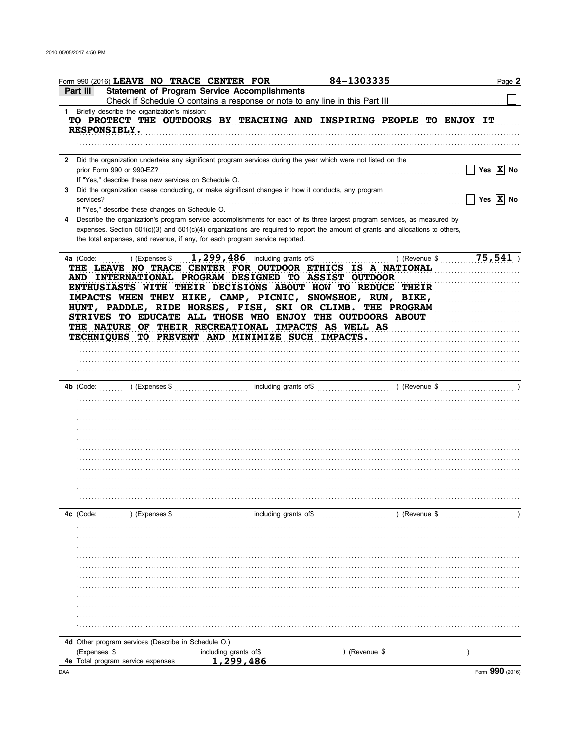| Form 990 (2016) LEAVE NO TRACE CENTER FOR                                                                                                                                                           |                                                                                                                                     | 84-1303335                                                                                                                                                                                                                                                                                                                         | Page 2                          |
|-----------------------------------------------------------------------------------------------------------------------------------------------------------------------------------------------------|-------------------------------------------------------------------------------------------------------------------------------------|------------------------------------------------------------------------------------------------------------------------------------------------------------------------------------------------------------------------------------------------------------------------------------------------------------------------------------|---------------------------------|
| Part III                                                                                                                                                                                            | <b>Statement of Program Service Accomplishments</b><br>Check if Schedule O contains a response or note to any line in this Part III |                                                                                                                                                                                                                                                                                                                                    |                                 |
| 1 Briefly describe the organization's mission:                                                                                                                                                      |                                                                                                                                     |                                                                                                                                                                                                                                                                                                                                    |                                 |
| <b>RESPONSIBLY.</b>                                                                                                                                                                                 |                                                                                                                                     | TO PROTECT THE OUTDOORS BY TEACHING AND INSPIRING PEOPLE TO ENJOY IT                                                                                                                                                                                                                                                               |                                 |
|                                                                                                                                                                                                     |                                                                                                                                     |                                                                                                                                                                                                                                                                                                                                    |                                 |
| 2 Did the organization undertake any significant program services during the year which were not listed on the<br>prior Form 990 or 990-EZ?<br>If "Yes," describe these new services on Schedule O. |                                                                                                                                     |                                                                                                                                                                                                                                                                                                                                    | Yes $\overline{X}$ No<br>$\Box$ |
| Did the organization cease conducting, or make significant changes in how it conducts, any program<br>3.<br>services?                                                                               |                                                                                                                                     |                                                                                                                                                                                                                                                                                                                                    | Yes $\overline{X}$ No           |
| If "Yes," describe these changes on Schedule O.<br>the total expenses, and revenue, if any, for each program service reported.                                                                      |                                                                                                                                     | Describe the organization's program service accomplishments for each of its three largest program services, as measured by<br>expenses. Section $501(c)(3)$ and $501(c)(4)$ organizations are required to report the amount of grants and allocations to others,                                                                   |                                 |
| ) (Expenses \$<br>4a (Code:<br>AND INTERNATIONAL PROGRAM DESIGNED TO ASSIST OUTDOOR<br>THE NATURE OF THEIR RECREATIONAL IMPACTS AS WELL AS<br>TECHNIOUES TO PREVENT AND MINIMIZE SUCH IMPACTS.      | $1,299,486$ including grants of\$                                                                                                   | ) (Revenue \$<br>THE LEAVE NO TRACE CENTER FOR OUTDOOR ETHICS IS A NATIONAL<br>ENTHUSIASTS WITH THEIR DECISIONS ABOUT HOW TO REDUCE THEIR<br>IMPACTS WHEN THEY HIKE, CAMP, PICNIC, SNOWSHOE, RUN, BIKE,<br>HUNT, PADDLE, RIDE HORSES, FISH, SKI OR CLIMB. THE PROGRAM<br>STRIVES TO EDUCATE ALL THOSE WHO ENJOY THE OUTDOORS ABOUT | 75,541                          |
|                                                                                                                                                                                                     |                                                                                                                                     |                                                                                                                                                                                                                                                                                                                                    |                                 |
|                                                                                                                                                                                                     |                                                                                                                                     |                                                                                                                                                                                                                                                                                                                                    |                                 |
|                                                                                                                                                                                                     |                                                                                                                                     |                                                                                                                                                                                                                                                                                                                                    |                                 |
|                                                                                                                                                                                                     |                                                                                                                                     |                                                                                                                                                                                                                                                                                                                                    |                                 |
|                                                                                                                                                                                                     |                                                                                                                                     |                                                                                                                                                                                                                                                                                                                                    |                                 |
|                                                                                                                                                                                                     |                                                                                                                                     |                                                                                                                                                                                                                                                                                                                                    |                                 |
|                                                                                                                                                                                                     |                                                                                                                                     |                                                                                                                                                                                                                                                                                                                                    |                                 |
|                                                                                                                                                                                                     |                                                                                                                                     |                                                                                                                                                                                                                                                                                                                                    |                                 |
|                                                                                                                                                                                                     |                                                                                                                                     |                                                                                                                                                                                                                                                                                                                                    |                                 |
|                                                                                                                                                                                                     |                                                                                                                                     |                                                                                                                                                                                                                                                                                                                                    |                                 |
|                                                                                                                                                                                                     |                                                                                                                                     |                                                                                                                                                                                                                                                                                                                                    |                                 |
|                                                                                                                                                                                                     |                                                                                                                                     |                                                                                                                                                                                                                                                                                                                                    |                                 |
|                                                                                                                                                                                                     |                                                                                                                                     |                                                                                                                                                                                                                                                                                                                                    |                                 |
|                                                                                                                                                                                                     |                                                                                                                                     |                                                                                                                                                                                                                                                                                                                                    |                                 |
| ) (Expenses \$<br>4c (Code:                                                                                                                                                                         | including grants of\$                                                                                                               | ) (Revenue \$                                                                                                                                                                                                                                                                                                                      |                                 |
|                                                                                                                                                                                                     |                                                                                                                                     |                                                                                                                                                                                                                                                                                                                                    |                                 |
|                                                                                                                                                                                                     |                                                                                                                                     |                                                                                                                                                                                                                                                                                                                                    |                                 |
|                                                                                                                                                                                                     |                                                                                                                                     |                                                                                                                                                                                                                                                                                                                                    |                                 |
|                                                                                                                                                                                                     |                                                                                                                                     |                                                                                                                                                                                                                                                                                                                                    |                                 |
|                                                                                                                                                                                                     |                                                                                                                                     |                                                                                                                                                                                                                                                                                                                                    |                                 |
|                                                                                                                                                                                                     |                                                                                                                                     |                                                                                                                                                                                                                                                                                                                                    |                                 |
|                                                                                                                                                                                                     |                                                                                                                                     |                                                                                                                                                                                                                                                                                                                                    |                                 |
|                                                                                                                                                                                                     |                                                                                                                                     |                                                                                                                                                                                                                                                                                                                                    |                                 |
|                                                                                                                                                                                                     |                                                                                                                                     |                                                                                                                                                                                                                                                                                                                                    |                                 |
|                                                                                                                                                                                                     |                                                                                                                                     |                                                                                                                                                                                                                                                                                                                                    |                                 |
|                                                                                                                                                                                                     |                                                                                                                                     |                                                                                                                                                                                                                                                                                                                                    |                                 |
| 4d Other program services (Describe in Schedule O.)                                                                                                                                                 |                                                                                                                                     |                                                                                                                                                                                                                                                                                                                                    |                                 |
| (Expenses \$                                                                                                                                                                                        | including grants of \$                                                                                                              | (Revenue \$                                                                                                                                                                                                                                                                                                                        |                                 |
| <b>4e</b> Total program service expenses                                                                                                                                                            | 1,299,486                                                                                                                           |                                                                                                                                                                                                                                                                                                                                    |                                 |
| DAA                                                                                                                                                                                                 |                                                                                                                                     |                                                                                                                                                                                                                                                                                                                                    | Form 990 (2016)                 |

DAA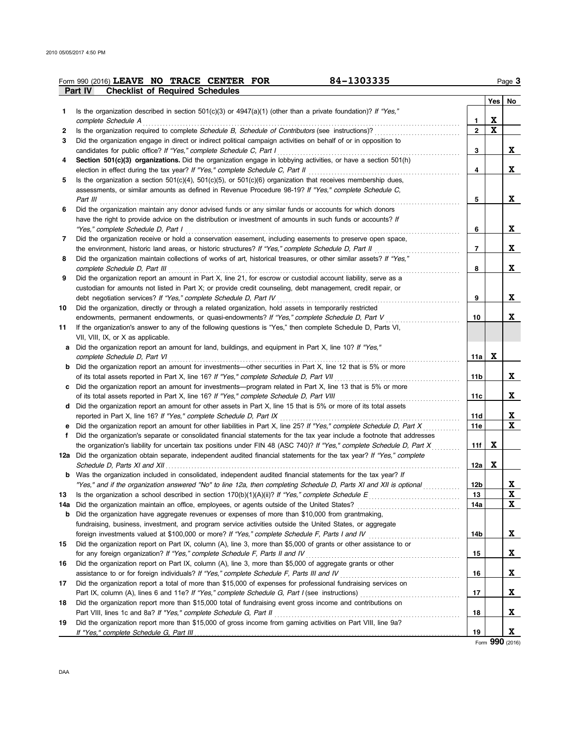|    | 84-1303335<br>Form 990 (2016) LEAVE NO TRACE CENTER FOR                                                                 |                |   | Page 3   |
|----|-------------------------------------------------------------------------------------------------------------------------|----------------|---|----------|
|    | <b>Checklist of Required Schedules</b><br>Part IV                                                                       |                |   |          |
|    | Is the organization described in section $501(c)(3)$ or $4947(a)(1)$ (other than a private foundation)? If "Yes,"       |                |   | Yes   No |
| 1. | complete Schedule A                                                                                                     | 1              | X |          |
| 2  | Is the organization required to complete Schedule B, Schedule of Contributors (see instructions)?                       | $\overline{2}$ | X |          |
| 3  | Did the organization engage in direct or indirect political campaign activities on behalf of or in opposition to        |                |   |          |
|    | candidates for public office? If "Yes," complete Schedule C, Part I                                                     | 3              |   | X.       |
| 4  | Section 501(c)(3) organizations. Did the organization engage in lobbying activities, or have a section 501(h)           |                |   |          |
|    | election in effect during the tax year? If "Yes," complete Schedule C, Part II                                          | 4              |   | X.       |
| 5  | Is the organization a section $501(c)(4)$ , $501(c)(5)$ , or $501(c)(6)$ organization that receives membership dues,    |                |   |          |
|    | assessments, or similar amounts as defined in Revenue Procedure 98-19? If "Yes," complete Schedule C,                   |                |   |          |
|    | Part III                                                                                                                | 5              |   | X        |
| 6  | Did the organization maintain any donor advised funds or any similar funds or accounts for which donors                 |                |   |          |
|    | have the right to provide advice on the distribution or investment of amounts in such funds or accounts? If             |                |   |          |
|    |                                                                                                                         | 6              |   | X        |
| 7  | Did the organization receive or hold a conservation easement, including easements to preserve open space,               |                |   |          |
|    | the environment, historic land areas, or historic structures? If "Yes," complete Schedule D, Part II                    | 7              |   | X        |
| 8  | Did the organization maintain collections of works of art, historical treasures, or other similar assets? If "Yes,"     |                |   |          |
|    | complete Schedule D, Part III                                                                                           | 8              |   | X        |
| 9  | Did the organization report an amount in Part X, line 21, for escrow or custodial account liability, serve as a         |                |   |          |
|    | custodian for amounts not listed in Part X; or provide credit counseling, debt management, credit repair, or            |                |   |          |
|    | debt negotiation services? If "Yes," complete Schedule D, Part IV                                                       | 9              |   | X        |
| 10 | Did the organization, directly or through a related organization, hold assets in temporarily restricted                 |                |   |          |
|    | endowments, permanent endowments, or quasi-endowments? If "Yes," complete Schedule D, Part V                            | 10             |   | X.       |
| 11 | If the organization's answer to any of the following questions is "Yes," then complete Schedule D, Parts VI,            |                |   |          |
|    | VII, VIII, IX, or X as applicable.                                                                                      |                |   |          |
|    | a Did the organization report an amount for land, buildings, and equipment in Part X, line 10? If "Yes,"                |                |   |          |
|    | complete Schedule D, Part VI                                                                                            | 11a            | X |          |
|    | <b>b</b> Did the organization report an amount for investments—other securities in Part X, line 12 that is 5% or more   |                |   |          |
|    |                                                                                                                         | 11b            |   | X.       |
| c  | Did the organization report an amount for investments—program related in Part X, line 13 that is 5% or more             |                |   |          |
|    |                                                                                                                         | 11c            |   | x        |
|    | d Did the organization report an amount for other assets in Part X, line 15 that is 5% or more of its total assets      |                |   |          |
|    |                                                                                                                         | 11d            |   | X        |
| е  | Did the organization report an amount for other liabilities in Part X, line 25? If "Yes," complete Schedule D, Part X   | 11e            |   | x        |
| f  | Did the organization's separate or consolidated financial statements for the tax year include a footnote that addresses |                |   |          |
|    | the organization's liability for uncertain tax positions under FIN 48 (ASC 740)? If "Yes," complete Schedule D, Part X  | 11f            | x |          |
|    | 12a Did the organization obtain separate, independent audited financial statements for the tax year? If "Yes," complete |                |   |          |
|    |                                                                                                                         | 12a            | x |          |
|    | <b>b</b> Was the organization included in consolidated, independent audited financial statements for the tax year? If   |                |   |          |
|    | "Yes," and if the organization answered "No" to line 12a, then completing Schedule D, Parts XI and XII is optional      | 12b            |   | X        |
| 13 | Is the organization a school described in section $170(b)(1)(A)(ii)?$ If "Yes," complete Schedule E                     | 13             |   | X        |
|    | 14a Did the organization maintain an office, employees, or agents outside of the United States?                         | 14a            |   | X        |
|    | Did the organization have aggregate revenues or expenses of more than \$10,000 from grantmaking,                        |                |   |          |
|    | fundraising, business, investment, and program service activities outside the United States, or aggregate               |                |   |          |
|    | foreign investments valued at \$100,000 or more? If "Yes," complete Schedule F, Parts I and IV [[[[[[[[[[[[[[[          | 14b            |   | X.       |
| 15 | Did the organization report on Part IX, column (A), line 3, more than \$5,000 of grants or other assistance to or       |                |   |          |
|    | for any foreign organization? If "Yes," complete Schedule F, Parts II and IV [[[[[[[[[[[[[[[[[[[[[[[[[[[[[[[[[          | 15             |   | X        |
| 16 | Did the organization report on Part IX, column (A), line 3, more than \$5,000 of aggregate grants or other              |                |   |          |
|    | assistance to or for foreign individuals? If "Yes," complete Schedule F, Parts III and IV [[[[[[[[[[[[[[[[[[[           | 16             |   | X        |
| 17 | Did the organization report a total of more than \$15,000 of expenses for professional fundraising services on          |                |   |          |
|    |                                                                                                                         | 17             |   | X        |
| 18 | Did the organization report more than \$15,000 total of fundraising event gross income and contributions on             |                |   |          |
|    | Part VIII, lines 1c and 8a? If "Yes," complete Schedule G, Part II                                                      | 18             |   | X        |
| 19 | Did the organization report more than \$15,000 of gross income from gaming activities on Part VIII, line 9a?            |                |   |          |
|    |                                                                                                                         | 19             |   | x        |

Form **990** (2016)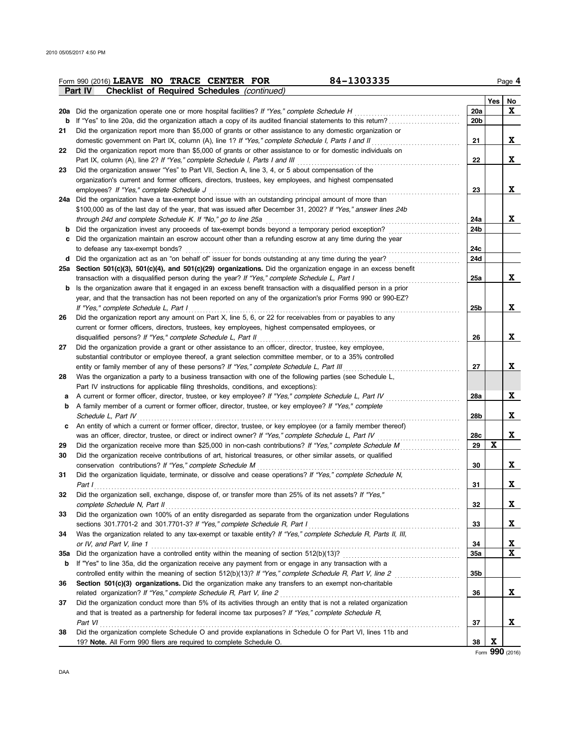|     | 84-1303335<br>Form 990 (2016) LEAVE NO TRACE CENTER FOR                                                                   |                 |     | Page 4   |
|-----|---------------------------------------------------------------------------------------------------------------------------|-----------------|-----|----------|
|     | <b>Checklist of Required Schedules (continued)</b><br><b>Part IV</b>                                                      |                 |     |          |
|     |                                                                                                                           |                 | Yes | No       |
|     | 20a Did the organization operate one or more hospital facilities? If "Yes," complete Schedule H                           | <b>20a</b>      |     | X        |
|     |                                                                                                                           | 20 <sub>b</sub> |     |          |
| 21  | Did the organization report more than \$5,000 of grants or other assistance to any domestic organization or               |                 |     |          |
|     | domestic government on Part IX, column (A), line 1? If "Yes," complete Schedule I, Parts I and II                         | 21              |     | X.       |
| 22  | Did the organization report more than \$5,000 of grants or other assistance to or for domestic individuals on             |                 |     |          |
|     | Part IX, column (A), line 2? If "Yes," complete Schedule I, Parts I and III                                               | 22              |     | x        |
| 23  | Did the organization answer "Yes" to Part VII, Section A, line 3, 4, or 5 about compensation of the                       |                 |     |          |
|     | organization's current and former officers, directors, trustees, key employees, and highest compensated                   |                 |     |          |
|     | employees? If "Yes," complete Schedule J                                                                                  | 23              |     | x        |
|     | 24a Did the organization have a tax-exempt bond issue with an outstanding principal amount of more than                   |                 |     |          |
|     | \$100,000 as of the last day of the year, that was issued after December 31, 2002? If "Yes," answer lines 24b             |                 |     |          |
|     |                                                                                                                           | 24a             |     | X        |
| b   |                                                                                                                           | 24b             |     |          |
| с   | Did the organization maintain an escrow account other than a refunding escrow at any time during the year                 |                 |     |          |
|     | to defease any tax-exempt bonds?                                                                                          | 24c             |     |          |
|     | d Did the organization act as an "on behalf of" issuer for bonds outstanding at any time during the year?                 | 24d             |     |          |
|     | 25a Section 501(c)(3), 501(c)(4), and 501(c)(29) organizations. Did the organization engage in an excess benefit          |                 |     |          |
|     | transaction with a disqualified person during the year? If "Yes," complete Schedule L, Part I                             | 25a             |     | X        |
|     | <b>b</b> Is the organization aware that it engaged in an excess benefit transaction with a disqualified person in a prior |                 |     |          |
|     | year, and that the transaction has not been reported on any of the organization's prior Forms 990 or 990-EZ?              |                 |     |          |
|     | If "Yes," complete Schedule L, Part I                                                                                     | 25 <sub>b</sub> |     | X        |
| 26  | Did the organization report any amount on Part X, line 5, 6, or 22 for receivables from or payables to any                |                 |     |          |
|     | current or former officers, directors, trustees, key employees, highest compensated employees, or                         |                 |     |          |
|     | disqualified persons? If "Yes," complete Schedule L, Part II                                                              | 26              |     | X        |
| 27  | Did the organization provide a grant or other assistance to an officer, director, trustee, key employee,                  |                 |     |          |
|     | substantial contributor or employee thereof, a grant selection committee member, or to a 35% controlled                   |                 |     |          |
|     | entity or family member of any of these persons? If "Yes," complete Schedule L, Part III                                  | 27              |     | X.       |
| 28  | Was the organization a party to a business transaction with one of the following parties (see Schedule L,                 |                 |     |          |
|     | Part IV instructions for applicable filing thresholds, conditions, and exceptions):                                       |                 |     |          |
|     | A current or former officer, director, trustee, or key employee? If "Yes," complete Schedule L, Part IV                   | 28a             |     | X        |
| b   | A family member of a current or former officer, director, trustee, or key employee? If "Yes," complete                    |                 |     |          |
|     | Schedule L, Part IV                                                                                                       | 28b             |     | X        |
| c   | An entity of which a current or former officer, director, trustee, or key employee (or a family member thereof)           |                 |     |          |
|     | was an officer, director, trustee, or direct or indirect owner? If "Yes," complete Schedule L, Part IV                    | 28c             |     | X        |
| 29  |                                                                                                                           | 29              | X   |          |
| 30  | Did the organization receive contributions of art, historical treasures, or other similar assets, or qualified            |                 |     |          |
|     | conservation contributions? If "Yes," complete Schedule M                                                                 | 30              |     | X        |
| 31  | Did the organization liquidate, terminate, or dissolve and cease operations? If "Yes," complete Schedule N,               |                 |     |          |
|     | Part I                                                                                                                    | 31              |     | x        |
| 32  | Did the organization sell, exchange, dispose of, or transfer more than 25% of its net assets? If "Yes,"                   |                 |     |          |
|     | complete Schedule N, Part II                                                                                              | 32              |     | X        |
| 33  | Did the organization own 100% of an entity disregarded as separate from the organization under Regulations                |                 |     |          |
|     | sections 301.7701-2 and 301.7701-3? If "Yes," complete Schedule R, Part I                                                 | 33              |     | <b>X</b> |
| 34  | Was the organization related to any tax-exempt or taxable entity? If "Yes," complete Schedule R, Parts II, III,           |                 |     |          |
|     | or IV, and Part V, line 1                                                                                                 | 34              |     | <u>x</u> |
| 35a |                                                                                                                           | 35a             |     | X        |
| b   | If "Yes" to line 35a, did the organization receive any payment from or engage in any transaction with a                   |                 |     |          |
|     | controlled entity within the meaning of section 512(b)(13)? If "Yes," complete Schedule R, Part V, line 2                 | 35b             |     |          |
| 36  | Section 501(c)(3) organizations. Did the organization make any transfers to an exempt non-charitable                      |                 |     |          |
|     | related organization? If "Yes," complete Schedule R, Part V, line 2                                                       | 36              |     | X        |
| 37  | Did the organization conduct more than 5% of its activities through an entity that is not a related organization          |                 |     |          |
|     | and that is treated as a partnership for federal income tax purposes? If "Yes," complete Schedule R,                      |                 |     |          |
|     | Part VI                                                                                                                   | 37              |     | x        |
| 38  | Did the organization complete Schedule O and provide explanations in Schedule O for Part VI, lines 11b and                |                 |     |          |
|     | 19? Note. All Form 990 filers are required to complete Schedule O.                                                        | 38              | X   |          |
|     |                                                                                                                           |                 |     |          |

Form **990** (2016)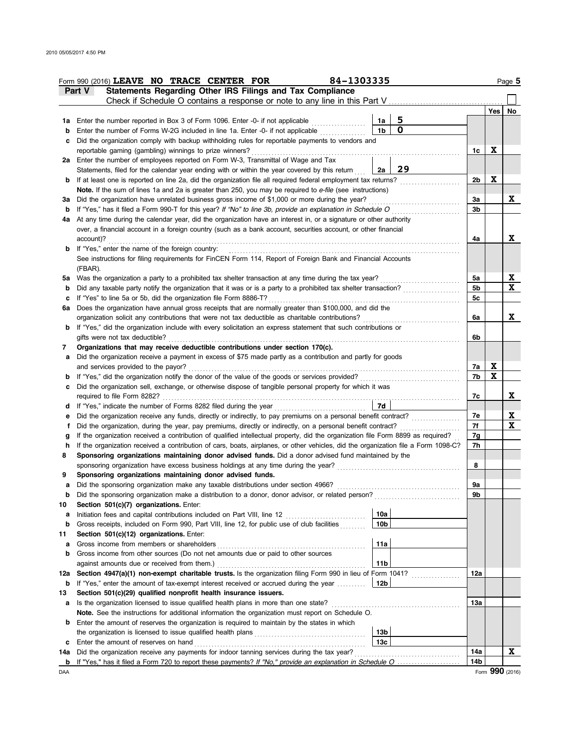| Statements Regarding Other IRS Filings and Tax Compliance<br>Part V<br>Check if Schedule O contains a response or note to any line in this Part V<br>5<br>Enter the number reported in Box 3 of Form 1096. Enter -0- if not applicable<br>1a<br>1a<br>.<br>O<br>1 <sub>b</sub><br>Enter the number of Forms W-2G included in line 1a. Enter -0- if not applicable<br>b<br>Did the organization comply with backup withholding rules for reportable payments to vendors and<br>с<br>reportable gaming (gambling) winnings to prize winners?<br>Enter the number of employees reported on Form W-3, Transmittal of Wage and Tax<br>2a<br>29<br>Statements, filed for the calendar year ending with or within the year covered by this return<br>2a<br>If at least one is reported on line 2a, did the organization file all required federal employment tax returns?<br>b<br>Note. If the sum of lines 1a and 2a is greater than 250, you may be required to e-file (see instructions)<br>Did the organization have unrelated business gross income of \$1,000 or more during the year?<br>за<br>If "Yes," has it filed a Form 990-T for this year? If "No" to line 3b, provide an explanation in Schedule O<br>b<br>At any time during the calendar year, did the organization have an interest in, or a signature or other authority<br>4a<br>over, a financial account in a foreign country (such as a bank account, securities account, or other financial<br>account)?<br>If "Yes," enter the name of the foreign country:<br>b<br>See instructions for filing requirements for FinCEN Form 114, Report of Foreign Bank and Financial Accounts<br>(FBAR).<br>Was the organization a party to a prohibited tax shelter transaction at any time during the tax year?<br>5а<br>Did any taxable party notify the organization that it was or is a party to a prohibited tax shelter transaction?<br>b<br>If "Yes" to line 5a or 5b, did the organization file Form 8886-T?<br>c<br>Does the organization have annual gross receipts that are normally greater than \$100,000, and did the<br>6а<br>organization solicit any contributions that were not tax deductible as charitable contributions?<br>If "Yes," did the organization include with every solicitation an express statement that such contributions or<br>b<br>gifts were not tax deductible?<br>Organizations that may receive deductible contributions under section 170(c).<br>7<br>Did the organization receive a payment in excess of \$75 made partly as a contribution and partly for goods<br>а<br>and services provided to the payor?<br>If "Yes," did the organization notify the donor of the value of the goods or services provided?<br>b<br>Did the organization sell, exchange, or otherwise dispose of tangible personal property for which it was<br>c<br>required to file Form 8282?<br>7d<br>If "Yes," indicate the number of Forms 8282 filed during the year<br>d<br>Did the organization receive any funds, directly or indirectly, to pay premiums on a personal benefit contract?<br>е<br>Did the organization, during the year, pay premiums, directly or indirectly, on a personal benefit contract?<br>f<br>If the organization received a contribution of qualified intellectual property, did the organization file Form 8899 as required?<br>g<br>If the organization received a contribution of cars, boats, airplanes, or other vehicles, did the organization file a Form 1098-C?<br>h<br>Sponsoring organizations maintaining donor advised funds. Did a donor advised fund maintained by the<br>8<br>sponsoring organization have excess business holdings at any time during the year?<br>Sponsoring organizations maintaining donor advised funds.<br>9<br>Did the sponsoring organization make any taxable distributions under section 4966?<br>а<br>Did the sponsoring organization make a distribution to a donor, donor advisor, or related person?<br>Section 501(c)(7) organizations. Enter:<br>10a<br>Initiation fees and capital contributions included on Part VIII, line 12<br>а<br>.<br>Gross receipts, included on Form 990, Part VIII, line 12, for public use of club facilities<br>10 <sub>b</sub><br>b<br>Section 501(c)(12) organizations. Enter:<br>11a<br>Gross income from members or shareholders<br>а<br>Gross income from other sources (Do not net amounts due or paid to other sources<br>b<br>11 <sub>b</sub><br>against amounts due or received from them.)<br>Section 4947(a)(1) non-exempt charitable trusts. Is the organization filing Form 990 in lieu of Form 1041?<br>12a<br><u> 1999 - Johann John Stoff, ameri</u> kan<br>12b |                      |     | Page 5      |
|----------------------------------------------------------------------------------------------------------------------------------------------------------------------------------------------------------------------------------------------------------------------------------------------------------------------------------------------------------------------------------------------------------------------------------------------------------------------------------------------------------------------------------------------------------------------------------------------------------------------------------------------------------------------------------------------------------------------------------------------------------------------------------------------------------------------------------------------------------------------------------------------------------------------------------------------------------------------------------------------------------------------------------------------------------------------------------------------------------------------------------------------------------------------------------------------------------------------------------------------------------------------------------------------------------------------------------------------------------------------------------------------------------------------------------------------------------------------------------------------------------------------------------------------------------------------------------------------------------------------------------------------------------------------------------------------------------------------------------------------------------------------------------------------------------------------------------------------------------------------------------------------------------------------------------------------------------------------------------------------------------------------------------------------------------------------------------------------------------------------------------------------------------------------------------------------------------------------------------------------------------------------------------------------------------------------------------------------------------------------------------------------------------------------------------------------------------------------------------------------------------------------------------------------------------------------------------------------------------------------------------------------------------------------------------------------------------------------------------------------------------------------------------------------------------------------------------------------------------------------------------------------------------------------------------------------------------------------------------------------------------------------------------------------------------------------------------------------------------------------------------------------------------------------------------------------------------------------------------------------------------------------------------------------------------------------------------------------------------------------------------------------------------------------------------------------------------------------------------------------------------------------------------------------------------------------------------------------------------------------------------------------------------------------------------------------------------------------------------------------------------------------------------------------------------------------------------------------------------------------------------------------------------------------------------------------------------------------------------------------------------------------------------------------------------------------------------------------------------------------------------------------------------------------------------------------------------------------------------------------------------------------------------------------------------------------------------------------------------------------------------------------------------------------------------------------------------------------------------------------------------------------------------------------------------------------------------------------------------------------------------------------------------------------|----------------------|-----|-------------|
|                                                                                                                                                                                                                                                                                                                                                                                                                                                                                                                                                                                                                                                                                                                                                                                                                                                                                                                                                                                                                                                                                                                                                                                                                                                                                                                                                                                                                                                                                                                                                                                                                                                                                                                                                                                                                                                                                                                                                                                                                                                                                                                                                                                                                                                                                                                                                                                                                                                                                                                                                                                                                                                                                                                                                                                                                                                                                                                                                                                                                                                                                                                                                                                                                                                                                                                                                                                                                                                                                                                                                                                                                                                                                                                                                                                                                                                                                                                                                                                                                                                                                                                                                                                                                                                                                                                                                                                                                                                                                                                                                                                                                                                                      |                      |     |             |
|                                                                                                                                                                                                                                                                                                                                                                                                                                                                                                                                                                                                                                                                                                                                                                                                                                                                                                                                                                                                                                                                                                                                                                                                                                                                                                                                                                                                                                                                                                                                                                                                                                                                                                                                                                                                                                                                                                                                                                                                                                                                                                                                                                                                                                                                                                                                                                                                                                                                                                                                                                                                                                                                                                                                                                                                                                                                                                                                                                                                                                                                                                                                                                                                                                                                                                                                                                                                                                                                                                                                                                                                                                                                                                                                                                                                                                                                                                                                                                                                                                                                                                                                                                                                                                                                                                                                                                                                                                                                                                                                                                                                                                                                      |                      |     |             |
|                                                                                                                                                                                                                                                                                                                                                                                                                                                                                                                                                                                                                                                                                                                                                                                                                                                                                                                                                                                                                                                                                                                                                                                                                                                                                                                                                                                                                                                                                                                                                                                                                                                                                                                                                                                                                                                                                                                                                                                                                                                                                                                                                                                                                                                                                                                                                                                                                                                                                                                                                                                                                                                                                                                                                                                                                                                                                                                                                                                                                                                                                                                                                                                                                                                                                                                                                                                                                                                                                                                                                                                                                                                                                                                                                                                                                                                                                                                                                                                                                                                                                                                                                                                                                                                                                                                                                                                                                                                                                                                                                                                                                                                                      |                      | Yes | No          |
|                                                                                                                                                                                                                                                                                                                                                                                                                                                                                                                                                                                                                                                                                                                                                                                                                                                                                                                                                                                                                                                                                                                                                                                                                                                                                                                                                                                                                                                                                                                                                                                                                                                                                                                                                                                                                                                                                                                                                                                                                                                                                                                                                                                                                                                                                                                                                                                                                                                                                                                                                                                                                                                                                                                                                                                                                                                                                                                                                                                                                                                                                                                                                                                                                                                                                                                                                                                                                                                                                                                                                                                                                                                                                                                                                                                                                                                                                                                                                                                                                                                                                                                                                                                                                                                                                                                                                                                                                                                                                                                                                                                                                                                                      |                      |     |             |
|                                                                                                                                                                                                                                                                                                                                                                                                                                                                                                                                                                                                                                                                                                                                                                                                                                                                                                                                                                                                                                                                                                                                                                                                                                                                                                                                                                                                                                                                                                                                                                                                                                                                                                                                                                                                                                                                                                                                                                                                                                                                                                                                                                                                                                                                                                                                                                                                                                                                                                                                                                                                                                                                                                                                                                                                                                                                                                                                                                                                                                                                                                                                                                                                                                                                                                                                                                                                                                                                                                                                                                                                                                                                                                                                                                                                                                                                                                                                                                                                                                                                                                                                                                                                                                                                                                                                                                                                                                                                                                                                                                                                                                                                      |                      |     |             |
|                                                                                                                                                                                                                                                                                                                                                                                                                                                                                                                                                                                                                                                                                                                                                                                                                                                                                                                                                                                                                                                                                                                                                                                                                                                                                                                                                                                                                                                                                                                                                                                                                                                                                                                                                                                                                                                                                                                                                                                                                                                                                                                                                                                                                                                                                                                                                                                                                                                                                                                                                                                                                                                                                                                                                                                                                                                                                                                                                                                                                                                                                                                                                                                                                                                                                                                                                                                                                                                                                                                                                                                                                                                                                                                                                                                                                                                                                                                                                                                                                                                                                                                                                                                                                                                                                                                                                                                                                                                                                                                                                                                                                                                                      | 1c                   | X   |             |
|                                                                                                                                                                                                                                                                                                                                                                                                                                                                                                                                                                                                                                                                                                                                                                                                                                                                                                                                                                                                                                                                                                                                                                                                                                                                                                                                                                                                                                                                                                                                                                                                                                                                                                                                                                                                                                                                                                                                                                                                                                                                                                                                                                                                                                                                                                                                                                                                                                                                                                                                                                                                                                                                                                                                                                                                                                                                                                                                                                                                                                                                                                                                                                                                                                                                                                                                                                                                                                                                                                                                                                                                                                                                                                                                                                                                                                                                                                                                                                                                                                                                                                                                                                                                                                                                                                                                                                                                                                                                                                                                                                                                                                                                      |                      |     |             |
|                                                                                                                                                                                                                                                                                                                                                                                                                                                                                                                                                                                                                                                                                                                                                                                                                                                                                                                                                                                                                                                                                                                                                                                                                                                                                                                                                                                                                                                                                                                                                                                                                                                                                                                                                                                                                                                                                                                                                                                                                                                                                                                                                                                                                                                                                                                                                                                                                                                                                                                                                                                                                                                                                                                                                                                                                                                                                                                                                                                                                                                                                                                                                                                                                                                                                                                                                                                                                                                                                                                                                                                                                                                                                                                                                                                                                                                                                                                                                                                                                                                                                                                                                                                                                                                                                                                                                                                                                                                                                                                                                                                                                                                                      |                      |     |             |
|                                                                                                                                                                                                                                                                                                                                                                                                                                                                                                                                                                                                                                                                                                                                                                                                                                                                                                                                                                                                                                                                                                                                                                                                                                                                                                                                                                                                                                                                                                                                                                                                                                                                                                                                                                                                                                                                                                                                                                                                                                                                                                                                                                                                                                                                                                                                                                                                                                                                                                                                                                                                                                                                                                                                                                                                                                                                                                                                                                                                                                                                                                                                                                                                                                                                                                                                                                                                                                                                                                                                                                                                                                                                                                                                                                                                                                                                                                                                                                                                                                                                                                                                                                                                                                                                                                                                                                                                                                                                                                                                                                                                                                                                      | 2b                   | X   |             |
|                                                                                                                                                                                                                                                                                                                                                                                                                                                                                                                                                                                                                                                                                                                                                                                                                                                                                                                                                                                                                                                                                                                                                                                                                                                                                                                                                                                                                                                                                                                                                                                                                                                                                                                                                                                                                                                                                                                                                                                                                                                                                                                                                                                                                                                                                                                                                                                                                                                                                                                                                                                                                                                                                                                                                                                                                                                                                                                                                                                                                                                                                                                                                                                                                                                                                                                                                                                                                                                                                                                                                                                                                                                                                                                                                                                                                                                                                                                                                                                                                                                                                                                                                                                                                                                                                                                                                                                                                                                                                                                                                                                                                                                                      |                      |     |             |
|                                                                                                                                                                                                                                                                                                                                                                                                                                                                                                                                                                                                                                                                                                                                                                                                                                                                                                                                                                                                                                                                                                                                                                                                                                                                                                                                                                                                                                                                                                                                                                                                                                                                                                                                                                                                                                                                                                                                                                                                                                                                                                                                                                                                                                                                                                                                                                                                                                                                                                                                                                                                                                                                                                                                                                                                                                                                                                                                                                                                                                                                                                                                                                                                                                                                                                                                                                                                                                                                                                                                                                                                                                                                                                                                                                                                                                                                                                                                                                                                                                                                                                                                                                                                                                                                                                                                                                                                                                                                                                                                                                                                                                                                      | За                   |     | x           |
|                                                                                                                                                                                                                                                                                                                                                                                                                                                                                                                                                                                                                                                                                                                                                                                                                                                                                                                                                                                                                                                                                                                                                                                                                                                                                                                                                                                                                                                                                                                                                                                                                                                                                                                                                                                                                                                                                                                                                                                                                                                                                                                                                                                                                                                                                                                                                                                                                                                                                                                                                                                                                                                                                                                                                                                                                                                                                                                                                                                                                                                                                                                                                                                                                                                                                                                                                                                                                                                                                                                                                                                                                                                                                                                                                                                                                                                                                                                                                                                                                                                                                                                                                                                                                                                                                                                                                                                                                                                                                                                                                                                                                                                                      | 3b                   |     |             |
|                                                                                                                                                                                                                                                                                                                                                                                                                                                                                                                                                                                                                                                                                                                                                                                                                                                                                                                                                                                                                                                                                                                                                                                                                                                                                                                                                                                                                                                                                                                                                                                                                                                                                                                                                                                                                                                                                                                                                                                                                                                                                                                                                                                                                                                                                                                                                                                                                                                                                                                                                                                                                                                                                                                                                                                                                                                                                                                                                                                                                                                                                                                                                                                                                                                                                                                                                                                                                                                                                                                                                                                                                                                                                                                                                                                                                                                                                                                                                                                                                                                                                                                                                                                                                                                                                                                                                                                                                                                                                                                                                                                                                                                                      |                      |     |             |
|                                                                                                                                                                                                                                                                                                                                                                                                                                                                                                                                                                                                                                                                                                                                                                                                                                                                                                                                                                                                                                                                                                                                                                                                                                                                                                                                                                                                                                                                                                                                                                                                                                                                                                                                                                                                                                                                                                                                                                                                                                                                                                                                                                                                                                                                                                                                                                                                                                                                                                                                                                                                                                                                                                                                                                                                                                                                                                                                                                                                                                                                                                                                                                                                                                                                                                                                                                                                                                                                                                                                                                                                                                                                                                                                                                                                                                                                                                                                                                                                                                                                                                                                                                                                                                                                                                                                                                                                                                                                                                                                                                                                                                                                      |                      |     |             |
|                                                                                                                                                                                                                                                                                                                                                                                                                                                                                                                                                                                                                                                                                                                                                                                                                                                                                                                                                                                                                                                                                                                                                                                                                                                                                                                                                                                                                                                                                                                                                                                                                                                                                                                                                                                                                                                                                                                                                                                                                                                                                                                                                                                                                                                                                                                                                                                                                                                                                                                                                                                                                                                                                                                                                                                                                                                                                                                                                                                                                                                                                                                                                                                                                                                                                                                                                                                                                                                                                                                                                                                                                                                                                                                                                                                                                                                                                                                                                                                                                                                                                                                                                                                                                                                                                                                                                                                                                                                                                                                                                                                                                                                                      | 4a                   |     | x           |
|                                                                                                                                                                                                                                                                                                                                                                                                                                                                                                                                                                                                                                                                                                                                                                                                                                                                                                                                                                                                                                                                                                                                                                                                                                                                                                                                                                                                                                                                                                                                                                                                                                                                                                                                                                                                                                                                                                                                                                                                                                                                                                                                                                                                                                                                                                                                                                                                                                                                                                                                                                                                                                                                                                                                                                                                                                                                                                                                                                                                                                                                                                                                                                                                                                                                                                                                                                                                                                                                                                                                                                                                                                                                                                                                                                                                                                                                                                                                                                                                                                                                                                                                                                                                                                                                                                                                                                                                                                                                                                                                                                                                                                                                      |                      |     |             |
|                                                                                                                                                                                                                                                                                                                                                                                                                                                                                                                                                                                                                                                                                                                                                                                                                                                                                                                                                                                                                                                                                                                                                                                                                                                                                                                                                                                                                                                                                                                                                                                                                                                                                                                                                                                                                                                                                                                                                                                                                                                                                                                                                                                                                                                                                                                                                                                                                                                                                                                                                                                                                                                                                                                                                                                                                                                                                                                                                                                                                                                                                                                                                                                                                                                                                                                                                                                                                                                                                                                                                                                                                                                                                                                                                                                                                                                                                                                                                                                                                                                                                                                                                                                                                                                                                                                                                                                                                                                                                                                                                                                                                                                                      |                      |     |             |
|                                                                                                                                                                                                                                                                                                                                                                                                                                                                                                                                                                                                                                                                                                                                                                                                                                                                                                                                                                                                                                                                                                                                                                                                                                                                                                                                                                                                                                                                                                                                                                                                                                                                                                                                                                                                                                                                                                                                                                                                                                                                                                                                                                                                                                                                                                                                                                                                                                                                                                                                                                                                                                                                                                                                                                                                                                                                                                                                                                                                                                                                                                                                                                                                                                                                                                                                                                                                                                                                                                                                                                                                                                                                                                                                                                                                                                                                                                                                                                                                                                                                                                                                                                                                                                                                                                                                                                                                                                                                                                                                                                                                                                                                      |                      |     |             |
|                                                                                                                                                                                                                                                                                                                                                                                                                                                                                                                                                                                                                                                                                                                                                                                                                                                                                                                                                                                                                                                                                                                                                                                                                                                                                                                                                                                                                                                                                                                                                                                                                                                                                                                                                                                                                                                                                                                                                                                                                                                                                                                                                                                                                                                                                                                                                                                                                                                                                                                                                                                                                                                                                                                                                                                                                                                                                                                                                                                                                                                                                                                                                                                                                                                                                                                                                                                                                                                                                                                                                                                                                                                                                                                                                                                                                                                                                                                                                                                                                                                                                                                                                                                                                                                                                                                                                                                                                                                                                                                                                                                                                                                                      | 5a                   |     | <u>x</u>    |
|                                                                                                                                                                                                                                                                                                                                                                                                                                                                                                                                                                                                                                                                                                                                                                                                                                                                                                                                                                                                                                                                                                                                                                                                                                                                                                                                                                                                                                                                                                                                                                                                                                                                                                                                                                                                                                                                                                                                                                                                                                                                                                                                                                                                                                                                                                                                                                                                                                                                                                                                                                                                                                                                                                                                                                                                                                                                                                                                                                                                                                                                                                                                                                                                                                                                                                                                                                                                                                                                                                                                                                                                                                                                                                                                                                                                                                                                                                                                                                                                                                                                                                                                                                                                                                                                                                                                                                                                                                                                                                                                                                                                                                                                      | 5b                   |     | X           |
|                                                                                                                                                                                                                                                                                                                                                                                                                                                                                                                                                                                                                                                                                                                                                                                                                                                                                                                                                                                                                                                                                                                                                                                                                                                                                                                                                                                                                                                                                                                                                                                                                                                                                                                                                                                                                                                                                                                                                                                                                                                                                                                                                                                                                                                                                                                                                                                                                                                                                                                                                                                                                                                                                                                                                                                                                                                                                                                                                                                                                                                                                                                                                                                                                                                                                                                                                                                                                                                                                                                                                                                                                                                                                                                                                                                                                                                                                                                                                                                                                                                                                                                                                                                                                                                                                                                                                                                                                                                                                                                                                                                                                                                                      | 5c                   |     |             |
| 10<br>11                                                                                                                                                                                                                                                                                                                                                                                                                                                                                                                                                                                                                                                                                                                                                                                                                                                                                                                                                                                                                                                                                                                                                                                                                                                                                                                                                                                                                                                                                                                                                                                                                                                                                                                                                                                                                                                                                                                                                                                                                                                                                                                                                                                                                                                                                                                                                                                                                                                                                                                                                                                                                                                                                                                                                                                                                                                                                                                                                                                                                                                                                                                                                                                                                                                                                                                                                                                                                                                                                                                                                                                                                                                                                                                                                                                                                                                                                                                                                                                                                                                                                                                                                                                                                                                                                                                                                                                                                                                                                                                                                                                                                                                             |                      |     |             |
|                                                                                                                                                                                                                                                                                                                                                                                                                                                                                                                                                                                                                                                                                                                                                                                                                                                                                                                                                                                                                                                                                                                                                                                                                                                                                                                                                                                                                                                                                                                                                                                                                                                                                                                                                                                                                                                                                                                                                                                                                                                                                                                                                                                                                                                                                                                                                                                                                                                                                                                                                                                                                                                                                                                                                                                                                                                                                                                                                                                                                                                                                                                                                                                                                                                                                                                                                                                                                                                                                                                                                                                                                                                                                                                                                                                                                                                                                                                                                                                                                                                                                                                                                                                                                                                                                                                                                                                                                                                                                                                                                                                                                                                                      | 6a                   |     | X.          |
|                                                                                                                                                                                                                                                                                                                                                                                                                                                                                                                                                                                                                                                                                                                                                                                                                                                                                                                                                                                                                                                                                                                                                                                                                                                                                                                                                                                                                                                                                                                                                                                                                                                                                                                                                                                                                                                                                                                                                                                                                                                                                                                                                                                                                                                                                                                                                                                                                                                                                                                                                                                                                                                                                                                                                                                                                                                                                                                                                                                                                                                                                                                                                                                                                                                                                                                                                                                                                                                                                                                                                                                                                                                                                                                                                                                                                                                                                                                                                                                                                                                                                                                                                                                                                                                                                                                                                                                                                                                                                                                                                                                                                                                                      | 6b                   |     |             |
|                                                                                                                                                                                                                                                                                                                                                                                                                                                                                                                                                                                                                                                                                                                                                                                                                                                                                                                                                                                                                                                                                                                                                                                                                                                                                                                                                                                                                                                                                                                                                                                                                                                                                                                                                                                                                                                                                                                                                                                                                                                                                                                                                                                                                                                                                                                                                                                                                                                                                                                                                                                                                                                                                                                                                                                                                                                                                                                                                                                                                                                                                                                                                                                                                                                                                                                                                                                                                                                                                                                                                                                                                                                                                                                                                                                                                                                                                                                                                                                                                                                                                                                                                                                                                                                                                                                                                                                                                                                                                                                                                                                                                                                                      |                      |     |             |
|                                                                                                                                                                                                                                                                                                                                                                                                                                                                                                                                                                                                                                                                                                                                                                                                                                                                                                                                                                                                                                                                                                                                                                                                                                                                                                                                                                                                                                                                                                                                                                                                                                                                                                                                                                                                                                                                                                                                                                                                                                                                                                                                                                                                                                                                                                                                                                                                                                                                                                                                                                                                                                                                                                                                                                                                                                                                                                                                                                                                                                                                                                                                                                                                                                                                                                                                                                                                                                                                                                                                                                                                                                                                                                                                                                                                                                                                                                                                                                                                                                                                                                                                                                                                                                                                                                                                                                                                                                                                                                                                                                                                                                                                      |                      |     |             |
|                                                                                                                                                                                                                                                                                                                                                                                                                                                                                                                                                                                                                                                                                                                                                                                                                                                                                                                                                                                                                                                                                                                                                                                                                                                                                                                                                                                                                                                                                                                                                                                                                                                                                                                                                                                                                                                                                                                                                                                                                                                                                                                                                                                                                                                                                                                                                                                                                                                                                                                                                                                                                                                                                                                                                                                                                                                                                                                                                                                                                                                                                                                                                                                                                                                                                                                                                                                                                                                                                                                                                                                                                                                                                                                                                                                                                                                                                                                                                                                                                                                                                                                                                                                                                                                                                                                                                                                                                                                                                                                                                                                                                                                                      | 7a                   | X   |             |
|                                                                                                                                                                                                                                                                                                                                                                                                                                                                                                                                                                                                                                                                                                                                                                                                                                                                                                                                                                                                                                                                                                                                                                                                                                                                                                                                                                                                                                                                                                                                                                                                                                                                                                                                                                                                                                                                                                                                                                                                                                                                                                                                                                                                                                                                                                                                                                                                                                                                                                                                                                                                                                                                                                                                                                                                                                                                                                                                                                                                                                                                                                                                                                                                                                                                                                                                                                                                                                                                                                                                                                                                                                                                                                                                                                                                                                                                                                                                                                                                                                                                                                                                                                                                                                                                                                                                                                                                                                                                                                                                                                                                                                                                      | 7b                   | X   |             |
|                                                                                                                                                                                                                                                                                                                                                                                                                                                                                                                                                                                                                                                                                                                                                                                                                                                                                                                                                                                                                                                                                                                                                                                                                                                                                                                                                                                                                                                                                                                                                                                                                                                                                                                                                                                                                                                                                                                                                                                                                                                                                                                                                                                                                                                                                                                                                                                                                                                                                                                                                                                                                                                                                                                                                                                                                                                                                                                                                                                                                                                                                                                                                                                                                                                                                                                                                                                                                                                                                                                                                                                                                                                                                                                                                                                                                                                                                                                                                                                                                                                                                                                                                                                                                                                                                                                                                                                                                                                                                                                                                                                                                                                                      |                      |     |             |
|                                                                                                                                                                                                                                                                                                                                                                                                                                                                                                                                                                                                                                                                                                                                                                                                                                                                                                                                                                                                                                                                                                                                                                                                                                                                                                                                                                                                                                                                                                                                                                                                                                                                                                                                                                                                                                                                                                                                                                                                                                                                                                                                                                                                                                                                                                                                                                                                                                                                                                                                                                                                                                                                                                                                                                                                                                                                                                                                                                                                                                                                                                                                                                                                                                                                                                                                                                                                                                                                                                                                                                                                                                                                                                                                                                                                                                                                                                                                                                                                                                                                                                                                                                                                                                                                                                                                                                                                                                                                                                                                                                                                                                                                      | 7c                   |     | x           |
|                                                                                                                                                                                                                                                                                                                                                                                                                                                                                                                                                                                                                                                                                                                                                                                                                                                                                                                                                                                                                                                                                                                                                                                                                                                                                                                                                                                                                                                                                                                                                                                                                                                                                                                                                                                                                                                                                                                                                                                                                                                                                                                                                                                                                                                                                                                                                                                                                                                                                                                                                                                                                                                                                                                                                                                                                                                                                                                                                                                                                                                                                                                                                                                                                                                                                                                                                                                                                                                                                                                                                                                                                                                                                                                                                                                                                                                                                                                                                                                                                                                                                                                                                                                                                                                                                                                                                                                                                                                                                                                                                                                                                                                                      |                      |     |             |
|                                                                                                                                                                                                                                                                                                                                                                                                                                                                                                                                                                                                                                                                                                                                                                                                                                                                                                                                                                                                                                                                                                                                                                                                                                                                                                                                                                                                                                                                                                                                                                                                                                                                                                                                                                                                                                                                                                                                                                                                                                                                                                                                                                                                                                                                                                                                                                                                                                                                                                                                                                                                                                                                                                                                                                                                                                                                                                                                                                                                                                                                                                                                                                                                                                                                                                                                                                                                                                                                                                                                                                                                                                                                                                                                                                                                                                                                                                                                                                                                                                                                                                                                                                                                                                                                                                                                                                                                                                                                                                                                                                                                                                                                      | 7e                   |     | $\mathbf x$ |
|                                                                                                                                                                                                                                                                                                                                                                                                                                                                                                                                                                                                                                                                                                                                                                                                                                                                                                                                                                                                                                                                                                                                                                                                                                                                                                                                                                                                                                                                                                                                                                                                                                                                                                                                                                                                                                                                                                                                                                                                                                                                                                                                                                                                                                                                                                                                                                                                                                                                                                                                                                                                                                                                                                                                                                                                                                                                                                                                                                                                                                                                                                                                                                                                                                                                                                                                                                                                                                                                                                                                                                                                                                                                                                                                                                                                                                                                                                                                                                                                                                                                                                                                                                                                                                                                                                                                                                                                                                                                                                                                                                                                                                                                      | 7f                   |     | X           |
|                                                                                                                                                                                                                                                                                                                                                                                                                                                                                                                                                                                                                                                                                                                                                                                                                                                                                                                                                                                                                                                                                                                                                                                                                                                                                                                                                                                                                                                                                                                                                                                                                                                                                                                                                                                                                                                                                                                                                                                                                                                                                                                                                                                                                                                                                                                                                                                                                                                                                                                                                                                                                                                                                                                                                                                                                                                                                                                                                                                                                                                                                                                                                                                                                                                                                                                                                                                                                                                                                                                                                                                                                                                                                                                                                                                                                                                                                                                                                                                                                                                                                                                                                                                                                                                                                                                                                                                                                                                                                                                                                                                                                                                                      | 7g                   |     |             |
|                                                                                                                                                                                                                                                                                                                                                                                                                                                                                                                                                                                                                                                                                                                                                                                                                                                                                                                                                                                                                                                                                                                                                                                                                                                                                                                                                                                                                                                                                                                                                                                                                                                                                                                                                                                                                                                                                                                                                                                                                                                                                                                                                                                                                                                                                                                                                                                                                                                                                                                                                                                                                                                                                                                                                                                                                                                                                                                                                                                                                                                                                                                                                                                                                                                                                                                                                                                                                                                                                                                                                                                                                                                                                                                                                                                                                                                                                                                                                                                                                                                                                                                                                                                                                                                                                                                                                                                                                                                                                                                                                                                                                                                                      | 7h                   |     |             |
|                                                                                                                                                                                                                                                                                                                                                                                                                                                                                                                                                                                                                                                                                                                                                                                                                                                                                                                                                                                                                                                                                                                                                                                                                                                                                                                                                                                                                                                                                                                                                                                                                                                                                                                                                                                                                                                                                                                                                                                                                                                                                                                                                                                                                                                                                                                                                                                                                                                                                                                                                                                                                                                                                                                                                                                                                                                                                                                                                                                                                                                                                                                                                                                                                                                                                                                                                                                                                                                                                                                                                                                                                                                                                                                                                                                                                                                                                                                                                                                                                                                                                                                                                                                                                                                                                                                                                                                                                                                                                                                                                                                                                                                                      |                      |     |             |
|                                                                                                                                                                                                                                                                                                                                                                                                                                                                                                                                                                                                                                                                                                                                                                                                                                                                                                                                                                                                                                                                                                                                                                                                                                                                                                                                                                                                                                                                                                                                                                                                                                                                                                                                                                                                                                                                                                                                                                                                                                                                                                                                                                                                                                                                                                                                                                                                                                                                                                                                                                                                                                                                                                                                                                                                                                                                                                                                                                                                                                                                                                                                                                                                                                                                                                                                                                                                                                                                                                                                                                                                                                                                                                                                                                                                                                                                                                                                                                                                                                                                                                                                                                                                                                                                                                                                                                                                                                                                                                                                                                                                                                                                      | 8                    |     |             |
|                                                                                                                                                                                                                                                                                                                                                                                                                                                                                                                                                                                                                                                                                                                                                                                                                                                                                                                                                                                                                                                                                                                                                                                                                                                                                                                                                                                                                                                                                                                                                                                                                                                                                                                                                                                                                                                                                                                                                                                                                                                                                                                                                                                                                                                                                                                                                                                                                                                                                                                                                                                                                                                                                                                                                                                                                                                                                                                                                                                                                                                                                                                                                                                                                                                                                                                                                                                                                                                                                                                                                                                                                                                                                                                                                                                                                                                                                                                                                                                                                                                                                                                                                                                                                                                                                                                                                                                                                                                                                                                                                                                                                                                                      |                      |     |             |
|                                                                                                                                                                                                                                                                                                                                                                                                                                                                                                                                                                                                                                                                                                                                                                                                                                                                                                                                                                                                                                                                                                                                                                                                                                                                                                                                                                                                                                                                                                                                                                                                                                                                                                                                                                                                                                                                                                                                                                                                                                                                                                                                                                                                                                                                                                                                                                                                                                                                                                                                                                                                                                                                                                                                                                                                                                                                                                                                                                                                                                                                                                                                                                                                                                                                                                                                                                                                                                                                                                                                                                                                                                                                                                                                                                                                                                                                                                                                                                                                                                                                                                                                                                                                                                                                                                                                                                                                                                                                                                                                                                                                                                                                      | 9а<br>9 <sub>b</sub> |     |             |
|                                                                                                                                                                                                                                                                                                                                                                                                                                                                                                                                                                                                                                                                                                                                                                                                                                                                                                                                                                                                                                                                                                                                                                                                                                                                                                                                                                                                                                                                                                                                                                                                                                                                                                                                                                                                                                                                                                                                                                                                                                                                                                                                                                                                                                                                                                                                                                                                                                                                                                                                                                                                                                                                                                                                                                                                                                                                                                                                                                                                                                                                                                                                                                                                                                                                                                                                                                                                                                                                                                                                                                                                                                                                                                                                                                                                                                                                                                                                                                                                                                                                                                                                                                                                                                                                                                                                                                                                                                                                                                                                                                                                                                                                      |                      |     |             |
|                                                                                                                                                                                                                                                                                                                                                                                                                                                                                                                                                                                                                                                                                                                                                                                                                                                                                                                                                                                                                                                                                                                                                                                                                                                                                                                                                                                                                                                                                                                                                                                                                                                                                                                                                                                                                                                                                                                                                                                                                                                                                                                                                                                                                                                                                                                                                                                                                                                                                                                                                                                                                                                                                                                                                                                                                                                                                                                                                                                                                                                                                                                                                                                                                                                                                                                                                                                                                                                                                                                                                                                                                                                                                                                                                                                                                                                                                                                                                                                                                                                                                                                                                                                                                                                                                                                                                                                                                                                                                                                                                                                                                                                                      |                      |     |             |
|                                                                                                                                                                                                                                                                                                                                                                                                                                                                                                                                                                                                                                                                                                                                                                                                                                                                                                                                                                                                                                                                                                                                                                                                                                                                                                                                                                                                                                                                                                                                                                                                                                                                                                                                                                                                                                                                                                                                                                                                                                                                                                                                                                                                                                                                                                                                                                                                                                                                                                                                                                                                                                                                                                                                                                                                                                                                                                                                                                                                                                                                                                                                                                                                                                                                                                                                                                                                                                                                                                                                                                                                                                                                                                                                                                                                                                                                                                                                                                                                                                                                                                                                                                                                                                                                                                                                                                                                                                                                                                                                                                                                                                                                      |                      |     |             |
|                                                                                                                                                                                                                                                                                                                                                                                                                                                                                                                                                                                                                                                                                                                                                                                                                                                                                                                                                                                                                                                                                                                                                                                                                                                                                                                                                                                                                                                                                                                                                                                                                                                                                                                                                                                                                                                                                                                                                                                                                                                                                                                                                                                                                                                                                                                                                                                                                                                                                                                                                                                                                                                                                                                                                                                                                                                                                                                                                                                                                                                                                                                                                                                                                                                                                                                                                                                                                                                                                                                                                                                                                                                                                                                                                                                                                                                                                                                                                                                                                                                                                                                                                                                                                                                                                                                                                                                                                                                                                                                                                                                                                                                                      |                      |     |             |
|                                                                                                                                                                                                                                                                                                                                                                                                                                                                                                                                                                                                                                                                                                                                                                                                                                                                                                                                                                                                                                                                                                                                                                                                                                                                                                                                                                                                                                                                                                                                                                                                                                                                                                                                                                                                                                                                                                                                                                                                                                                                                                                                                                                                                                                                                                                                                                                                                                                                                                                                                                                                                                                                                                                                                                                                                                                                                                                                                                                                                                                                                                                                                                                                                                                                                                                                                                                                                                                                                                                                                                                                                                                                                                                                                                                                                                                                                                                                                                                                                                                                                                                                                                                                                                                                                                                                                                                                                                                                                                                                                                                                                                                                      |                      |     |             |
|                                                                                                                                                                                                                                                                                                                                                                                                                                                                                                                                                                                                                                                                                                                                                                                                                                                                                                                                                                                                                                                                                                                                                                                                                                                                                                                                                                                                                                                                                                                                                                                                                                                                                                                                                                                                                                                                                                                                                                                                                                                                                                                                                                                                                                                                                                                                                                                                                                                                                                                                                                                                                                                                                                                                                                                                                                                                                                                                                                                                                                                                                                                                                                                                                                                                                                                                                                                                                                                                                                                                                                                                                                                                                                                                                                                                                                                                                                                                                                                                                                                                                                                                                                                                                                                                                                                                                                                                                                                                                                                                                                                                                                                                      |                      |     |             |
|                                                                                                                                                                                                                                                                                                                                                                                                                                                                                                                                                                                                                                                                                                                                                                                                                                                                                                                                                                                                                                                                                                                                                                                                                                                                                                                                                                                                                                                                                                                                                                                                                                                                                                                                                                                                                                                                                                                                                                                                                                                                                                                                                                                                                                                                                                                                                                                                                                                                                                                                                                                                                                                                                                                                                                                                                                                                                                                                                                                                                                                                                                                                                                                                                                                                                                                                                                                                                                                                                                                                                                                                                                                                                                                                                                                                                                                                                                                                                                                                                                                                                                                                                                                                                                                                                                                                                                                                                                                                                                                                                                                                                                                                      |                      |     |             |
|                                                                                                                                                                                                                                                                                                                                                                                                                                                                                                                                                                                                                                                                                                                                                                                                                                                                                                                                                                                                                                                                                                                                                                                                                                                                                                                                                                                                                                                                                                                                                                                                                                                                                                                                                                                                                                                                                                                                                                                                                                                                                                                                                                                                                                                                                                                                                                                                                                                                                                                                                                                                                                                                                                                                                                                                                                                                                                                                                                                                                                                                                                                                                                                                                                                                                                                                                                                                                                                                                                                                                                                                                                                                                                                                                                                                                                                                                                                                                                                                                                                                                                                                                                                                                                                                                                                                                                                                                                                                                                                                                                                                                                                                      | 12a                  |     |             |
| If "Yes," enter the amount of tax-exempt interest received or accrued during the year<br>b                                                                                                                                                                                                                                                                                                                                                                                                                                                                                                                                                                                                                                                                                                                                                                                                                                                                                                                                                                                                                                                                                                                                                                                                                                                                                                                                                                                                                                                                                                                                                                                                                                                                                                                                                                                                                                                                                                                                                                                                                                                                                                                                                                                                                                                                                                                                                                                                                                                                                                                                                                                                                                                                                                                                                                                                                                                                                                                                                                                                                                                                                                                                                                                                                                                                                                                                                                                                                                                                                                                                                                                                                                                                                                                                                                                                                                                                                                                                                                                                                                                                                                                                                                                                                                                                                                                                                                                                                                                                                                                                                                           |                      |     |             |
| Section 501(c)(29) qualified nonprofit health insurance issuers.<br>13                                                                                                                                                                                                                                                                                                                                                                                                                                                                                                                                                                                                                                                                                                                                                                                                                                                                                                                                                                                                                                                                                                                                                                                                                                                                                                                                                                                                                                                                                                                                                                                                                                                                                                                                                                                                                                                                                                                                                                                                                                                                                                                                                                                                                                                                                                                                                                                                                                                                                                                                                                                                                                                                                                                                                                                                                                                                                                                                                                                                                                                                                                                                                                                                                                                                                                                                                                                                                                                                                                                                                                                                                                                                                                                                                                                                                                                                                                                                                                                                                                                                                                                                                                                                                                                                                                                                                                                                                                                                                                                                                                                               |                      |     |             |
| Is the organization licensed to issue qualified health plans in more than one state?<br>а                                                                                                                                                                                                                                                                                                                                                                                                                                                                                                                                                                                                                                                                                                                                                                                                                                                                                                                                                                                                                                                                                                                                                                                                                                                                                                                                                                                                                                                                                                                                                                                                                                                                                                                                                                                                                                                                                                                                                                                                                                                                                                                                                                                                                                                                                                                                                                                                                                                                                                                                                                                                                                                                                                                                                                                                                                                                                                                                                                                                                                                                                                                                                                                                                                                                                                                                                                                                                                                                                                                                                                                                                                                                                                                                                                                                                                                                                                                                                                                                                                                                                                                                                                                                                                                                                                                                                                                                                                                                                                                                                                            | 13a                  |     |             |
| Note. See the instructions for additional information the organization must report on Schedule O.                                                                                                                                                                                                                                                                                                                                                                                                                                                                                                                                                                                                                                                                                                                                                                                                                                                                                                                                                                                                                                                                                                                                                                                                                                                                                                                                                                                                                                                                                                                                                                                                                                                                                                                                                                                                                                                                                                                                                                                                                                                                                                                                                                                                                                                                                                                                                                                                                                                                                                                                                                                                                                                                                                                                                                                                                                                                                                                                                                                                                                                                                                                                                                                                                                                                                                                                                                                                                                                                                                                                                                                                                                                                                                                                                                                                                                                                                                                                                                                                                                                                                                                                                                                                                                                                                                                                                                                                                                                                                                                                                                    |                      |     |             |
| Enter the amount of reserves the organization is required to maintain by the states in which<br>b                                                                                                                                                                                                                                                                                                                                                                                                                                                                                                                                                                                                                                                                                                                                                                                                                                                                                                                                                                                                                                                                                                                                                                                                                                                                                                                                                                                                                                                                                                                                                                                                                                                                                                                                                                                                                                                                                                                                                                                                                                                                                                                                                                                                                                                                                                                                                                                                                                                                                                                                                                                                                                                                                                                                                                                                                                                                                                                                                                                                                                                                                                                                                                                                                                                                                                                                                                                                                                                                                                                                                                                                                                                                                                                                                                                                                                                                                                                                                                                                                                                                                                                                                                                                                                                                                                                                                                                                                                                                                                                                                                    |                      |     |             |
| 13b<br>13с                                                                                                                                                                                                                                                                                                                                                                                                                                                                                                                                                                                                                                                                                                                                                                                                                                                                                                                                                                                                                                                                                                                                                                                                                                                                                                                                                                                                                                                                                                                                                                                                                                                                                                                                                                                                                                                                                                                                                                                                                                                                                                                                                                                                                                                                                                                                                                                                                                                                                                                                                                                                                                                                                                                                                                                                                                                                                                                                                                                                                                                                                                                                                                                                                                                                                                                                                                                                                                                                                                                                                                                                                                                                                                                                                                                                                                                                                                                                                                                                                                                                                                                                                                                                                                                                                                                                                                                                                                                                                                                                                                                                                                                           |                      |     |             |
| Enter the amount of reserves on hand<br>c<br>14a                                                                                                                                                                                                                                                                                                                                                                                                                                                                                                                                                                                                                                                                                                                                                                                                                                                                                                                                                                                                                                                                                                                                                                                                                                                                                                                                                                                                                                                                                                                                                                                                                                                                                                                                                                                                                                                                                                                                                                                                                                                                                                                                                                                                                                                                                                                                                                                                                                                                                                                                                                                                                                                                                                                                                                                                                                                                                                                                                                                                                                                                                                                                                                                                                                                                                                                                                                                                                                                                                                                                                                                                                                                                                                                                                                                                                                                                                                                                                                                                                                                                                                                                                                                                                                                                                                                                                                                                                                                                                                                                                                                                                     | 14a                  |     | X           |
|                                                                                                                                                                                                                                                                                                                                                                                                                                                                                                                                                                                                                                                                                                                                                                                                                                                                                                                                                                                                                                                                                                                                                                                                                                                                                                                                                                                                                                                                                                                                                                                                                                                                                                                                                                                                                                                                                                                                                                                                                                                                                                                                                                                                                                                                                                                                                                                                                                                                                                                                                                                                                                                                                                                                                                                                                                                                                                                                                                                                                                                                                                                                                                                                                                                                                                                                                                                                                                                                                                                                                                                                                                                                                                                                                                                                                                                                                                                                                                                                                                                                                                                                                                                                                                                                                                                                                                                                                                                                                                                                                                                                                                                                      | 14b                  |     |             |

DAA Form **990** (2016)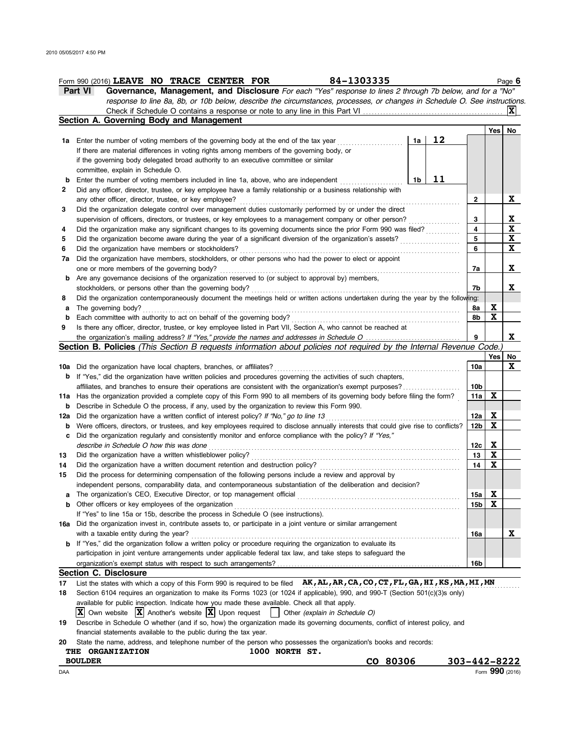|        | 84-1303335<br>Form 990 (2016) LEAVE NO TRACE CENTER FOR                                                                                                                                                                        |                 |              | Page 6                                  |
|--------|--------------------------------------------------------------------------------------------------------------------------------------------------------------------------------------------------------------------------------|-----------------|--------------|-----------------------------------------|
|        | Governance, Management, and Disclosure For each "Yes" response to lines 2 through 7b below, and for a "No"<br>Part VI                                                                                                          |                 |              |                                         |
|        | response to line 8a, 8b, or 10b below, describe the circumstances, processes, or changes in Schedule O. See instructions.                                                                                                      |                 |              |                                         |
|        | Check if Schedule O contains a response or note to any line in this Part VI                                                                                                                                                    |                 |              | $ {\bf X} $                             |
|        | Section A. Governing Body and Management                                                                                                                                                                                       |                 |              |                                         |
|        |                                                                                                                                                                                                                                |                 | Yes          | No                                      |
|        | 12<br>1a Enter the number of voting members of the governing body at the end of the tax year<br>1a                                                                                                                             |                 |              |                                         |
|        | If there are material differences in voting rights among members of the governing body, or                                                                                                                                     |                 |              |                                         |
|        | if the governing body delegated broad authority to an executive committee or similar                                                                                                                                           |                 |              |                                         |
|        | committee, explain in Schedule O.                                                                                                                                                                                              |                 |              |                                         |
| b      | 11<br>1b<br>Enter the number of voting members included in line 1a, above, who are independent                                                                                                                                 |                 |              |                                         |
| 2      | Did any officer, director, trustee, or key employee have a family relationship or a business relationship with                                                                                                                 |                 |              |                                         |
|        | any other officer, director, trustee, or key employee?                                                                                                                                                                         | 2               |              | X                                       |
| 3      | Did the organization delegate control over management duties customarily performed by or under the direct                                                                                                                      |                 |              |                                         |
|        | supervision of officers, directors, or trustees, or key employees to a management company or other person?<br>Did the organization make any significant changes to its governing documents since the prior Form 990 was filed? | 3<br>4          |              | $\mathbf{x}$<br>$\overline{\mathbf{X}}$ |
| 4<br>5 |                                                                                                                                                                                                                                | 5               |              | $\mathbf{x}$                            |
| 6      |                                                                                                                                                                                                                                | 6               |              | X                                       |
| 7a     | Did the organization have members, stockholders, or other persons who had the power to elect or appoint                                                                                                                        |                 |              |                                         |
|        | one or more members of the governing body?                                                                                                                                                                                     | 7а              |              | X                                       |
| b      | Are any governance decisions of the organization reserved to (or subject to approval by) members,                                                                                                                              |                 |              |                                         |
|        | stockholders, or persons other than the governing body?                                                                                                                                                                        | 7b              |              | X.                                      |
| 8      | Did the organization contemporaneously document the meetings held or written actions undertaken during the year by the following:                                                                                              |                 |              |                                         |
| а      | The governing body?                                                                                                                                                                                                            | 8а              | X            |                                         |
| b      |                                                                                                                                                                                                                                | 8b              | X            |                                         |
| 9      | Is there any officer, director, trustee, or key employee listed in Part VII, Section A, who cannot be reached at                                                                                                               |                 |              |                                         |
|        | the organization's mailing address? If "Yes," provide the names and addresses in Schedule O                                                                                                                                    |                 |              | X                                       |
|        | Section B. Policies (This Section B requests information about policies not required by the Internal Revenue Code.)                                                                                                            |                 |              |                                         |
|        |                                                                                                                                                                                                                                |                 | Yes          | No                                      |
|        | <b>10a</b> Did the organization have local chapters, branches, or affiliates?                                                                                                                                                  | 10a             |              | X                                       |
| b      | If "Yes," did the organization have written policies and procedures governing the activities of such chapters,                                                                                                                 |                 |              |                                         |
|        | affiliates, and branches to ensure their operations are consistent with the organization's exempt purposes?                                                                                                                    | 10b             |              |                                         |
| 11a    | Has the organization provided a complete copy of this Form 990 to all members of its governing body before filing the form?                                                                                                    | 11a             | X            |                                         |
| b      | Describe in Schedule O the process, if any, used by the organization to review this Form 990.                                                                                                                                  |                 |              |                                         |
| 12a    | Did the organization have a written conflict of interest policy? If "No," go to line 13                                                                                                                                        | 12a             | X            |                                         |
| b      | Were officers, directors, or trustees, and key employees required to disclose annually interests that could give rise to conflicts?                                                                                            | 12 <sub>b</sub> | X            |                                         |
| c      | Did the organization regularly and consistently monitor and enforce compliance with the policy? If "Yes,"                                                                                                                      |                 |              |                                         |
|        | describe in Schedule O how this was done                                                                                                                                                                                       | 12c             | $\mathbf{x}$ |                                         |
| 13     | Did the organization have a written whistleblower policy?                                                                                                                                                                      | 13              | X            |                                         |
| 14     |                                                                                                                                                                                                                                | 14              | X            |                                         |
| 15     | Did the process for determining compensation of the following persons include a review and approval by<br>independent persons, comparability data, and contemporaneous substantiation of the deliberation and decision?        |                 |              |                                         |
|        | The organization's CEO. Executive Director, or top management official                                                                                                                                                         | 15a l           | x            |                                         |
|        | <b>b</b> Other officers or key employees of the organization                                                                                                                                                                   | 15b             | X            |                                         |
|        | If "Yes" to line 15a or 15b, describe the process in Schedule O (see instructions).                                                                                                                                            |                 |              |                                         |
| 16a    | Did the organization invest in, contribute assets to, or participate in a joint venture or similar arrangement                                                                                                                 |                 |              |                                         |
|        | with a taxable entity during the year?                                                                                                                                                                                         | 16a             |              | X                                       |
|        | <b>b</b> If "Yes," did the organization follow a written policy or procedure requiring the organization to evaluate its                                                                                                        |                 |              |                                         |
|        | participation in joint venture arrangements under applicable federal tax law, and take steps to safeguard the                                                                                                                  |                 |              |                                         |
|        |                                                                                                                                                                                                                                | 16b             |              |                                         |
|        | <b>Section C. Disclosure</b>                                                                                                                                                                                                   |                 |              |                                         |
| 17     | List the states with which a copy of this Form 990 is required to be filed AK, AL, AR, CA, CO, CT, FL, GA, HI, KS, MA, MI, MN                                                                                                  |                 |              |                                         |
| 18     | Section 6104 requires an organization to make its Forms 1023 (or 1024 if applicable), 990, and 990-T (Section 501(c)(3)s only)                                                                                                 |                 |              |                                         |
|        | available for public inspection. Indicate how you made these available. Check all that apply.                                                                                                                                  |                 |              |                                         |
|        | $ \mathbf{X} $ Own website $ \mathbf{X} $ Another's website $ \mathbf{X} $ Upon request<br>Other (explain in Schedule O)                                                                                                       |                 |              |                                         |
| 19     | Describe in Schedule O whether (and if so, how) the organization made its governing documents, conflict of interest policy, and                                                                                                |                 |              |                                         |
|        | financial statements available to the public during the tax year.                                                                                                                                                              |                 |              |                                         |
| 20     | State the name, address, and telephone number of the person who possesses the organization's books and records:<br><b>1000 NOPTH CT</b><br><b>OPCANTZATION</b><br>TUF                                                          |                 |              |                                         |

| THE<br><b>ORGANIZATION</b> | 1000<br><b>NORTH</b><br>` ST. |          |                 |
|----------------------------|-------------------------------|----------|-----------------|
| <b>BOULDER</b>             |                               | CO 80306 | 303-442-8222    |
| DAA                        |                               |          | Form 990 (2016) |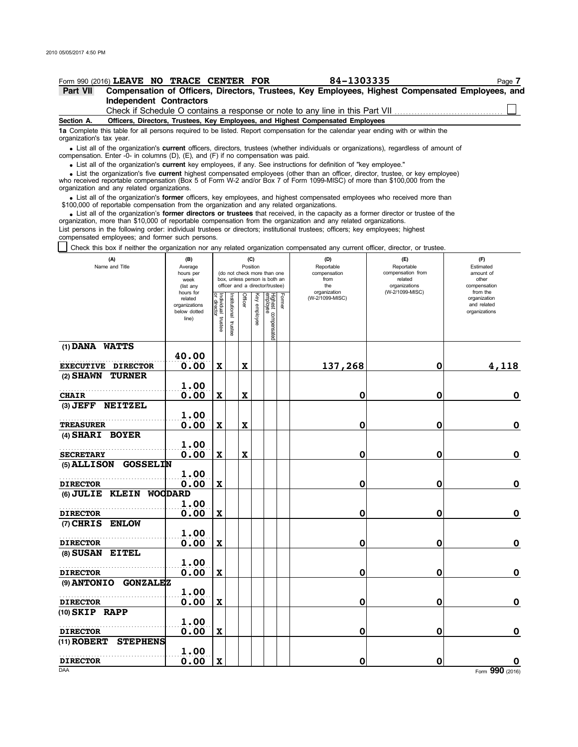**(7) CHRIS ENLOW**

**(8) SUSAN EITEL**

**(10) SKIP RAPP**

**(9) ANTONIO GONZALEZ**

. . . . . . . . . . . . . . . . . . . . . . . . . . . . . . . . . . . . . . . . . . . . . . . . . . . . . **DIRECTOR**

. . . . . . . . . . . . . . . . . . . . . . . . . . . . . . . . . . . . . . . . . . . . . . . . . . . . . **DIRECTOR**

. . . . . . . . . . . . . . . . . . . . . . . . . . . . . . . . . . . . . . . . . . . . . . . . . . . . . **DIRECTOR**

**(11) ROBERT STEPHENS**

| Part VII                 | Form 990 (2016) LEAVE NO TRACE CENTER FOR                                                 |                                                                |                                      |                          |             |                 |                                                                                                 | 84-1303335                                                                                                                                                                                                                                          |                                                                                                                                                                                                                                                             | Page 7<br>Compensation of Officers, Directors, Trustees, Key Employees, Highest Compensated Employees, and |
|--------------------------|-------------------------------------------------------------------------------------------|----------------------------------------------------------------|--------------------------------------|--------------------------|-------------|-----------------|-------------------------------------------------------------------------------------------------|-----------------------------------------------------------------------------------------------------------------------------------------------------------------------------------------------------------------------------------------------------|-------------------------------------------------------------------------------------------------------------------------------------------------------------------------------------------------------------------------------------------------------------|------------------------------------------------------------------------------------------------------------|
|                          | <b>Independent Contractors</b>                                                            |                                                                |                                      |                          |             |                 |                                                                                                 |                                                                                                                                                                                                                                                     |                                                                                                                                                                                                                                                             |                                                                                                            |
|                          |                                                                                           |                                                                |                                      |                          |             |                 |                                                                                                 | Check if Schedule O contains a response or note to any line in this Part VII                                                                                                                                                                        |                                                                                                                                                                                                                                                             |                                                                                                            |
| Section A.               |                                                                                           |                                                                |                                      |                          |             |                 |                                                                                                 | Officers, Directors, Trustees, Key Employees, and Highest Compensated Employees                                                                                                                                                                     |                                                                                                                                                                                                                                                             |                                                                                                            |
| organization's tax year. |                                                                                           |                                                                |                                      |                          |             |                 |                                                                                                 |                                                                                                                                                                                                                                                     | 1a Complete this table for all persons required to be listed. Report compensation for the calendar year ending with or within the                                                                                                                           |                                                                                                            |
|                          | compensation. Enter -0- in columns (D), (E), and (F) if no compensation was paid.         |                                                                |                                      |                          |             |                 |                                                                                                 |                                                                                                                                                                                                                                                     | • List all of the organization's <b>current</b> officers, directors, trustees (whether individuals or organizations), regardless of amount of                                                                                                               |                                                                                                            |
|                          |                                                                                           |                                                                |                                      |                          |             |                 |                                                                                                 | • List all of the organization's current key employees, if any. See instructions for definition of "key employee."                                                                                                                                  |                                                                                                                                                                                                                                                             |                                                                                                            |
|                          | organization and any related organizations.                                               |                                                                |                                      |                          |             |                 |                                                                                                 |                                                                                                                                                                                                                                                     | • List the organization's five current highest compensated employees (other than an officer, director, trustee, or key employee)<br>who received reportable compensation (Box 5 of Form W-2 and/or Box 7 of Form 1099-MISC) of more than \$100,000 from the |                                                                                                            |
|                          | \$100,000 of reportable compensation from the organization and any related organizations. |                                                                |                                      |                          |             |                 |                                                                                                 |                                                                                                                                                                                                                                                     | • List all of the organization's former officers, key employees, and highest compensated employees who received more than                                                                                                                                   |                                                                                                            |
|                          | compensated employees; and former such persons.                                           |                                                                |                                      |                          |             |                 |                                                                                                 | organization, more than \$10,000 of reportable compensation from the organization and any related organizations.<br>List persons in the following order: individual trustees or directors; institutional trustees; officers; key employees; highest | • List all of the organization's former directors or trustees that received, in the capacity as a former director or trustee of the                                                                                                                         |                                                                                                            |
|                          |                                                                                           |                                                                |                                      |                          |             |                 |                                                                                                 |                                                                                                                                                                                                                                                     | Check this box if neither the organization nor any related organization compensated any current officer, director, or trustee.                                                                                                                              |                                                                                                            |
|                          | (A)<br>Name and Title                                                                     | (B)<br>Average<br>hours per<br>week<br>(list any               |                                      |                          | Position    | (C)             | (do not check more than one<br>box, unless person is both an<br>officer and a director/trustee) | (D)<br>Reportable<br>compensation<br>from<br>the                                                                                                                                                                                                    | (E)<br>Reportable<br>compensation from<br>related<br>organizations                                                                                                                                                                                          | (F)<br>Estimated<br>amount of<br>other<br>compensation                                                     |
|                          |                                                                                           | hours for<br>related<br>organizations<br>below dotted<br>line) | Individual<br>or director<br>trustee | Institutional<br>trustee | Officer     | Ķey<br>employee | Highest<br>Highest<br>Former<br>த<br>compensated                                                | organization<br>(W-2/1099-MISC)                                                                                                                                                                                                                     | (W-2/1099-MISC)                                                                                                                                                                                                                                             | from the<br>organization<br>and related<br>organizations                                                   |
| (1) DANA WATTS           |                                                                                           |                                                                |                                      |                          |             |                 |                                                                                                 |                                                                                                                                                                                                                                                     |                                                                                                                                                                                                                                                             |                                                                                                            |
|                          | <b>EXECUTIVE DIRECTOR</b>                                                                 | 40.00<br>0.00                                                  | X                                    |                          | x           |                 |                                                                                                 | 137,268                                                                                                                                                                                                                                             | 0                                                                                                                                                                                                                                                           | 4,118                                                                                                      |
| $(2)$ SHAWN              | <b>TURNER</b>                                                                             | 1.00                                                           |                                      |                          |             |                 |                                                                                                 |                                                                                                                                                                                                                                                     |                                                                                                                                                                                                                                                             |                                                                                                            |
| <b>CHAIR</b>             |                                                                                           | 0.00                                                           | $\boldsymbol{\mathrm{X}}$            |                          | $\mathbf x$ |                 |                                                                                                 | 0                                                                                                                                                                                                                                                   | 0                                                                                                                                                                                                                                                           | 0                                                                                                          |
|                          | (3) JEFF NEITZEL                                                                          |                                                                |                                      |                          |             |                 |                                                                                                 |                                                                                                                                                                                                                                                     |                                                                                                                                                                                                                                                             |                                                                                                            |
|                          |                                                                                           | 1.00                                                           |                                      |                          |             |                 |                                                                                                 |                                                                                                                                                                                                                                                     |                                                                                                                                                                                                                                                             |                                                                                                            |
| <b>TREASURER</b>         |                                                                                           | 0.00                                                           | X                                    |                          | $\mathbf x$ |                 |                                                                                                 | 0                                                                                                                                                                                                                                                   | 0                                                                                                                                                                                                                                                           | 0                                                                                                          |
| (4) SHARI BOYER          |                                                                                           |                                                                |                                      |                          |             |                 |                                                                                                 |                                                                                                                                                                                                                                                     |                                                                                                                                                                                                                                                             |                                                                                                            |
|                          |                                                                                           | 1.00                                                           |                                      |                          |             |                 |                                                                                                 |                                                                                                                                                                                                                                                     |                                                                                                                                                                                                                                                             |                                                                                                            |
| <b>SECRETARY</b>         | (5) ALLISON GOSSELIN                                                                      | 0.00                                                           | $\mathbf x$                          |                          | X           |                 |                                                                                                 | 0                                                                                                                                                                                                                                                   | 0                                                                                                                                                                                                                                                           | 0                                                                                                          |
|                          |                                                                                           | 1.00                                                           |                                      |                          |             |                 |                                                                                                 |                                                                                                                                                                                                                                                     |                                                                                                                                                                                                                                                             |                                                                                                            |
| <b>DIRECTOR</b>          |                                                                                           | 0.00                                                           | X                                    |                          |             |                 |                                                                                                 | 0                                                                                                                                                                                                                                                   | 0                                                                                                                                                                                                                                                           | 0                                                                                                          |
| $(6)$ JULIE              | <b>KLEIN</b>                                                                              | <b>WOODARD</b>                                                 |                                      |                          |             |                 |                                                                                                 |                                                                                                                                                                                                                                                     |                                                                                                                                                                                                                                                             |                                                                                                            |
|                          |                                                                                           | 1.00                                                           |                                      |                          |             |                 |                                                                                                 |                                                                                                                                                                                                                                                     |                                                                                                                                                                                                                                                             |                                                                                                            |
| <b>DIRECTOR</b>          |                                                                                           | 0.00                                                           | X                                    |                          |             |                 |                                                                                                 | 0                                                                                                                                                                                                                                                   | 0                                                                                                                                                                                                                                                           | 0                                                                                                          |

**0.00 X 0 0 0**

**0.00 X 0 0 0**

**0.00 X 0 0 0**

**1.00**

**1.00**

**1.00**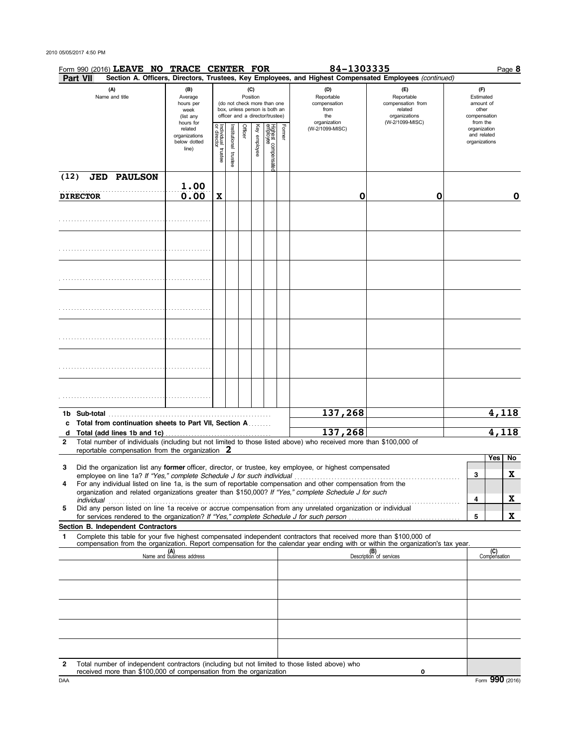## 2010 05/05/2017 4:50 PM

|        |                 | Form 990 (2016) LEAVE NO TRACE CENTER FOR                                                |                                                               |                         |                          |         |                 |                                                                                                 |        | 84-1303335                                                                                                                                                                                                                                                                                                                              |                                                                                       | Page 8                                                             |
|--------|-----------------|------------------------------------------------------------------------------------------|---------------------------------------------------------------|-------------------------|--------------------------|---------|-----------------|-------------------------------------------------------------------------------------------------|--------|-----------------------------------------------------------------------------------------------------------------------------------------------------------------------------------------------------------------------------------------------------------------------------------------------------------------------------------------|---------------------------------------------------------------------------------------|--------------------------------------------------------------------|
|        | Part VII        |                                                                                          |                                                               |                         |                          |         |                 |                                                                                                 |        | Section A. Officers, Directors, Trustees, Key Employees, and Highest Compensated Employees (continued)                                                                                                                                                                                                                                  |                                                                                       |                                                                    |
|        |                 | (A)<br>Name and title                                                                    | (B)<br>Average<br>hours per<br>week<br>(list any<br>hours for |                         |                          |         | (C)<br>Position | (do not check more than one<br>box, unless person is both an<br>officer and a director/trustee) |        | (D)<br>Reportable<br>compensation<br>from<br>the<br>organization                                                                                                                                                                                                                                                                        | (E)<br>Reportable<br>compensation from<br>related<br>organizations<br>(W-2/1099-MISC) | (F)<br>Estimated<br>amount of<br>other<br>compensation<br>from the |
|        |                 |                                                                                          | related<br>organizations<br>below dotted<br>line)             | Individual 1<br>trustee | Institutional<br>trustee | Officer | Key employee    | Highest compensate<br>employee<br>ਕ੍ਰ                                                           | Former | (W-2/1099-MISC)                                                                                                                                                                                                                                                                                                                         |                                                                                       | organization<br>and related<br>organizations                       |
| (12)   | <b>DIRECTOR</b> | <b>JED PAULSON</b>                                                                       | 1.00<br>0.00                                                  | $\mathbf X$             |                          |         |                 |                                                                                                 |        | O                                                                                                                                                                                                                                                                                                                                       | 0                                                                                     | 0                                                                  |
|        |                 |                                                                                          |                                                               |                         |                          |         |                 |                                                                                                 |        |                                                                                                                                                                                                                                                                                                                                         |                                                                                       |                                                                    |
|        |                 |                                                                                          |                                                               |                         |                          |         |                 |                                                                                                 |        |                                                                                                                                                                                                                                                                                                                                         |                                                                                       |                                                                    |
|        |                 |                                                                                          |                                                               |                         |                          |         |                 |                                                                                                 |        |                                                                                                                                                                                                                                                                                                                                         |                                                                                       |                                                                    |
|        |                 |                                                                                          |                                                               |                         |                          |         |                 |                                                                                                 |        |                                                                                                                                                                                                                                                                                                                                         |                                                                                       |                                                                    |
|        |                 |                                                                                          |                                                               |                         |                          |         |                 |                                                                                                 |        |                                                                                                                                                                                                                                                                                                                                         |                                                                                       |                                                                    |
|        |                 |                                                                                          |                                                               |                         |                          |         |                 |                                                                                                 |        |                                                                                                                                                                                                                                                                                                                                         |                                                                                       |                                                                    |
|        |                 |                                                                                          |                                                               |                         |                          |         |                 |                                                                                                 |        | 137,268                                                                                                                                                                                                                                                                                                                                 |                                                                                       | 4,118                                                              |
| c      |                 | Total from continuation sheets to Part VII, Section A                                    |                                                               |                         |                          |         |                 |                                                                                                 |        |                                                                                                                                                                                                                                                                                                                                         |                                                                                       |                                                                    |
| d      |                 | Total (add lines 1b and 1c)                                                              |                                                               |                         |                          |         |                 |                                                                                                 |        | 137,268                                                                                                                                                                                                                                                                                                                                 |                                                                                       | 4,118                                                              |
| 2      |                 | reportable compensation from the organization $2$                                        |                                                               |                         |                          |         |                 |                                                                                                 |        | Total number of individuals (including but not limited to those listed above) who received more than \$100,000 of                                                                                                                                                                                                                       |                                                                                       |                                                                    |
|        |                 |                                                                                          |                                                               |                         |                          |         |                 |                                                                                                 |        |                                                                                                                                                                                                                                                                                                                                         |                                                                                       | Yes<br>No.                                                         |
| 3<br>4 |                 |                                                                                          |                                                               |                         |                          |         |                 |                                                                                                 |        | Did the organization list any <b>former</b> officer, director, or trustee, key employee, or highest compensated<br>For any individual listed on line 1a, is the sum of reportable compensation and other compensation from the<br>organization and related organizations greater than \$150,000? If "Yes," complete Schedule J for such |                                                                                       | X<br>3                                                             |
| 5      | individual      | for services rendered to the organization? If "Yes," complete Schedule J for such person |                                                               |                         |                          |         |                 |                                                                                                 |        | Did any person listed on line 1a receive or accrue compensation from any unrelated organization or individual                                                                                                                                                                                                                           |                                                                                       | <u>x</u><br>4<br>X<br>5                                            |
| 1      |                 | Section B. Independent Contractors                                                       |                                                               |                         |                          |         |                 |                                                                                                 |        | Complete this table for your five highest compensated independent contractors that received more than \$100,000 of                                                                                                                                                                                                                      |                                                                                       |                                                                    |
|        |                 |                                                                                          | (A)<br>Name and business address                              |                         |                          |         |                 |                                                                                                 |        | compensation from the organization. Report compensation for the calendar year ending with or within the organization's tax year.                                                                                                                                                                                                        | (B)<br>Description of services                                                        | (C)<br>Compensation                                                |
|        |                 |                                                                                          |                                                               |                         |                          |         |                 |                                                                                                 |        |                                                                                                                                                                                                                                                                                                                                         |                                                                                       |                                                                    |
|        |                 |                                                                                          |                                                               |                         |                          |         |                 |                                                                                                 |        |                                                                                                                                                                                                                                                                                                                                         |                                                                                       |                                                                    |
|        |                 |                                                                                          |                                                               |                         |                          |         |                 |                                                                                                 |        |                                                                                                                                                                                                                                                                                                                                         |                                                                                       |                                                                    |
|        |                 |                                                                                          |                                                               |                         |                          |         |                 |                                                                                                 |        |                                                                                                                                                                                                                                                                                                                                         |                                                                                       |                                                                    |
| 2      |                 | received more than \$100,000 of compensation from the organization                       |                                                               |                         |                          |         |                 |                                                                                                 |        | Total number of independent contractors (including but not limited to those listed above) who                                                                                                                                                                                                                                           | O                                                                                     |                                                                    |
| DAA    |                 |                                                                                          |                                                               |                         |                          |         |                 |                                                                                                 |        |                                                                                                                                                                                                                                                                                                                                         |                                                                                       | Form 990 (2016)                                                    |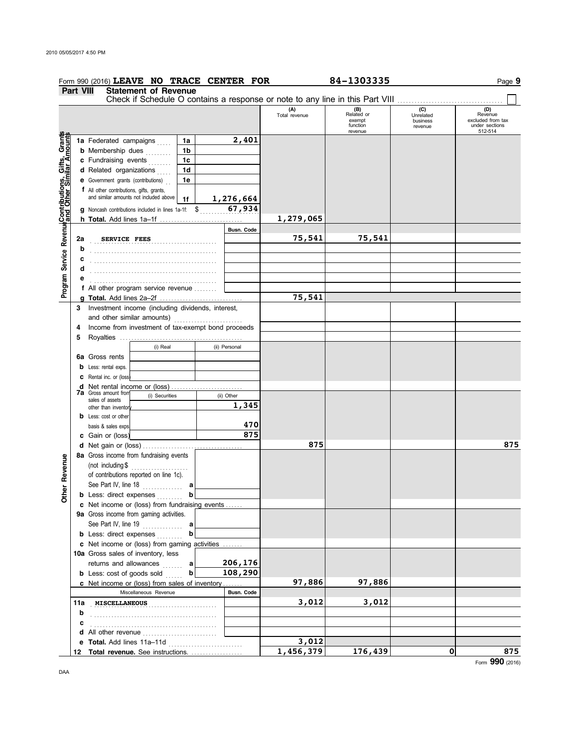|                                                                                                                                                  |                  | Form 990 (2016) LEAVE NO TRACE CENTER FOR                                                                                  |                |                |               |                      | 84-1303335                                         |                                         | Page 9                                                           |
|--------------------------------------------------------------------------------------------------------------------------------------------------|------------------|----------------------------------------------------------------------------------------------------------------------------|----------------|----------------|---------------|----------------------|----------------------------------------------------|-----------------------------------------|------------------------------------------------------------------|
|                                                                                                                                                  | <b>Part VIII</b> | <b>Statement of Revenue</b>                                                                                                |                |                |               |                      |                                                    |                                         |                                                                  |
|                                                                                                                                                  |                  |                                                                                                                            |                |                |               |                      |                                                    |                                         |                                                                  |
|                                                                                                                                                  |                  |                                                                                                                            |                |                |               | (A)<br>Total revenue | (B)<br>Related or<br>exempt<br>function<br>revenue | (C)<br>Unrelated<br>business<br>revenue | (D)<br>Revenue<br>excluded from tax<br>under sections<br>512-514 |
| Program Service Revenu <mark>e</mark> Contributions, Gifts, Grant <mark>s</mark><br>Program Service Revenue <sub>and</sub> Other Similar Amounts |                  | 1a Federated campaigns                                                                                                     |                | 1a             | 2,401         |                      |                                                    |                                         |                                                                  |
|                                                                                                                                                  |                  | <b>b</b> Membership dues                                                                                                   |                | 1b             |               |                      |                                                    |                                         |                                                                  |
|                                                                                                                                                  |                  | c Fundraising events                                                                                                       |                | 1 <sub>c</sub> |               |                      |                                                    |                                         |                                                                  |
|                                                                                                                                                  |                  | d Related organizations                                                                                                    |                | 1 <sub>d</sub> |               |                      |                                                    |                                         |                                                                  |
|                                                                                                                                                  |                  | e Government grants (contributions)                                                                                        |                | 1e             |               |                      |                                                    |                                         |                                                                  |
|                                                                                                                                                  |                  |                                                                                                                            |                |                |               |                      |                                                    |                                         |                                                                  |
|                                                                                                                                                  |                  | f All other contributions, gifts, grants,<br>and similar amounts not included above $\begin{bmatrix} 1 \\ 1 \end{bmatrix}$ |                |                |               |                      |                                                    |                                         |                                                                  |
|                                                                                                                                                  |                  |                                                                                                                            |                |                | 1,276,664     |                      |                                                    |                                         |                                                                  |
|                                                                                                                                                  |                  | <b>g</b> Noncash contributions included in lines 1a-1f: $\frac{1}{2}$ , $\frac{67}{1934}$                                  |                |                |               |                      |                                                    |                                         |                                                                  |
|                                                                                                                                                  |                  |                                                                                                                            |                |                |               | 1,279,065            |                                                    |                                         |                                                                  |
|                                                                                                                                                  |                  |                                                                                                                            |                |                | Busn. Code    |                      |                                                    |                                         |                                                                  |
|                                                                                                                                                  | 2a               | <b>SERVICE FEES</b>                                                                                                        |                |                |               | 75,541               | 75,541                                             |                                         |                                                                  |
|                                                                                                                                                  | b                |                                                                                                                            |                |                |               |                      |                                                    |                                         |                                                                  |
|                                                                                                                                                  | c                |                                                                                                                            |                |                |               |                      |                                                    |                                         |                                                                  |
|                                                                                                                                                  | d                |                                                                                                                            |                |                |               |                      |                                                    |                                         |                                                                  |
|                                                                                                                                                  | е                |                                                                                                                            |                |                |               |                      |                                                    |                                         |                                                                  |
|                                                                                                                                                  |                  | f All other program service revenue                                                                                        |                |                |               |                      |                                                    |                                         |                                                                  |
|                                                                                                                                                  |                  |                                                                                                                            |                |                |               | 75,541               |                                                    |                                         |                                                                  |
|                                                                                                                                                  | 3                | Investment income (including dividends, interest,                                                                          |                |                |               |                      |                                                    |                                         |                                                                  |
|                                                                                                                                                  |                  | and other similar amounts)                                                                                                 |                |                |               |                      |                                                    |                                         |                                                                  |
|                                                                                                                                                  | 4                | Income from investment of tax-exempt bond proceeds                                                                         |                |                |               |                      |                                                    |                                         |                                                                  |
|                                                                                                                                                  | 5                |                                                                                                                            |                |                |               |                      |                                                    |                                         |                                                                  |
|                                                                                                                                                  |                  |                                                                                                                            | (i) Real       |                | (ii) Personal |                      |                                                    |                                         |                                                                  |
|                                                                                                                                                  |                  | 6a Gross rents                                                                                                             |                |                |               |                      |                                                    |                                         |                                                                  |
|                                                                                                                                                  |                  | <b>b</b> Less: rental exps.                                                                                                |                |                |               |                      |                                                    |                                         |                                                                  |
|                                                                                                                                                  |                  | <b>C</b> Rental inc. or (loss)                                                                                             |                |                |               |                      |                                                    |                                         |                                                                  |
|                                                                                                                                                  |                  | d Net rental income or (loss)                                                                                              |                |                |               |                      |                                                    |                                         |                                                                  |
|                                                                                                                                                  |                  | <b>7a</b> Gross amount from<br>sales of assets                                                                             | (i) Securities |                | (ii) Other    |                      |                                                    |                                         |                                                                  |
|                                                                                                                                                  |                  | other than inventory                                                                                                       |                |                | 1,345         |                      |                                                    |                                         |                                                                  |
|                                                                                                                                                  |                  | <b>b</b> Less: cost or other                                                                                               |                |                |               |                      |                                                    |                                         |                                                                  |
|                                                                                                                                                  |                  | basis & sales exps.                                                                                                        |                |                | 470           |                      |                                                    |                                         |                                                                  |
|                                                                                                                                                  |                  | c Gain or (loss)                                                                                                           |                |                | 875           |                      |                                                    |                                         |                                                                  |
|                                                                                                                                                  |                  |                                                                                                                            |                |                |               | 875                  |                                                    |                                         | 875                                                              |
|                                                                                                                                                  |                  | 8a Gross income from fundraising events                                                                                    |                |                |               |                      |                                                    |                                         |                                                                  |
| Revenue                                                                                                                                          |                  | (not including $$$                                                                                                         | .              |                |               |                      |                                                    |                                         |                                                                  |
|                                                                                                                                                  |                  | of contributions reported on line 1c).                                                                                     |                |                |               |                      |                                                    |                                         |                                                                  |
|                                                                                                                                                  |                  | See Part IV, line 18                                                                                                       |                | а              |               |                      |                                                    |                                         |                                                                  |
| <b>Ther</b>                                                                                                                                      |                  | <b>b</b> Less: direct expenses                                                                                             |                | b              |               |                      |                                                    |                                         |                                                                  |
|                                                                                                                                                  |                  | c Net income or (loss) from fundraising events                                                                             |                |                |               |                      |                                                    |                                         |                                                                  |
|                                                                                                                                                  |                  | 9a Gross income from gaming activities.                                                                                    |                |                |               |                      |                                                    |                                         |                                                                  |
|                                                                                                                                                  |                  | See Part IV, line 19                                                                                                       |                | a              |               |                      |                                                    |                                         |                                                                  |
|                                                                                                                                                  |                  | <b>b</b> Less: direct expenses                                                                                             |                | b              |               |                      |                                                    |                                         |                                                                  |
|                                                                                                                                                  |                  | c Net income or (loss) from gaming activities                                                                              |                |                |               |                      |                                                    |                                         |                                                                  |
|                                                                                                                                                  |                  | 10a Gross sales of inventory, less                                                                                         |                |                |               |                      |                                                    |                                         |                                                                  |
|                                                                                                                                                  |                  | returns and allowances                                                                                                     |                | а              | 206,176       |                      |                                                    |                                         |                                                                  |
|                                                                                                                                                  |                  | <b>b</b> Less: cost of goods sold                                                                                          |                | b              | 108,290       |                      |                                                    |                                         |                                                                  |
|                                                                                                                                                  |                  | c Net income or (loss) from sales of inventory                                                                             |                |                |               | 97,886               | 97,886                                             |                                         |                                                                  |
|                                                                                                                                                  |                  | Miscellaneous Revenue                                                                                                      |                |                | Busn. Code    |                      |                                                    |                                         |                                                                  |
|                                                                                                                                                  | 11a              | MISCELLANEOUS                                                                                                              |                |                |               | 3,012                | 3,012                                              |                                         |                                                                  |
|                                                                                                                                                  | b                |                                                                                                                            |                |                |               |                      |                                                    |                                         |                                                                  |
|                                                                                                                                                  | c                |                                                                                                                            |                |                |               |                      |                                                    |                                         |                                                                  |
|                                                                                                                                                  |                  | d All other revenue                                                                                                        |                |                |               |                      |                                                    |                                         |                                                                  |
|                                                                                                                                                  |                  | e Total. Add lines 11a-11d                                                                                                 |                |                |               | 3,012                |                                                    |                                         |                                                                  |
|                                                                                                                                                  |                  | 12 Total revenue. See instructions.                                                                                        |                |                |               | 1,456,379            | 176,439                                            | 0                                       | 875                                                              |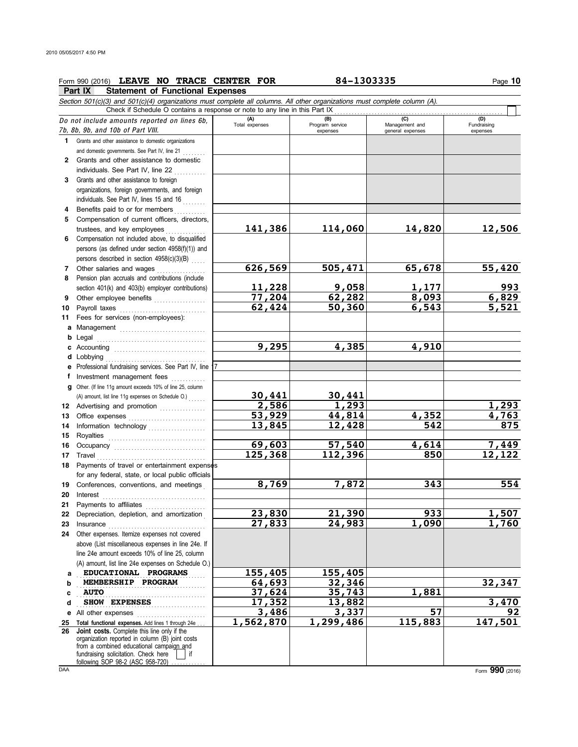|          | Form 990 (2016) LEAVE NO TRACE CENTER FOR                                                                                  |                         | 84-1303335                         |                                           | Page 10                        |
|----------|----------------------------------------------------------------------------------------------------------------------------|-------------------------|------------------------------------|-------------------------------------------|--------------------------------|
|          | Part IX<br><b>Statement of Functional Expenses</b>                                                                         |                         |                                    |                                           |                                |
|          | Section 501(c)(3) and 501(c)(4) organizations must complete all columns. All other organizations must complete column (A). |                         |                                    |                                           |                                |
|          | Check if Schedule O contains a response or note to any line in this Part IX                                                |                         |                                    |                                           |                                |
|          | Do not include amounts reported on lines 6b,<br>7b, 8b, 9b, and 10b of Part VIII.                                          | $(A)$<br>Total expenses | (B)<br>Program service<br>expenses | (C)<br>Management and<br>general expenses | (D)<br>Fundraising<br>expenses |
| 1        | Grants and other assistance to domestic organizations                                                                      |                         |                                    |                                           |                                |
|          | and domestic governments. See Part IV, line 21                                                                             |                         |                                    |                                           |                                |
|          | 2 Grants and other assistance to domestic                                                                                  |                         |                                    |                                           |                                |
|          | individuals. See Part IV, line 22                                                                                          |                         |                                    |                                           |                                |
| 3        | Grants and other assistance to foreign                                                                                     |                         |                                    |                                           |                                |
|          | organizations, foreign governments, and foreign                                                                            |                         |                                    |                                           |                                |
|          | individuals. See Part IV, lines 15 and 16                                                                                  |                         |                                    |                                           |                                |
| 4        | Benefits paid to or for members                                                                                            |                         |                                    |                                           |                                |
| 5        | Compensation of current officers, directors,                                                                               |                         |                                    |                                           |                                |
|          | trustees, and key employees                                                                                                | 141,386                 | 114,060                            | 14,820                                    | 12,506                         |
| 6        | Compensation not included above, to disqualified                                                                           |                         |                                    |                                           |                                |
|          | persons (as defined under section 4958(f)(1)) and                                                                          |                         |                                    |                                           |                                |
|          | persons described in section 4958(c)(3)(B)                                                                                 | 626,569                 | 505,471                            | 65,678                                    | 55,420                         |
| 7        | Other salaries and wages<br>Pension plan accruals and contributions (include                                               |                         |                                    |                                           |                                |
| 8        | section 401(k) and 403(b) employer contributions)                                                                          | 11,228                  | 9,058                              | 1,177                                     | 993                            |
| 9        | Other employee benefits                                                                                                    | 77,204                  | 62,282                             | 8,093                                     | 6,829                          |
| 10       |                                                                                                                            | 62,424                  | 50,360                             | 6, 543                                    | 5,521                          |
| 11       | Fees for services (non-employees):                                                                                         |                         |                                    |                                           |                                |
| а        |                                                                                                                            |                         |                                    |                                           |                                |
| b        | Legal                                                                                                                      |                         |                                    |                                           |                                |
| c        |                                                                                                                            | 9,295                   | 4,385                              | 4,910                                     |                                |
|          |                                                                                                                            |                         |                                    |                                           |                                |
| е        | Professional fundraising services. See Part IV, line 1                                                                     |                         |                                    |                                           |                                |
| f        | Investment management fees                                                                                                 |                         |                                    |                                           |                                |
| g        | Other. (If line 11g amount exceeds 10% of line 25, column                                                                  |                         |                                    |                                           |                                |
|          | (A) amount, list line 11g expenses on Schedule O.)                                                                         | 30,441                  | 30,441                             |                                           |                                |
| 12       | Advertising and promotion                                                                                                  | 2,586                   | 1,293                              |                                           | 1,293                          |
| 13       |                                                                                                                            | 53,929                  | 44,814                             | 4,352                                     | 4,763                          |
| 14       | Information technology                                                                                                     | 13,845                  | 12,428                             | 542                                       | 875                            |
| 15       |                                                                                                                            |                         |                                    |                                           |                                |
| 16       | Occupancy                                                                                                                  | 69,603                  | 57,540                             | 4,614                                     | 7,449                          |
| 17       | Travel                                                                                                                     | 125,368                 | 112,396                            | 850                                       | 12,122                         |
| 18       | Payments of travel or entertainment expenses                                                                               |                         |                                    |                                           |                                |
|          | for any federal, state, or local public officials                                                                          | 8,769                   | 7,872                              | 343                                       | 554                            |
| 19       | Conferences, conventions, and meetings                                                                                     |                         |                                    |                                           |                                |
| 20<br>21 | Interest<br>Payments to affiliates                                                                                         |                         |                                    |                                           |                                |
| 22       | Depreciation, depletion, and amortization                                                                                  | 23,830                  | 21,390                             | 933                                       | 1,507                          |
| 23       | Insurance                                                                                                                  | 27,833                  | 24,983                             | 1,090                                     | 1,760                          |
| 24       | Other expenses. Itemize expenses not covered                                                                               |                         |                                    |                                           |                                |
|          | above (List miscellaneous expenses in line 24e. If                                                                         |                         |                                    |                                           |                                |
|          | line 24e amount exceeds 10% of line 25, column                                                                             |                         |                                    |                                           |                                |
|          | (A) amount, list line 24e expenses on Schedule O.)                                                                         |                         |                                    |                                           |                                |
| a        | EDUCATIONAL PROGRAMS                                                                                                       | 155,405                 | 155,405                            |                                           |                                |
| b        | MEMBERSHIP PROGRAM                                                                                                         | 64,693                  | 32,346                             |                                           | 32,347                         |
| c        | <b>AUTO</b>                                                                                                                | 37,624                  | 35,743                             | 1,881                                     |                                |
| d        | <b>SHOW EXPENSES</b>                                                                                                       | 17,352                  | 13,882                             |                                           | 3,470                          |
| е        | All other expenses                                                                                                         | 3,486                   | 3,337                              | 57                                        | 92                             |
| 25       | Total functional expenses. Add lines 1 through 24e                                                                         | 1,562,870               | 1,299,486                          | 115,883                                   | 147,501                        |
| 26       | Joint costs. Complete this line only if the<br>organization reported in column (B) joint costs                             |                         |                                    |                                           |                                |
|          | from a combined educational campaign and                                                                                   |                         |                                    |                                           |                                |
|          | fundraising solicitation. Check here<br>if.                                                                                |                         |                                    |                                           |                                |
|          | following SOP 98-2 (ASC 958-720)                                                                                           |                         |                                    |                                           |                                |

DAA Form **990** (2016)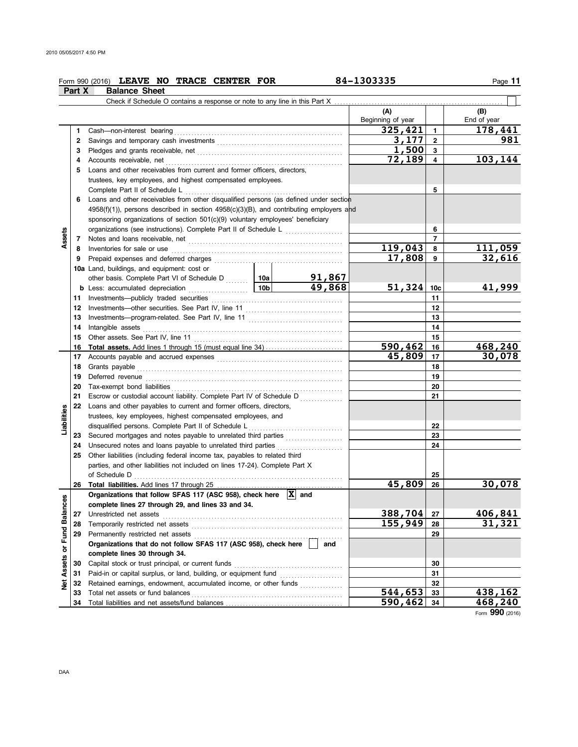|               |        | Form 990 (2016) LEAVE NO TRACE CENTER FOR                                                                                                                                                                                           |         |                | 84-1303335               |                 | Page 11            |
|---------------|--------|-------------------------------------------------------------------------------------------------------------------------------------------------------------------------------------------------------------------------------------|---------|----------------|--------------------------|-----------------|--------------------|
|               | Part X | <b>Balance Sheet</b>                                                                                                                                                                                                                |         |                |                          |                 |                    |
|               |        | Check if Schedule O contains a response or note to any line in this Part X                                                                                                                                                          |         |                |                          |                 |                    |
|               |        |                                                                                                                                                                                                                                     |         |                | (A)<br>Beginning of year |                 | (B)<br>End of year |
|               | 1      |                                                                                                                                                                                                                                     |         |                | 325,421                  | $\mathbf{1}$    | 178,441            |
|               | 2      |                                                                                                                                                                                                                                     |         |                | 3,177                    | $\overline{2}$  | 981                |
|               | 3      |                                                                                                                                                                                                                                     |         |                | 1,500                    | $\mathbf{3}$    |                    |
|               | 4      |                                                                                                                                                                                                                                     |         |                | 72,189                   | $\overline{4}$  | 103,144            |
|               | 5      | Loans and other receivables from current and former officers, directors,                                                                                                                                                            |         |                |                          |                 |                    |
|               |        | trustees, key employees, and highest compensated employees.                                                                                                                                                                         |         |                |                          |                 |                    |
|               |        | Complete Part II of Schedule L                                                                                                                                                                                                      |         |                |                          | 5               |                    |
|               | 6      | Loans and other receivables from other disqualified persons (as defined under section                                                                                                                                               |         |                |                          |                 |                    |
|               |        | $4958(f)(1)$ ), persons described in section $4958(c)(3)(B)$ , and contributing employers and                                                                                                                                       |         |                |                          |                 |                    |
|               |        | sponsoring organizations of section 501(c)(9) voluntary employees' beneficiary                                                                                                                                                      |         |                |                          |                 |                    |
|               |        | organizations (see instructions). Complete Part II of Schedule L [111] [11]                                                                                                                                                         |         | 6              |                          |                 |                    |
| Assets        |        |                                                                                                                                                                                                                                     |         | $\overline{7}$ |                          |                 |                    |
|               | 8      | Inventories for sale or use <i>communically contained as a member of selection</i> and the selection of the selection                                                                                                               | 119,043 | 8              | 111,059                  |                 |                    |
|               | 9      |                                                                                                                                                                                                                                     |         |                | 17,808                   | 9               | 32,616             |
|               |        | 10a Land, buildings, and equipment: cost or                                                                                                                                                                                         |         |                |                          |                 |                    |
|               |        | other basis. Complete Part VI of Schedule D  10a   91,867                                                                                                                                                                           |         |                |                          |                 |                    |
|               |        |                                                                                                                                                                                                                                     |         |                | 51,324                   | 10 <sub>c</sub> | 41,999             |
|               | 11     |                                                                                                                                                                                                                                     |         | 11             |                          |                 |                    |
|               | 12     |                                                                                                                                                                                                                                     |         |                | 12                       |                 |                    |
|               | 13     |                                                                                                                                                                                                                                     |         |                | 13                       |                 |                    |
|               | 14     | Intangible assets                                                                                                                                                                                                                   |         |                | 14                       |                 |                    |
|               | 15     | Other assets. See Part IV, line 11                                                                                                                                                                                                  |         |                |                          | 15              |                    |
|               | 16     |                                                                                                                                                                                                                                     |         |                | 590,462                  | 16              | 468,240            |
|               | 17     |                                                                                                                                                                                                                                     | 45,809  | 17             | 30,078                   |                 |                    |
|               | 18     | Grants payable                                                                                                                                                                                                                      |         | 18             |                          |                 |                    |
|               | 19     | Deferred revenue <b>construction and construction of the construction</b> of the construction of the construction of the construction of the construction of the construction of the construction of the construction of the constr |         |                |                          | 19              |                    |
|               | 20     |                                                                                                                                                                                                                                     |         |                |                          | 20              |                    |
|               | 21     | Escrow or custodial account liability. Complete Part IV of Schedule D                                                                                                                                                               |         |                |                          | 21              |                    |
| Liabilities   | 22     | Loans and other payables to current and former officers, directors,                                                                                                                                                                 |         |                |                          |                 |                    |
|               |        | trustees, key employees, highest compensated employees, and                                                                                                                                                                         |         |                |                          | 22              |                    |
|               |        |                                                                                                                                                                                                                                     |         |                |                          | 23              |                    |
|               | 24     | Unsecured notes and loans payable to unrelated third parties                                                                                                                                                                        |         |                |                          | 24              |                    |
|               | 25     | Other liabilities (including federal income tax, payables to related third                                                                                                                                                          |         |                |                          |                 |                    |
|               |        | parties, and other liabilities not included on lines 17-24). Complete Part X                                                                                                                                                        |         |                |                          |                 |                    |
|               |        |                                                                                                                                                                                                                                     |         |                |                          | 25              |                    |
|               | 26     |                                                                                                                                                                                                                                     |         |                | 45,809                   | 26              | 30,078             |
| 3             |        | Organizations that follow SFAS 117 (ASC 958), check here $\overline{X}$ and                                                                                                                                                         |         |                |                          |                 |                    |
|               |        | complete lines 27 through 29, and lines 33 and 34.                                                                                                                                                                                  |         |                |                          |                 |                    |
|               | 27     | Unrestricted net assets                                                                                                                                                                                                             |         |                | 388,704                  | 27              | 406,841            |
|               | 28     | Temporarily restricted net assets                                                                                                                                                                                                   |         |                | 155,949                  | 28              | 31,321             |
| Fund Balance  | 29     | Permanently restricted net assets                                                                                                                                                                                                   |         |                |                          | 29              |                    |
|               |        | Organizations that do not follow SFAS 117 (ASC 958), check here                                                                                                                                                                     |         | and            |                          |                 |                    |
| Net Assets or |        | complete lines 30 through 34.                                                                                                                                                                                                       |         |                |                          |                 |                    |
|               | 30     | Capital stock or trust principal, or current funds                                                                                                                                                                                  |         |                |                          | 30              |                    |
|               | 31     |                                                                                                                                                                                                                                     |         |                |                          | 31              |                    |
|               | 32     | Retained earnings, endowment, accumulated income, or other funds                                                                                                                                                                    |         |                |                          | 32              |                    |
|               | 33     | Total net assets or fund balances                                                                                                                                                                                                   |         |                | 544,653                  | 33              | 438,162            |
|               | 34     |                                                                                                                                                                                                                                     |         |                | 590,462                  | 34              | 468,240            |

Form **990** (2016)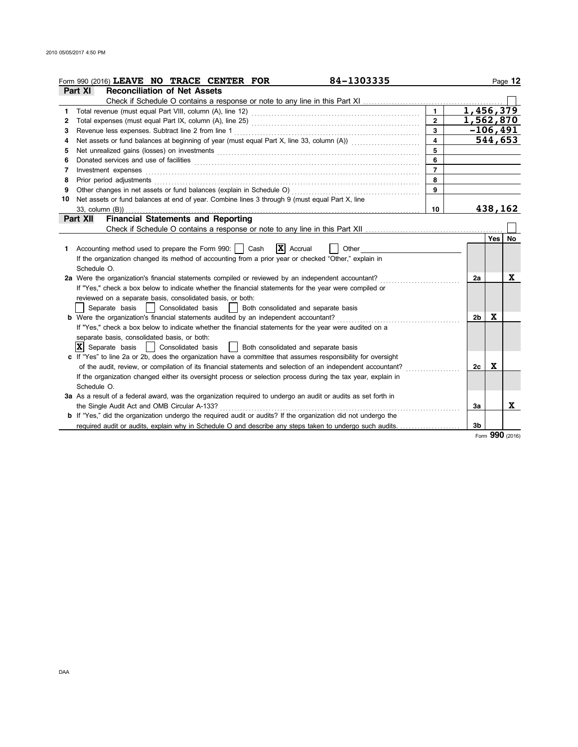|    | 84-1303335<br>Form 990 (2016) LEAVE NO TRACE CENTER FOR                                                                                                                                                                       |                |                        |              | Page 12 |
|----|-------------------------------------------------------------------------------------------------------------------------------------------------------------------------------------------------------------------------------|----------------|------------------------|--------------|---------|
|    | <b>Reconciliation of Net Assets</b><br>Part XI                                                                                                                                                                                |                |                        |              |         |
|    | Check if Schedule O contains a response or note to any line in this Part XI [11] Check if Schedule O contains a response or note to any line in this Part XI                                                                  |                |                        |              |         |
| 1. |                                                                                                                                                                                                                               | $\mathbf{1}$   | $\overline{1,456,379}$ |              |         |
| 2  |                                                                                                                                                                                                                               | $\overline{2}$ | 1,562,870              |              |         |
| 3  | Revenue less expenses. Subtract line 2 from line 1                                                                                                                                                                            | 3              |                        | $-106, 491$  |         |
| 4  | Net assets or fund balances at beginning of year (must equal Part X, line 33, column (A))                                                                                                                                     | 4              |                        | 544,653      |         |
| 5  | Net unrealized gains (losses) on investments [11] match match and match and match and match and match and match and match and match and match and match and match and match and match and match and match and match and match | 5              |                        |              |         |
| 6  | Donated services and use of facilities                                                                                                                                                                                        | 6              |                        |              |         |
| 7  | Investment expenses                                                                                                                                                                                                           | $\overline{7}$ |                        |              |         |
| 8  | Prior period adjustments                                                                                                                                                                                                      | 8              |                        |              |         |
| 9  | Other changes in net assets or fund balances (explain in Schedule O)                                                                                                                                                          | 9              |                        |              |         |
| 10 | Net assets or fund balances at end of year. Combine lines 3 through 9 (must equal Part X, line                                                                                                                                |                |                        |              |         |
|    | 33, column (B))                                                                                                                                                                                                               | 10             |                        | 438,162      |         |
|    | <b>Financial Statements and Reporting</b><br>Part XII                                                                                                                                                                         |                |                        |              |         |
|    |                                                                                                                                                                                                                               |                |                        |              |         |
|    |                                                                                                                                                                                                                               |                |                        | <b>Yes</b>   | No      |
|    | $ \mathbf{x} $<br>1 Accounting method used to prepare the Form 990:    <br>Cash<br>Accrual<br>Other                                                                                                                           |                |                        |              |         |
|    | If the organization changed its method of accounting from a prior year or checked "Other," explain in                                                                                                                         |                |                        |              |         |
|    | Schedule O.                                                                                                                                                                                                                   |                |                        |              |         |
|    | 2a Were the organization's financial statements compiled or reviewed by an independent accountant?                                                                                                                            |                | 2a                     |              | X       |
|    | If "Yes," check a box below to indicate whether the financial statements for the year were compiled or                                                                                                                        |                |                        |              |         |
|    | reviewed on a separate basis, consolidated basis, or both:                                                                                                                                                                    |                |                        |              |         |
|    | Separate basis<br>Consolidated basis<br>Both consolidated and separate basis                                                                                                                                                  |                |                        |              |         |
|    | <b>b</b> Were the organization's financial statements audited by an independent accountant?                                                                                                                                   |                | 2b                     | X            |         |
|    | If "Yes," check a box below to indicate whether the financial statements for the year were audited on a                                                                                                                       |                |                        |              |         |
|    | separate basis, consolidated basis, or both:                                                                                                                                                                                  |                |                        |              |         |
|    | $ \mathbf{X} $ Separate basis<br>Both consolidated and separate basis<br>Consolidated basis                                                                                                                                   |                |                        |              |         |
|    | c If "Yes" to line 2a or 2b, does the organization have a committee that assumes responsibility for oversight                                                                                                                 |                |                        |              |         |
|    | of the audit, review, or compilation of its financial statements and selection of an independent accountant?                                                                                                                  |                | 2c                     | X            |         |
|    | If the organization changed either its oversight process or selection process during the tax year, explain in                                                                                                                 |                |                        |              |         |
|    | Schedule O.                                                                                                                                                                                                                   |                |                        |              |         |
|    | 3a As a result of a federal award, was the organization required to undergo an audit or audits as set forth in                                                                                                                |                |                        |              |         |
|    | the Single Audit Act and OMB Circular A-133?                                                                                                                                                                                  |                | За                     |              | x       |
|    | <b>b</b> If "Yes," did the organization undergo the required audit or audits? If the organization did not undergo the                                                                                                         |                |                        |              |         |
|    | required audit or audits, explain why in Schedule O and describe any steps taken to undergo such audits.                                                                                                                      |                | 3b                     | $\mathbf{a}$ |         |

Form **990** (2016)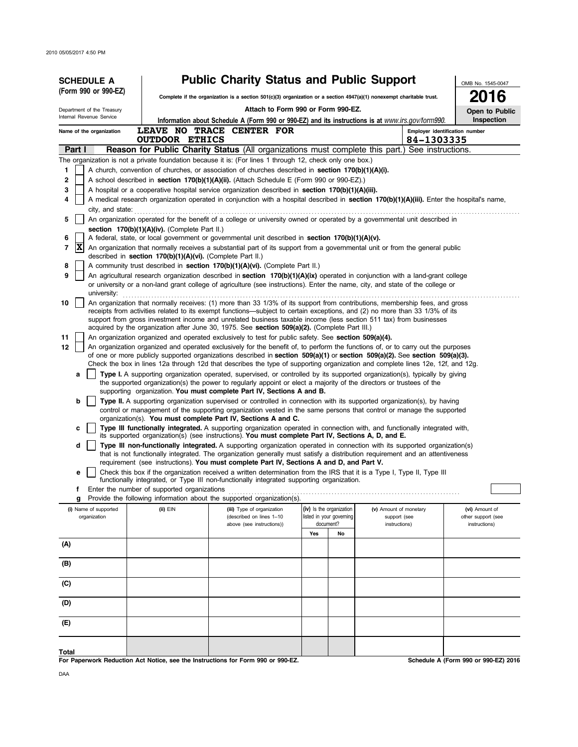| <b>SCHEDULE A</b>                                                                                                                                                                                          |                                                                                                                                                                                                    | <b>Public Charity Status and Public Support</b>                                                                                                                                                                                                                                                                                                                                                                                                                                                                                                                                                                                                                                                                                                                                                                                                                                                                                                                                                                                                                                                                                                                                                                                                                                                                                                                                                                                                                                                                                                                  |                                                                                |                                                                                                                                                                                                                                                                                                                                                                                                                                                                                                                                                                                                                                                                                                                                                                                                                                                                                                                                                                                                                                                                                                                                                                                                                                                                                                                                                                                                                                                                                                                                                                                                                                                                                                                                                                                                                                                                                                                                                                                                                                                                                                                                                                                                                                                                                                                                                                                                                                                                                        | OMB No. 1545-0047                                     |
|------------------------------------------------------------------------------------------------------------------------------------------------------------------------------------------------------------|----------------------------------------------------------------------------------------------------------------------------------------------------------------------------------------------------|------------------------------------------------------------------------------------------------------------------------------------------------------------------------------------------------------------------------------------------------------------------------------------------------------------------------------------------------------------------------------------------------------------------------------------------------------------------------------------------------------------------------------------------------------------------------------------------------------------------------------------------------------------------------------------------------------------------------------------------------------------------------------------------------------------------------------------------------------------------------------------------------------------------------------------------------------------------------------------------------------------------------------------------------------------------------------------------------------------------------------------------------------------------------------------------------------------------------------------------------------------------------------------------------------------------------------------------------------------------------------------------------------------------------------------------------------------------------------------------------------------------------------------------------------------------|--------------------------------------------------------------------------------|----------------------------------------------------------------------------------------------------------------------------------------------------------------------------------------------------------------------------------------------------------------------------------------------------------------------------------------------------------------------------------------------------------------------------------------------------------------------------------------------------------------------------------------------------------------------------------------------------------------------------------------------------------------------------------------------------------------------------------------------------------------------------------------------------------------------------------------------------------------------------------------------------------------------------------------------------------------------------------------------------------------------------------------------------------------------------------------------------------------------------------------------------------------------------------------------------------------------------------------------------------------------------------------------------------------------------------------------------------------------------------------------------------------------------------------------------------------------------------------------------------------------------------------------------------------------------------------------------------------------------------------------------------------------------------------------------------------------------------------------------------------------------------------------------------------------------------------------------------------------------------------------------------------------------------------------------------------------------------------------------------------------------------------------------------------------------------------------------------------------------------------------------------------------------------------------------------------------------------------------------------------------------------------------------------------------------------------------------------------------------------------------------------------------------------------------------------------------------------------|-------------------------------------------------------|
| (Form 990 or 990-EZ)                                                                                                                                                                                       |                                                                                                                                                                                                    | Complete if the organization is a section $501(c)(3)$ organization or a section $4947(a)(1)$ nonexempt charitable trust.                                                                                                                                                                                                                                                                                                                                                                                                                                                                                                                                                                                                                                                                                                                                                                                                                                                                                                                                                                                                                                                                                                                                                                                                                                                                                                                                                                                                                                         |                                                                                |                                                                                                                                                                                                                                                                                                                                                                                                                                                                                                                                                                                                                                                                                                                                                                                                                                                                                                                                                                                                                                                                                                                                                                                                                                                                                                                                                                                                                                                                                                                                                                                                                                                                                                                                                                                                                                                                                                                                                                                                                                                                                                                                                                                                                                                                                                                                                                                                                                                                                        | 6                                                     |
| Department of the Treasury                                                                                                                                                                                 |                                                                                                                                                                                                    | Attach to Form 990 or Form 990-EZ.                                                                                                                                                                                                                                                                                                                                                                                                                                                                                                                                                                                                                                                                                                                                                                                                                                                                                                                                                                                                                                                                                                                                                                                                                                                                                                                                                                                                                                                                                                                               |                                                                                |                                                                                                                                                                                                                                                                                                                                                                                                                                                                                                                                                                                                                                                                                                                                                                                                                                                                                                                                                                                                                                                                                                                                                                                                                                                                                                                                                                                                                                                                                                                                                                                                                                                                                                                                                                                                                                                                                                                                                                                                                                                                                                                                                                                                                                                                                                                                                                                                                                                                                        | Open to Public                                        |
| Internal Revenue Service                                                                                                                                                                                   |                                                                                                                                                                                                    |                                                                                                                                                                                                                                                                                                                                                                                                                                                                                                                                                                                                                                                                                                                                                                                                                                                                                                                                                                                                                                                                                                                                                                                                                                                                                                                                                                                                                                                                                                                                                                  |                                                                                | Information about Schedule A (Form 990 or 990-EZ) and its instructions is at www.irs.gov/form990.                                                                                                                                                                                                                                                                                                                                                                                                                                                                                                                                                                                                                                                                                                                                                                                                                                                                                                                                                                                                                                                                                                                                                                                                                                                                                                                                                                                                                                                                                                                                                                                                                                                                                                                                                                                                                                                                                                                                                                                                                                                                                                                                                                                                                                                                                                                                                                                      | Inspection                                            |
| LEAVE NO TRACE CENTER FOR<br>Name of the organization                                                                                                                                                      |                                                                                                                                                                                                    |                                                                                                                                                                                                                                                                                                                                                                                                                                                                                                                                                                                                                                                                                                                                                                                                                                                                                                                                                                                                                                                                                                                                                                                                                                                                                                                                                                                                                                                                                                                                                                  |                                                                                |                                                                                                                                                                                                                                                                                                                                                                                                                                                                                                                                                                                                                                                                                                                                                                                                                                                                                                                                                                                                                                                                                                                                                                                                                                                                                                                                                                                                                                                                                                                                                                                                                                                                                                                                                                                                                                                                                                                                                                                                                                                                                                                                                                                                                                                                                                                                                                                                                                                                                        |                                                       |
| Part I                                                                                                                                                                                                     |                                                                                                                                                                                                    |                                                                                                                                                                                                                                                                                                                                                                                                                                                                                                                                                                                                                                                                                                                                                                                                                                                                                                                                                                                                                                                                                                                                                                                                                                                                                                                                                                                                                                                                                                                                                                  |                                                                                | <b>Reason for Public Charity Status</b> (All organizations must complete this part.) See instructions.                                                                                                                                                                                                                                                                                                                                                                                                                                                                                                                                                                                                                                                                                                                                                                                                                                                                                                                                                                                                                                                                                                                                                                                                                                                                                                                                                                                                                                                                                                                                                                                                                                                                                                                                                                                                                                                                                                                                                                                                                                                                                                                                                                                                                                                                                                                                                                                 |                                                       |
| 1<br>2<br>3<br>4<br>city, and state:<br>5<br>6<br>X<br>$\overline{7}$<br>8<br>9<br>university:<br>10<br>11<br>12<br>a<br>b<br>c<br>d<br>е<br>f<br>g<br>(i) Name of supported<br>organization<br>(A)<br>(B) | <b>OUTDOOR ETHICS</b><br>section $170(b)(1)(A)(iv)$ . (Complete Part II.)<br>described in section 170(b)(1)(A)(vi). (Complete Part II.)<br>Enter the number of supported organizations<br>(ii) EIN | The organization is not a private foundation because it is: (For lines 1 through 12, check only one box.)<br>A church, convention of churches, or association of churches described in section 170(b)(1)(A)(i).<br>A school described in <b>section 170(b)(1)(A)(ii).</b> (Attach Schedule E (Form 990 or 990-EZ).)<br>A hospital or a cooperative hospital service organization described in section $170(b)(1)(A)(iii)$ .<br>A federal, state, or local government or governmental unit described in section $170(b)(1)(A)(v)$ .<br>A community trust described in section $170(b)(1)(A)(vi)$ . (Complete Part II.)<br>acquired by the organization after June 30, 1975. See section 509(a)(2). (Complete Part III.)<br>An organization organized and operated exclusively to test for public safety. See section 509(a)(4).<br>the supported organization(s) the power to regularly appoint or elect a majority of the directors or trustees of the<br>supporting organization. You must complete Part IV, Sections A and B.<br>organization(s). You must complete Part IV, Sections A and C.<br>its supported organization(s) (see instructions). You must complete Part IV, Sections A, D, and E.<br>requirement (see instructions). You must complete Part IV, Sections A and D, and Part V.<br>functionally integrated, or Type III non-functionally integrated supporting organization.<br>Provide the following information about the supported organization(s).<br>(iii) Type of organization<br>(described on lines 1-10<br>above (see instructions)) | (iv) Is the organization<br>listed in your governing<br>document?<br>Yes<br>No | Employer identification number<br>84-1303335<br>A medical research organization operated in conjunction with a hospital described in section 170(b)(1)(A)(iii). Enter the hospital's name,<br>An organization operated for the benefit of a college or university owned or operated by a governmental unit described in<br>An organization that normally receives a substantial part of its support from a governmental unit or from the general public<br>An agricultural research organization described in section 170(b)(1)(A)(ix) operated in conjunction with a land-grant college<br>or university or a non-land grant college of agriculture (see instructions). Enter the name, city, and state of the college or<br>An organization that normally receives: (1) more than 33 1/3% of its support from contributions, membership fees, and gross<br>receipts from activities related to its exempt functions—subject to certain exceptions, and (2) no more than 33 1/3% of its<br>support from gross investment income and unrelated business taxable income (less section 511 tax) from businesses<br>An organization organized and operated exclusively for the benefit of, to perform the functions of, or to carry out the purposes<br>of one or more publicly supported organizations described in section 509(a)(1) or section 509(a)(2). See section 509(a)(3).<br>Check the box in lines 12a through 12d that describes the type of supporting organization and complete lines 12e, 12f, and 12g.<br>Type I. A supporting organization operated, supervised, or controlled by its supported organization(s), typically by giving<br>Type II. A supporting organization supervised or controlled in connection with its supported organization(s), by having<br>control or management of the supporting organization vested in the same persons that control or manage the supported<br>Type III functionally integrated. A supporting organization operated in connection with, and functionally integrated with,<br>Type III non-functionally integrated. A supporting organization operated in connection with its supported organization(s)<br>that is not functionally integrated. The organization generally must satisfy a distribution reguirement and an attentiveness<br>Check this box if the organization received a written determination from the IRS that it is a Type I, Type II, Type III<br>(v) Amount of monetary<br>support (see<br>instructions) | (vi) Amount of<br>other support (see<br>instructions) |
|                                                                                                                                                                                                            |                                                                                                                                                                                                    |                                                                                                                                                                                                                                                                                                                                                                                                                                                                                                                                                                                                                                                                                                                                                                                                                                                                                                                                                                                                                                                                                                                                                                                                                                                                                                                                                                                                                                                                                                                                                                  |                                                                                |                                                                                                                                                                                                                                                                                                                                                                                                                                                                                                                                                                                                                                                                                                                                                                                                                                                                                                                                                                                                                                                                                                                                                                                                                                                                                                                                                                                                                                                                                                                                                                                                                                                                                                                                                                                                                                                                                                                                                                                                                                                                                                                                                                                                                                                                                                                                                                                                                                                                                        |                                                       |
| (C)                                                                                                                                                                                                        |                                                                                                                                                                                                    |                                                                                                                                                                                                                                                                                                                                                                                                                                                                                                                                                                                                                                                                                                                                                                                                                                                                                                                                                                                                                                                                                                                                                                                                                                                                                                                                                                                                                                                                                                                                                                  |                                                                                |                                                                                                                                                                                                                                                                                                                                                                                                                                                                                                                                                                                                                                                                                                                                                                                                                                                                                                                                                                                                                                                                                                                                                                                                                                                                                                                                                                                                                                                                                                                                                                                                                                                                                                                                                                                                                                                                                                                                                                                                                                                                                                                                                                                                                                                                                                                                                                                                                                                                                        |                                                       |
| (D)                                                                                                                                                                                                        |                                                                                                                                                                                                    |                                                                                                                                                                                                                                                                                                                                                                                                                                                                                                                                                                                                                                                                                                                                                                                                                                                                                                                                                                                                                                                                                                                                                                                                                                                                                                                                                                                                                                                                                                                                                                  |                                                                                |                                                                                                                                                                                                                                                                                                                                                                                                                                                                                                                                                                                                                                                                                                                                                                                                                                                                                                                                                                                                                                                                                                                                                                                                                                                                                                                                                                                                                                                                                                                                                                                                                                                                                                                                                                                                                                                                                                                                                                                                                                                                                                                                                                                                                                                                                                                                                                                                                                                                                        |                                                       |
| (E)                                                                                                                                                                                                        |                                                                                                                                                                                                    |                                                                                                                                                                                                                                                                                                                                                                                                                                                                                                                                                                                                                                                                                                                                                                                                                                                                                                                                                                                                                                                                                                                                                                                                                                                                                                                                                                                                                                                                                                                                                                  |                                                                                |                                                                                                                                                                                                                                                                                                                                                                                                                                                                                                                                                                                                                                                                                                                                                                                                                                                                                                                                                                                                                                                                                                                                                                                                                                                                                                                                                                                                                                                                                                                                                                                                                                                                                                                                                                                                                                                                                                                                                                                                                                                                                                                                                                                                                                                                                                                                                                                                                                                                                        |                                                       |
| Total                                                                                                                                                                                                      |                                                                                                                                                                                                    |                                                                                                                                                                                                                                                                                                                                                                                                                                                                                                                                                                                                                                                                                                                                                                                                                                                                                                                                                                                                                                                                                                                                                                                                                                                                                                                                                                                                                                                                                                                                                                  |                                                                                |                                                                                                                                                                                                                                                                                                                                                                                                                                                                                                                                                                                                                                                                                                                                                                                                                                                                                                                                                                                                                                                                                                                                                                                                                                                                                                                                                                                                                                                                                                                                                                                                                                                                                                                                                                                                                                                                                                                                                                                                                                                                                                                                                                                                                                                                                                                                                                                                                                                                                        |                                                       |

**For Paperwork Reduction Act Notice, see the Instructions for Form 990 or 990-EZ.**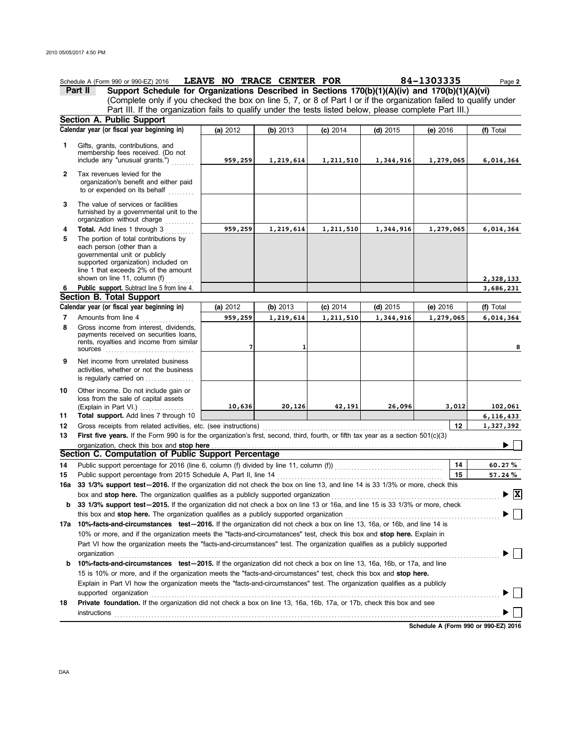|     | Schedule A (Form 990 or 990-EZ) 2016                                                                                                                                                                                                                 | LEAVE NO TRACE CENTER FOR |           |            |            | 84-1303335                           | Page 2                                   |  |  |  |
|-----|------------------------------------------------------------------------------------------------------------------------------------------------------------------------------------------------------------------------------------------------------|---------------------------|-----------|------------|------------|--------------------------------------|------------------------------------------|--|--|--|
|     | Support Schedule for Organizations Described in Sections 170(b)(1)(A)(iv) and 170(b)(1)(A)(vi)<br>Part II                                                                                                                                            |                           |           |            |            |                                      |                                          |  |  |  |
|     | (Complete only if you checked the box on line 5, 7, or 8 of Part I or if the organization failed to qualify under                                                                                                                                    |                           |           |            |            |                                      |                                          |  |  |  |
|     | Part III. If the organization fails to qualify under the tests listed below, please complete Part III.)                                                                                                                                              |                           |           |            |            |                                      |                                          |  |  |  |
|     | Section A. Public Support                                                                                                                                                                                                                            |                           |           |            |            |                                      |                                          |  |  |  |
|     | Calendar year (or fiscal year beginning in)                                                                                                                                                                                                          | (a) 2012                  | (b) 2013  | $(c)$ 2014 | $(d)$ 2015 | $(e)$ 2016                           | (f) Total                                |  |  |  |
| 1   | Gifts, grants, contributions, and                                                                                                                                                                                                                    |                           |           |            |            |                                      |                                          |  |  |  |
|     | membership fees received. (Do not                                                                                                                                                                                                                    |                           |           |            |            |                                      |                                          |  |  |  |
|     | include any "unusual grants.")                                                                                                                                                                                                                       | 959,259                   | 1,219,614 | 1,211,510  | 1,344,916  | 1,279,065                            | 6,014,364                                |  |  |  |
| 2   | Tax revenues levied for the<br>organization's benefit and either paid                                                                                                                                                                                |                           |           |            |            |                                      |                                          |  |  |  |
|     | to or expended on its behalf                                                                                                                                                                                                                         |                           |           |            |            |                                      |                                          |  |  |  |
| 3   | The value of services or facilities<br>furnished by a governmental unit to the<br>organization without charge                                                                                                                                        |                           |           |            |            |                                      |                                          |  |  |  |
| 4   | Total. Add lines 1 through 3                                                                                                                                                                                                                         | 959,259                   | 1,219,614 | 1,211,510  | 1,344,916  | 1,279,065                            | 6,014,364                                |  |  |  |
| 5   | The portion of total contributions by                                                                                                                                                                                                                |                           |           |            |            |                                      |                                          |  |  |  |
|     | each person (other than a                                                                                                                                                                                                                            |                           |           |            |            |                                      |                                          |  |  |  |
|     | governmental unit or publicly<br>supported organization) included on                                                                                                                                                                                 |                           |           |            |            |                                      |                                          |  |  |  |
|     | line 1 that exceeds 2% of the amount                                                                                                                                                                                                                 |                           |           |            |            |                                      |                                          |  |  |  |
|     | shown on line 11, column $(f)$                                                                                                                                                                                                                       |                           |           |            |            |                                      | 2,328,133                                |  |  |  |
| 6   | Public support. Subtract line 5 from line 4.                                                                                                                                                                                                         |                           |           |            |            |                                      | 3,686,231                                |  |  |  |
|     | Section B. Total Support                                                                                                                                                                                                                             |                           |           |            |            |                                      |                                          |  |  |  |
|     | Calendar year (or fiscal year beginning in)                                                                                                                                                                                                          | (a) 2012                  | (b) 2013  | $(c)$ 2014 | $(d)$ 2015 | $(e)$ 2016                           | (f) Total                                |  |  |  |
| 7   | Amounts from line 4                                                                                                                                                                                                                                  | 959,259                   | 1,219,614 | 1,211,510  | 1,344,916  | 1,279,065                            | 6,014,364                                |  |  |  |
| 8   | Gross income from interest, dividends,<br>payments received on securities loans,<br>rents, royalties and income from similar                                                                                                                         | 7                         |           |            |            |                                      | 8                                        |  |  |  |
| 9   | Net income from unrelated business<br>activities, whether or not the business                                                                                                                                                                        |                           |           |            |            |                                      |                                          |  |  |  |
|     | is regularly carried on                                                                                                                                                                                                                              |                           |           |            |            |                                      |                                          |  |  |  |
| 10  | Other income. Do not include gain or                                                                                                                                                                                                                 |                           |           |            |            |                                      |                                          |  |  |  |
|     | loss from the sale of capital assets                                                                                                                                                                                                                 |                           |           |            |            |                                      |                                          |  |  |  |
|     | (Explain in Part VI.) $\ldots$                                                                                                                                                                                                                       | 10,636                    | 20,126    | 42,191     | 26,096     | 3,012                                | 102,061                                  |  |  |  |
| 11  | Total support. Add lines 7 through 10                                                                                                                                                                                                                |                           |           |            |            |                                      | 6, 116, 433                              |  |  |  |
| 12  |                                                                                                                                                                                                                                                      |                           |           |            |            | 12                                   | 1,327,392                                |  |  |  |
| 13  | First five years. If the Form 990 is for the organization's first, second, third, fourth, or fifth tax year as a section 501(c)(3)                                                                                                                   |                           |           |            |            |                                      |                                          |  |  |  |
|     | organization, check this box and stop here                                                                                                                                                                                                           |                           |           |            |            |                                      |                                          |  |  |  |
|     | Section C. Computation of Public Support Percentage                                                                                                                                                                                                  |                           |           |            |            |                                      |                                          |  |  |  |
| 14  |                                                                                                                                                                                                                                                      |                           |           |            |            | 14                                   | 60.27%                                   |  |  |  |
| 15  |                                                                                                                                                                                                                                                      |                           |           |            |            | 15                                   | 57.24%                                   |  |  |  |
| 16a | 33 1/3% support test-2016. If the organization did not check the box on line 13, and line 14 is 33 1/3% or more, check this                                                                                                                          |                           |           |            |            |                                      |                                          |  |  |  |
|     | box and stop here. The organization qualifies as a publicly supported organization                                                                                                                                                                   |                           |           |            |            |                                      | $\blacktriangleright \boxed{\mathbf{X}}$ |  |  |  |
| b   | 33 1/3% support test-2015. If the organization did not check a box on line 13 or 16a, and line 15 is 33 1/3% or more, check                                                                                                                          |                           |           |            |            |                                      |                                          |  |  |  |
|     | this box and <b>stop here.</b> The organization qualifies as a publicly supported organization                                                                                                                                                       |                           |           |            |            |                                      |                                          |  |  |  |
|     | 17a 10%-facts-and-circumstances test-2016. If the organization did not check a box on line 13, 16a, or 16b, and line 14 is                                                                                                                           |                           |           |            |            |                                      |                                          |  |  |  |
|     | 10% or more, and if the organization meets the "facts-and-circumstances" test, check this box and stop here. Explain in<br>Part VI how the organization meets the "facts-and-circumstances" test. The organization qualifies as a publicly supported |                           |           |            |            |                                      |                                          |  |  |  |
|     |                                                                                                                                                                                                                                                      |                           |           |            |            |                                      |                                          |  |  |  |
| b   | 10%-facts-and-circumstances test-2015. If the organization did not check a box on line 13, 16a, 16b, or 17a, and line                                                                                                                                |                           |           |            |            |                                      |                                          |  |  |  |
|     | 15 is 10% or more, and if the organization meets the "facts-and-circumstances" test, check this box and stop here.                                                                                                                                   |                           |           |            |            |                                      |                                          |  |  |  |
|     | Explain in Part VI how the organization meets the "facts-and-circumstances" test. The organization qualifies as a publicly                                                                                                                           |                           |           |            |            |                                      |                                          |  |  |  |
|     | supported organization                                                                                                                                                                                                                               |                           |           |            |            |                                      |                                          |  |  |  |
| 18  | Private foundation. If the organization did not check a box on line 13, 16a, 16b, 17a, or 17b, check this box and see                                                                                                                                |                           |           |            |            |                                      |                                          |  |  |  |
|     |                                                                                                                                                                                                                                                      |                           |           |            |            |                                      |                                          |  |  |  |
|     |                                                                                                                                                                                                                                                      |                           |           |            |            | Cohodulo A (Form 000 or 000 F7) 2016 |                                          |  |  |  |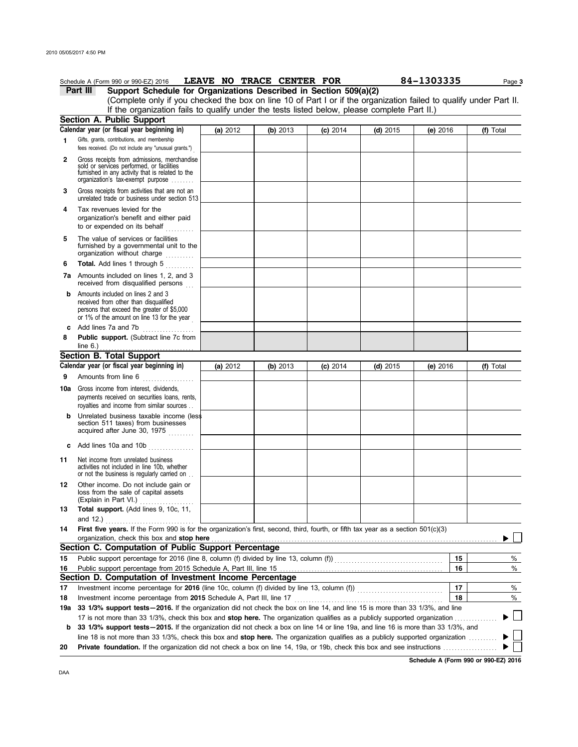|              | Schedule A (Form 990 or 990-EZ) 2016                                                                                                                                              |          |          | LEAVE NO TRACE CENTER FOR |            | 84-1303335 | Page 3    |  |
|--------------|-----------------------------------------------------------------------------------------------------------------------------------------------------------------------------------|----------|----------|---------------------------|------------|------------|-----------|--|
|              | Part III<br>Support Schedule for Organizations Described in Section 509(a)(2)                                                                                                     |          |          |                           |            |            |           |  |
|              | (Complete only if you checked the box on line 10 of Part I or if the organization failed to qualify under Part II.                                                                |          |          |                           |            |            |           |  |
|              | If the organization fails to qualify under the tests listed below, please complete Part II.)                                                                                      |          |          |                           |            |            |           |  |
|              | Section A. Public Support                                                                                                                                                         |          |          |                           |            |            |           |  |
|              | Calendar year (or fiscal year beginning in)                                                                                                                                       | (a) 2012 | (b) 2013 | $(c)$ 2014                | $(d)$ 2015 | (e) 2016   | (f) Total |  |
| 1            | Gifts, grants, contributions, and membership<br>fees received. (Do not include any "unusual grants.")                                                                             |          |          |                           |            |            |           |  |
| $\mathbf{2}$ | Gross receipts from admissions, merchandise<br>sold or services performed, or facilities<br>furnished in any activity that is related to the<br>organization's tax-exempt purpose |          |          |                           |            |            |           |  |
| 3            | Gross receipts from activities that are not an<br>unrelated trade or business under section 513                                                                                   |          |          |                           |            |            |           |  |
| 4            | Tax revenues levied for the<br>organization's benefit and either paid<br>to or expended on its behalf                                                                             |          |          |                           |            |            |           |  |
| 5            | The value of services or facilities<br>furnished by a governmental unit to the<br>organization without charge                                                                     |          |          |                           |            |            |           |  |
| 6            | Total. Add lines 1 through 5                                                                                                                                                      |          |          |                           |            |            |           |  |
|              | 7a Amounts included on lines 1, 2, and 3<br>received from disqualified persons                                                                                                    |          |          |                           |            |            |           |  |
| b            | Amounts included on lines 2 and 3<br>received from other than disqualified<br>persons that exceed the greater of \$5,000<br>or 1% of the amount on line 13 for the year           |          |          |                           |            |            |           |  |
|              | c Add lines 7a and 7b<br>.                                                                                                                                                        |          |          |                           |            |            |           |  |
| 8            | Public support. (Subtract line 7c from<br>line $6.$ )                                                                                                                             |          |          |                           |            |            |           |  |
|              | Section B. Total Support                                                                                                                                                          |          |          |                           |            |            |           |  |
|              | Calendar year (or fiscal year beginning in)                                                                                                                                       | (a) 2012 | (b) 2013 | $(c)$ 2014                | $(d)$ 2015 | (e) $2016$ | (f) Total |  |
| 9            | Amounts from line 6<br>. <b>.</b> .                                                                                                                                               |          |          |                           |            |            |           |  |
|              | <b>10a</b> Gross income from interest, dividends,<br>payments received on securities loans, rents,<br>royalties and income from similar sources                                   |          |          |                           |            |            |           |  |
| b            | Unrelated business taxable income (less<br>section 511 taxes) from businesses<br>acquired after June 30, 1975                                                                     |          |          |                           |            |            |           |  |
| c            | Add lines 10a and 10b                                                                                                                                                             |          |          |                           |            |            |           |  |
| 11           | Net income from unrelated business<br>activities not included in line 10b, whether<br>or not the business is regularly carried on                                                 |          |          |                           |            |            |           |  |
| 12           | Other income. Do not include gain or<br>loss from the sale of capital assets<br>(Explain in Part VI.)                                                                             |          |          |                           |            |            |           |  |
| 13           | Total support. (Add lines 9, 10c, 11,<br>and 12.)                                                                                                                                 |          |          |                           |            |            |           |  |
| 14           | First five years. If the Form 990 is for the organization's first, second, third, fourth, or fifth tax year as a section 501(c)(3)<br>organization, check this box and stop here  |          |          |                           |            |            |           |  |
|              | Section C. Computation of Public Support Percentage                                                                                                                               |          |          |                           |            |            |           |  |
| 15           |                                                                                                                                                                                   |          |          |                           |            | 15         | %         |  |
| 16           | Public support percentage from 2015 Schedule A, Part III, line 15                                                                                                                 |          |          |                           |            | 16         | %         |  |
|              | Section D. Computation of Investment Income Percentage                                                                                                                            |          |          |                           |            |            |           |  |
| 17           |                                                                                                                                                                                   |          |          |                           |            | 17         | %         |  |
| 18           | Investment income percentage from 2015 Schedule A, Part III, line 17                                                                                                              |          |          |                           |            | 18         | $\%$      |  |
| 19а          | 33 1/3% support tests-2016. If the organization did not check the box on line 14, and line 15 is more than 33 1/3%, and line                                                      |          |          |                           |            |            |           |  |
|              | 17 is not more than 33 1/3%, check this box and <b>stop here.</b> The organization qualifies as a publicly supported organization                                                 |          |          |                           |            |            | $\sim$    |  |
| b            | 33 1/3% support tests - 2015. If the organization did not check a box on line 14 or line 19a, and line 16 is more than 33 1/3%, and                                               |          |          |                           |            |            |           |  |
|              | line 18 is not more than 33 1/3%, check this box and stop here. The organization qualifies as a publicly supported organization                                                   |          |          |                           |            |            |           |  |
| 20           |                                                                                                                                                                                   |          |          |                           |            |            |           |  |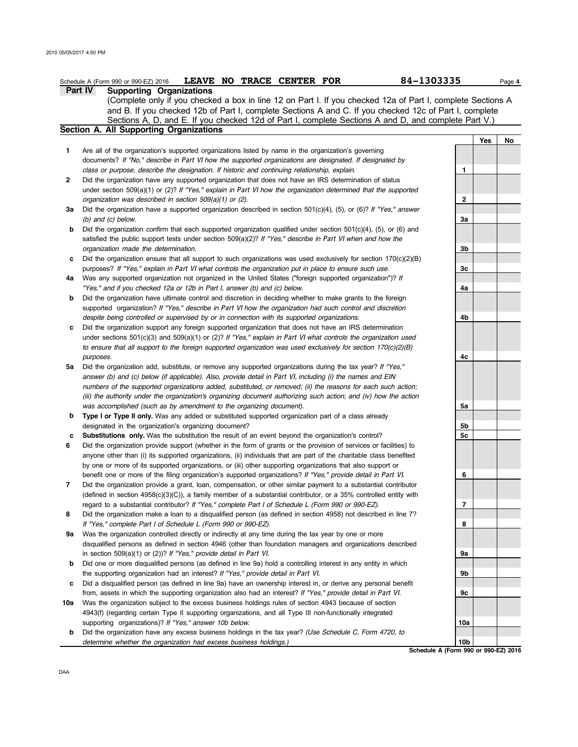DAA

|     | 84-1303335<br><b>LEAVE NO TRACE CENTER FOR</b><br>Schedule A (Form 990 or 990-EZ) 2016                              |     |     | Page 4 |
|-----|---------------------------------------------------------------------------------------------------------------------|-----|-----|--------|
|     | <b>Part IV</b><br><b>Supporting Organizations</b>                                                                   |     |     |        |
|     | (Complete only if you checked a box in line 12 on Part I. If you checked 12a of Part I, complete Sections A         |     |     |        |
|     | and B. If you checked 12b of Part I, complete Sections A and C. If you checked 12c of Part I, complete              |     |     |        |
|     | Sections A, D, and E. If you checked 12d of Part I, complete Sections A and D, and complete Part V.)                |     |     |        |
|     | Section A. All Supporting Organizations                                                                             |     |     |        |
|     |                                                                                                                     |     | Yes | No     |
| 1   | Are all of the organization's supported organizations listed by name in the organization's governing                |     |     |        |
|     | documents? If "No," describe in Part VI how the supported organizations are designated. If designated by            |     |     |        |
|     | class or purpose, describe the designation. If historic and continuing relationship, explain.                       | 1   |     |        |
| 2   | Did the organization have any supported organization that does not have an IRS determination of status              |     |     |        |
|     | under section $509(a)(1)$ or (2)? If "Yes," explain in Part VI how the organization determined that the supported   |     |     |        |
|     | organization was described in section 509(a)(1) or (2).                                                             | 2   |     |        |
| За  | Did the organization have a supported organization described in section $501(c)(4)$ , (5), or (6)? If "Yes," answer |     |     |        |
|     |                                                                                                                     | За  |     |        |
|     | $(b)$ and $(c)$ below.                                                                                              |     |     |        |
| b   | Did the organization confirm that each supported organization qualified under section 501(c)(4), (5), or (6) and    |     |     |        |
|     | satisfied the public support tests under section 509(a)(2)? If "Yes," describe in Part VI when and how the          |     |     |        |
|     | organization made the determination.                                                                                | 3b  |     |        |
| c   | Did the organization ensure that all support to such organizations was used exclusively for section $170(c)(2)(B)$  |     |     |        |
|     | purposes? If "Yes," explain in Part VI what controls the organization put in place to ensure such use.              | Зс  |     |        |
| 4a  | Was any supported organization not organized in the United States ("foreign supported organization")? If            |     |     |        |
|     | "Yes," and if you checked 12a or 12b in Part I, answer (b) and (c) below.                                           | 4a  |     |        |
| b   | Did the organization have ultimate control and discretion in deciding whether to make grants to the foreign         |     |     |        |
|     | supported organization? If "Yes," describe in Part VI how the organization had such control and discretion          |     |     |        |
|     | despite being controlled or supervised by or in connection with its supported organizations.                        | 4b  |     |        |
| c   | Did the organization support any foreign supported organization that does not have an IRS determination             |     |     |        |
|     | under sections $501(c)(3)$ and $509(a)(1)$ or (2)? If "Yes," explain in Part VI what controls the organization used |     |     |        |
|     | to ensure that all support to the foreign supported organization was used exclusively for section $170(c)(2)(B)$    |     |     |        |
|     | purposes.                                                                                                           | 4с  |     |        |
| 5a  | Did the organization add, substitute, or remove any supported organizations during the tax year? If "Yes,"          |     |     |        |
|     | answer (b) and (c) below (if applicable). Also, provide detail in Part VI, including (i) the names and EIN          |     |     |        |
|     | numbers of the supported organizations added, substituted, or removed; (ii) the reasons for each such action;       |     |     |        |
|     | (iii) the authority under the organization's organizing document authorizing such action; and (iv) how the action   |     |     |        |
|     | was accomplished (such as by amendment to the organizing document).                                                 | 5a  |     |        |
| b   | Type I or Type II only. Was any added or substituted supported organization part of a class already                 |     |     |        |
|     | designated in the organization's organizing document?                                                               | 5b  |     |        |
| c   | <b>Substitutions only.</b> Was the substitution the result of an event beyond the organization's control?           | 5с  |     |        |
| 6   | Did the organization provide support (whether in the form of grants or the provision of services or facilities) to  |     |     |        |
|     | anyone other than (i) its supported organizations, (ii) individuals that are part of the charitable class benefited |     |     |        |
|     |                                                                                                                     |     |     |        |
|     | by one or more of its supported organizations, or (iii) other supporting organizations that also support or         |     |     |        |
|     | benefit one or more of the filing organization's supported organizations? If "Yes," provide detail in Part VI.      | 6   |     |        |
| 7   | Did the organization provide a grant, loan, compensation, or other similar payment to a substantial contributor     |     |     |        |
|     | (defined in section 4958(c)(3)(C)), a family member of a substantial contributor, or a 35% controlled entity with   |     |     |        |
|     | regard to a substantial contributor? If "Yes," complete Part I of Schedule L (Form 990 or 990-EZ).                  | 7   |     |        |
| 8   | Did the organization make a loan to a disqualified person (as defined in section 4958) not described in line 7?     |     |     |        |
|     | If "Yes," complete Part I of Schedule L (Form 990 or 990-EZ).                                                       | 8   |     |        |
| 9а  | Was the organization controlled directly or indirectly at any time during the tax year by one or more               |     |     |        |
|     | disqualified persons as defined in section 4946 (other than foundation managers and organizations described         |     |     |        |
|     | in section 509(a)(1) or (2))? If "Yes," provide detail in Part VI.                                                  | 9а  |     |        |
| b   | Did one or more disqualified persons (as defined in line 9a) hold a controlling interest in any entity in which     |     |     |        |
|     | the supporting organization had an interest? If "Yes," provide detail in Part VI.                                   | 9b  |     |        |
| c   | Did a disqualified person (as defined in line 9a) have an ownership interest in, or derive any personal benefit     |     |     |        |
|     | from, assets in which the supporting organization also had an interest? If "Yes," provide detail in Part VI.        | 9с  |     |        |
| 10a | Was the organization subject to the excess business holdings rules of section 4943 because of section               |     |     |        |
|     | 4943(f) (regarding certain Type II supporting organizations, and all Type III non-functionally integrated           |     |     |        |
|     | supporting organizations)? If "Yes," answer 10b below.                                                              | 10a |     |        |
| b   | Did the organization have any excess business holdings in the tax year? (Use Schedule C, Form 4720, to              |     |     |        |
|     | determine whether the organization had excess business holdings.)                                                   | 10b |     |        |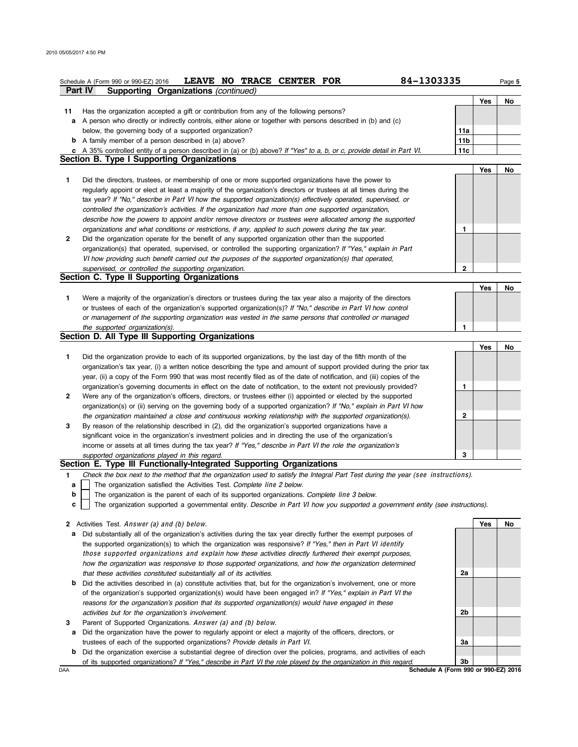|    | 84-1303335<br>LEAVE NO TRACE CENTER FOR<br>Schedule A (Form 990 or 990-EZ) 2016                                                          |                 |     | Page 5 |  |  |  |  |  |
|----|------------------------------------------------------------------------------------------------------------------------------------------|-----------------|-----|--------|--|--|--|--|--|
|    | Part IV<br>Supporting Organizations (continued)                                                                                          |                 |     |        |  |  |  |  |  |
|    |                                                                                                                                          |                 | Yes | No     |  |  |  |  |  |
| 11 | Has the organization accepted a gift or contribution from any of the following persons?                                                  |                 |     |        |  |  |  |  |  |
| а  | A person who directly or indirectly controls, either alone or together with persons described in (b) and (c)                             |                 |     |        |  |  |  |  |  |
|    | below, the governing body of a supported organization?                                                                                   | 11a             |     |        |  |  |  |  |  |
|    | <b>b</b> A family member of a person described in (a) above?                                                                             | 11 <sub>b</sub> |     |        |  |  |  |  |  |
| с  | A 35% controlled entity of a person described in (a) or (b) above? If "Yes" to a, b, or c, provide detail in Part VI.                    | 11c             |     |        |  |  |  |  |  |
|    | Section B. Type I Supporting Organizations                                                                                               |                 |     |        |  |  |  |  |  |
|    |                                                                                                                                          |                 | Yes | No     |  |  |  |  |  |
| 1  | Did the directors, trustees, or membership of one or more supported organizations have the power to                                      |                 |     |        |  |  |  |  |  |
|    | regularly appoint or elect at least a majority of the organization's directors or trustees at all times during the                       |                 |     |        |  |  |  |  |  |
|    | tax year? If "No," describe in Part VI how the supported organization(s) effectively operated, supervised, or                            |                 |     |        |  |  |  |  |  |
|    | controlled the organization's activities. If the organization had more than one supported organization,                                  |                 |     |        |  |  |  |  |  |
|    | describe how the powers to appoint and/or remove directors or trustees were allocated among the supported                                |                 |     |        |  |  |  |  |  |
|    | organizations and what conditions or restrictions, if any, applied to such powers during the tax year.                                   | 1               |     |        |  |  |  |  |  |
| 2  | Did the organization operate for the benefit of any supported organization other than the supported                                      |                 |     |        |  |  |  |  |  |
|    | organization(s) that operated, supervised, or controlled the supporting organization? If "Yes," explain in Part                          |                 |     |        |  |  |  |  |  |
|    | VI how providing such benefit carried out the purposes of the supported organization(s) that operated,                                   |                 |     |        |  |  |  |  |  |
|    | supervised, or controlled the supporting organization.                                                                                   | 2               |     |        |  |  |  |  |  |
|    | Section C. Type II Supporting Organizations                                                                                              |                 |     |        |  |  |  |  |  |
|    |                                                                                                                                          |                 | Yes | No     |  |  |  |  |  |
| 1  | Were a majority of the organization's directors or trustees during the tax year also a majority of the directors                         |                 |     |        |  |  |  |  |  |
|    | or trustees of each of the organization's supported organization(s)? If "No," describe in Part VI how control                            |                 |     |        |  |  |  |  |  |
|    | or management of the supporting organization was vested in the same persons that controlled or managed<br>the supported organization(s). | 1               |     |        |  |  |  |  |  |
|    | Section D. All Type III Supporting Organizations                                                                                         |                 |     |        |  |  |  |  |  |
|    |                                                                                                                                          |                 | Yes | No     |  |  |  |  |  |
| 1  | Did the organization provide to each of its supported organizations, by the last day of the fifth month of the                           |                 |     |        |  |  |  |  |  |
|    | organization's tax year, (i) a written notice describing the type and amount of support provided during the prior tax                    |                 |     |        |  |  |  |  |  |
|    | year, (ii) a copy of the Form 990 that was most recently filed as of the date of notification, and (iii) copies of the                   |                 |     |        |  |  |  |  |  |
|    | organization's governing documents in effect on the date of notification, to the extent not previously provided?                         | 1               |     |        |  |  |  |  |  |
| 2  | Were any of the organization's officers, directors, or trustees either (i) appointed or elected by the supported                         |                 |     |        |  |  |  |  |  |
|    | organization(s) or (ii) serving on the governing body of a supported organization? If "No," explain in Part VI how                       |                 |     |        |  |  |  |  |  |
|    | the organization maintained a close and continuous working relationship with the supported organization(s).                              | 2               |     |        |  |  |  |  |  |
| 3  | By reason of the relationship described in (2), did the organization's supported organizations have a                                    |                 |     |        |  |  |  |  |  |
|    | significant voice in the organization's investment policies and in directing the use of the organization's                               |                 |     |        |  |  |  |  |  |
|    | income or assets at all times during the tax year? If "Yes," describe in Part VI the role the organization's                             |                 |     |        |  |  |  |  |  |
|    | supported organizations played in this regard.                                                                                           | 3               |     |        |  |  |  |  |  |
|    | Section E. Type III Functionally-Integrated Supporting Organizations                                                                     |                 |     |        |  |  |  |  |  |
| 1  | Check the box next to the method that the organization used to satisfy the Integral Part Test during the year (see instructions).        |                 |     |        |  |  |  |  |  |
| a  | The organization satisfied the Activities Test. Complete line 2 below.                                                                   |                 |     |        |  |  |  |  |  |
| b  | The organization is the parent of each of its supported organizations. Complete line 3 below.                                            |                 |     |        |  |  |  |  |  |
| c  | The organization supported a governmental entity. Describe in Part VI how you supported a government entity (see instructions).          |                 |     |        |  |  |  |  |  |
|    |                                                                                                                                          |                 |     |        |  |  |  |  |  |
|    | 2 Activities Test. Answer (a) and (b) below.                                                                                             |                 | Yes | No     |  |  |  |  |  |
| а  | Did substantially all of the organization's activities during the tax year directly further the exempt purposes of                       |                 |     |        |  |  |  |  |  |
|    | the supported organization(s) to which the organization was responsive? If "Yes," then in Part VI identify                               |                 |     |        |  |  |  |  |  |
|    | those supported organizations and explain how these activities directly furthered their exempt purposes,                                 |                 |     |        |  |  |  |  |  |
|    | how the organization was responsive to those supported organizations, and how the organization determined                                |                 |     |        |  |  |  |  |  |
|    | that these activities constituted substantially all of its activities.                                                                   | 2a              |     |        |  |  |  |  |  |
|    | <b>b</b> Did the activities described in (a) constitute activities that, but for the organization's involvement, one or more             |                 |     |        |  |  |  |  |  |
|    | of the organization's supported organization(s) would have been engaged in? If "Yes," explain in Part VI the                             |                 |     |        |  |  |  |  |  |
|    | reasons for the organization's position that its supported organization(s) would have engaged in these                                   |                 |     |        |  |  |  |  |  |
|    | activities but for the organization's involvement.                                                                                       | 2b              |     |        |  |  |  |  |  |
| 3  | Parent of Supported Organizations. Answer (a) and (b) below.                                                                             |                 |     |        |  |  |  |  |  |
| а  | Did the organization have the power to regularly appoint or elect a majority of the officers, directors, or                              |                 |     |        |  |  |  |  |  |
|    | trustees of each of the supported organizations? Provide details in Part VI.                                                             | За              |     |        |  |  |  |  |  |

**b** Did the organization exercise a substantial degree of direction over the policies, programs, and activities of each of its supported organizations? *If "Yes," describe in* Par<sup>t</sup> VI *the role played by the organization in this regard.*

DAA **Schedule A (Form 990 or 990-EZ) 2016**<br>DAA **Schedule A (Form 990 or 990-EZ) 2016 3b**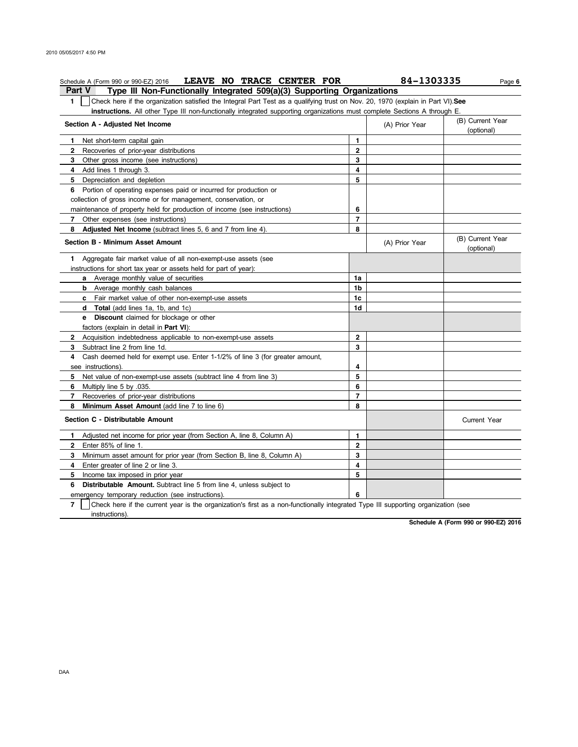| Schedule A (Form 990 or 990-EZ) 2016 LEAVE NO TRACE CENTER FOR                                                                                      |                | 84-1303335     | Page 6                         |
|-----------------------------------------------------------------------------------------------------------------------------------------------------|----------------|----------------|--------------------------------|
| Type III Non-Functionally Integrated 509(a)(3) Supporting Organizations<br>Part V                                                                   |                |                |                                |
| 1.<br>Check here if the organization satisfied the Integral Part Test as a qualifying trust on Nov. 20, 1970 (explain in Part VI). See              |                |                |                                |
| instructions. All other Type III non-functionally integrated supporting organizations must complete Sections A through E.                           |                |                |                                |
| Section A - Adjusted Net Income                                                                                                                     |                | (A) Prior Year | (B) Current Year<br>(optional) |
| Net short-term capital gain<br>1                                                                                                                    | 1              |                |                                |
| 2<br>Recoveries of prior-year distributions                                                                                                         | $\mathbf{2}$   |                |                                |
| Other gross income (see instructions)<br>3                                                                                                          | 3              |                |                                |
| Add lines 1 through 3.<br>4                                                                                                                         | 4              |                |                                |
| 5<br>Depreciation and depletion                                                                                                                     | 5              |                |                                |
| 6 Portion of operating expenses paid or incurred for production or                                                                                  |                |                |                                |
| collection of gross income or for management, conservation, or                                                                                      |                |                |                                |
| maintenance of property held for production of income (see instructions)                                                                            | 6              |                |                                |
| 7<br>Other expenses (see instructions)                                                                                                              | $\overline{7}$ |                |                                |
| 8<br><b>Adjusted Net Income</b> (subtract lines 5, 6 and 7 from line 4).                                                                            | 8              |                |                                |
| Section B - Minimum Asset Amount                                                                                                                    |                | (A) Prior Year | (B) Current Year<br>(optional) |
| Aggregate fair market value of all non-exempt-use assets (see<br>1                                                                                  |                |                |                                |
| instructions for short tax year or assets held for part of year):                                                                                   |                |                |                                |
| a Average monthly value of securities                                                                                                               | 1a             |                |                                |
| <b>b</b> Average monthly cash balances                                                                                                              | 1b             |                |                                |
| <b>c</b> Fair market value of other non-exempt-use assets                                                                                           | 1c             |                |                                |
| <b>d</b> Total (add lines 1a, 1b, and 1c)                                                                                                           | 1d             |                |                                |
| e Discount claimed for blockage or other                                                                                                            |                |                |                                |
| factors (explain in detail in <b>Part VI)</b> :                                                                                                     |                |                |                                |
| Acquisition indebtedness applicable to non-exempt-use assets<br>$\mathbf{2}$                                                                        | $\overline{2}$ |                |                                |
| 3<br>Subtract line 2 from line 1d.                                                                                                                  | 3              |                |                                |
| Cash deemed held for exempt use. Enter 1-1/2% of line 3 (for greater amount,<br>4                                                                   |                |                |                                |
| see instructions)                                                                                                                                   | 4              |                |                                |
| 5<br>Net value of non-exempt-use assets (subtract line 4 from line 3)                                                                               | 5              |                |                                |
| Multiply line 5 by .035.<br>6                                                                                                                       | 6              |                |                                |
| 7<br>Recoveries of prior-year distributions                                                                                                         | $\overline{7}$ |                |                                |
| 8<br>Minimum Asset Amount (add line 7 to line 6)                                                                                                    | 8              |                |                                |
| Section C - Distributable Amount                                                                                                                    |                |                | <b>Current Year</b>            |
| Adjusted net income for prior year (from Section A, line 8, Column A)<br>1                                                                          | 1              |                |                                |
| $\mathbf{2}$<br>Enter 85% of line 1.                                                                                                                | $\overline{2}$ |                |                                |
| 3<br>Minimum asset amount for prior year (from Section B, line 8, Column A)                                                                         | 3              |                |                                |
| 4<br>Enter greater of line 2 or line 3.                                                                                                             | 4              |                |                                |
| 5<br>Income tax imposed in prior year                                                                                                               | 5              |                |                                |
| <b>Distributable Amount.</b> Subtract line 5 from line 4, unless subject to<br>6                                                                    |                |                |                                |
| emergency temporary reduction (see instructions).                                                                                                   | 6              |                |                                |
| $\overline{ }$<br>$\Box$ Obset base if the attention is the appointment finities a new functionally integrated Tune III attendants appointing (e.g. |                |                |                                |

**7** | Check here if the current year is the organization's first as a non-functionally integrated Type III supporting organization (see instructions).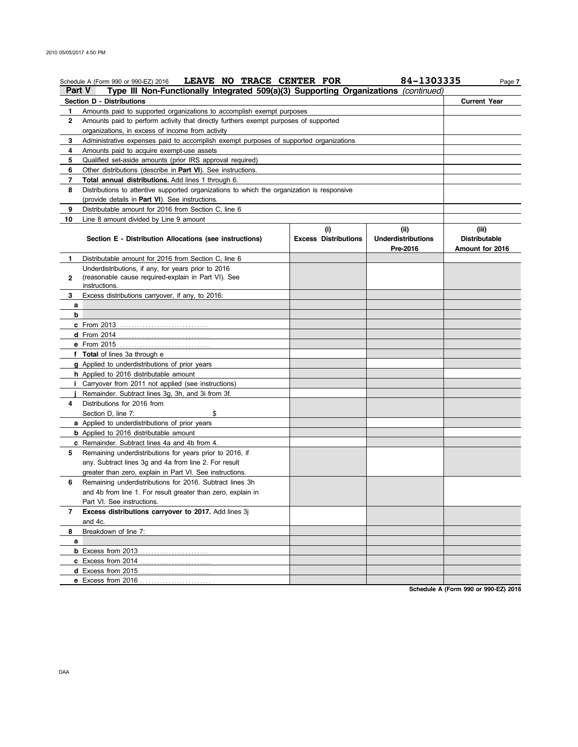|               | LEAVE NO TRACE CENTER FOR<br>Schedule A (Form 990 or 990-EZ) 2016                          |                                    | 84-1303335                                    | Page 7                                           |
|---------------|--------------------------------------------------------------------------------------------|------------------------------------|-----------------------------------------------|--------------------------------------------------|
| <b>Part V</b> | Type III Non-Functionally Integrated 509(a)(3) Supporting Organizations (continued)        |                                    |                                               |                                                  |
|               | Section D - Distributions                                                                  |                                    |                                               | <b>Current Year</b>                              |
| 1             | Amounts paid to supported organizations to accomplish exempt purposes                      |                                    |                                               |                                                  |
| 2             | Amounts paid to perform activity that directly furthers exempt purposes of supported       |                                    |                                               |                                                  |
|               | organizations, in excess of income from activity                                           |                                    |                                               |                                                  |
| 3             | Administrative expenses paid to accomplish exempt purposes of supported organizations      |                                    |                                               |                                                  |
| 4             | Amounts paid to acquire exempt-use assets                                                  |                                    |                                               |                                                  |
| 5             | Qualified set-aside amounts (prior IRS approval required)                                  |                                    |                                               |                                                  |
| 6             | Other distributions (describe in Part VI). See instructions.                               |                                    |                                               |                                                  |
| 7             | Total annual distributions. Add lines 1 through 6.                                         |                                    |                                               |                                                  |
| 8             | Distributions to attentive supported organizations to which the organization is responsive |                                    |                                               |                                                  |
|               | (provide details in Part VI). See instructions.                                            |                                    |                                               |                                                  |
| 9             | Distributable amount for 2016 from Section C, line 6                                       |                                    |                                               |                                                  |
| 10            | Line 8 amount divided by Line 9 amount                                                     |                                    |                                               |                                                  |
|               | Section E - Distribution Allocations (see instructions)                                    | (i)<br><b>Excess Distributions</b> | (ii)<br><b>Underdistributions</b><br>Pre-2016 | (iii)<br><b>Distributable</b><br>Amount for 2016 |
| 1             | Distributable amount for 2016 from Section C, line 6                                       |                                    |                                               |                                                  |
|               | Underdistributions, if any, for years prior to 2016                                        |                                    |                                               |                                                  |
| $\mathbf{2}$  | (reasonable cause required-explain in Part VI). See                                        |                                    |                                               |                                                  |
|               | instructions.                                                                              |                                    |                                               |                                                  |
| 3             | Excess distributions carryover, if any, to 2016:                                           |                                    |                                               |                                                  |
| a             |                                                                                            |                                    |                                               |                                                  |
| b             |                                                                                            |                                    |                                               |                                                  |
|               |                                                                                            |                                    |                                               |                                                  |
|               |                                                                                            |                                    |                                               |                                                  |
|               | e From 2015                                                                                |                                    |                                               |                                                  |
|               | f Total of lines 3a through e                                                              |                                    |                                               |                                                  |
|               | g Applied to underdistributions of prior years                                             |                                    |                                               |                                                  |
|               | h Applied to 2016 distributable amount                                                     |                                    |                                               |                                                  |
|               | <i>i</i> Carryover from 2011 not applied (see instructions)                                |                                    |                                               |                                                  |
|               | Remainder. Subtract lines 3g, 3h, and 3i from 3f.                                          |                                    |                                               |                                                  |
| 4             | Distributions for 2016 from                                                                |                                    |                                               |                                                  |
|               | Section D, line 7:<br>\$                                                                   |                                    |                                               |                                                  |
|               | a Applied to underdistributions of prior years                                             |                                    |                                               |                                                  |
|               | <b>b</b> Applied to 2016 distributable amount                                              |                                    |                                               |                                                  |
|               | c Remainder. Subtract lines 4a and 4b from 4.                                              |                                    |                                               |                                                  |
| 5             | Remaining underdistributions for years prior to 2016, if                                   |                                    |                                               |                                                  |
|               | any. Subtract lines 3g and 4a from line 2. For result                                      |                                    |                                               |                                                  |
|               | greater than zero, explain in Part VI. See instructions.                                   |                                    |                                               |                                                  |
| 6             | Remaining underdistributions for 2016. Subtract lines 3h                                   |                                    |                                               |                                                  |
|               | and 4b from line 1. For result greater than zero, explain in                               |                                    |                                               |                                                  |
|               | Part VI. See instructions.                                                                 |                                    |                                               |                                                  |
| 7             | Excess distributions carryover to 2017. Add lines 3j                                       |                                    |                                               |                                                  |
|               | and 4c.                                                                                    |                                    |                                               |                                                  |
| 8             | Breakdown of line 7:                                                                       |                                    |                                               |                                                  |
| a             |                                                                                            |                                    |                                               |                                                  |
|               | <b>b</b> Excess from 2013                                                                  |                                    |                                               |                                                  |
|               | <b>c</b> Excess from 2014                                                                  |                                    |                                               |                                                  |
|               | <b>d</b> Excess from $2015$<br>.                                                           |                                    |                                               |                                                  |
|               | e Excess from 2016                                                                         |                                    |                                               |                                                  |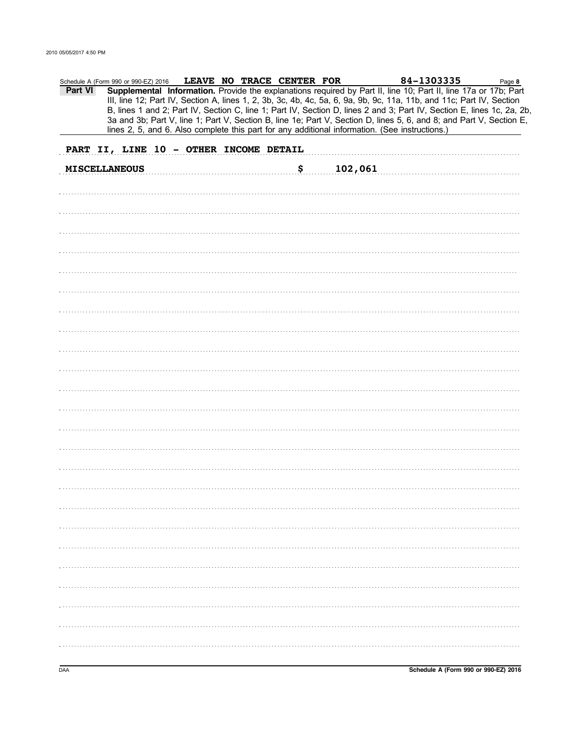|         | Schedule A (Form 990 or 990-EZ) 2016   |  | LEAVE NO TRACE CENTER FOR |         | 84-1303335                                                                                                                                                                                                                                                                                                                                                        | Page 8 |
|---------|----------------------------------------|--|---------------------------|---------|-------------------------------------------------------------------------------------------------------------------------------------------------------------------------------------------------------------------------------------------------------------------------------------------------------------------------------------------------------------------|--------|
| Part VI |                                        |  |                           |         | Supplemental Information. Provide the explanations required by Part II, line 10; Part II, line 17a or 17b; Part<br>III, line 12; Part IV, Section A, lines 1, 2, 3b, 3c, 4b, 4c, 5a, 6, 9a, 9b, 9c, 11a, 11b, and 11c; Part IV, Section<br>B, lines 1 and 2; Part IV, Section C, line 1; Part IV, Section D, lines 2 and 3; Part IV, Section E, lines 1c, 2a, 2b, |        |
|         |                                        |  |                           |         | 3a and 3b; Part V, line 1; Part V, Section B, line 1e; Part V, Section D, lines 5, 6, and 8; and Part V, Section E,<br>lines 2, 5, and 6. Also complete this part for any additional information. (See instructions.)                                                                                                                                             |        |
|         | PART II, LINE 10 - OTHER INCOME DETAIL |  |                           |         |                                                                                                                                                                                                                                                                                                                                                                   |        |
|         | <b>MISCELLANEOUS</b>                   |  |                           |         |                                                                                                                                                                                                                                                                                                                                                                   |        |
|         |                                        |  | \$                        | 102,061 |                                                                                                                                                                                                                                                                                                                                                                   |        |
|         |                                        |  |                           |         |                                                                                                                                                                                                                                                                                                                                                                   |        |
|         |                                        |  |                           |         |                                                                                                                                                                                                                                                                                                                                                                   |        |
|         |                                        |  |                           |         |                                                                                                                                                                                                                                                                                                                                                                   |        |
|         |                                        |  |                           |         |                                                                                                                                                                                                                                                                                                                                                                   |        |
|         |                                        |  |                           |         |                                                                                                                                                                                                                                                                                                                                                                   |        |
|         |                                        |  |                           |         |                                                                                                                                                                                                                                                                                                                                                                   |        |
|         |                                        |  |                           |         |                                                                                                                                                                                                                                                                                                                                                                   |        |
|         |                                        |  |                           |         |                                                                                                                                                                                                                                                                                                                                                                   |        |
|         |                                        |  |                           |         |                                                                                                                                                                                                                                                                                                                                                                   |        |
|         |                                        |  |                           |         |                                                                                                                                                                                                                                                                                                                                                                   |        |
|         |                                        |  |                           |         |                                                                                                                                                                                                                                                                                                                                                                   |        |
|         |                                        |  |                           |         |                                                                                                                                                                                                                                                                                                                                                                   |        |
|         |                                        |  |                           |         |                                                                                                                                                                                                                                                                                                                                                                   |        |
|         |                                        |  |                           |         |                                                                                                                                                                                                                                                                                                                                                                   |        |
|         |                                        |  |                           |         |                                                                                                                                                                                                                                                                                                                                                                   |        |
|         |                                        |  |                           |         |                                                                                                                                                                                                                                                                                                                                                                   |        |
|         |                                        |  |                           |         |                                                                                                                                                                                                                                                                                                                                                                   |        |
|         |                                        |  |                           |         |                                                                                                                                                                                                                                                                                                                                                                   |        |
|         |                                        |  |                           |         |                                                                                                                                                                                                                                                                                                                                                                   |        |
|         |                                        |  |                           |         |                                                                                                                                                                                                                                                                                                                                                                   |        |
|         |                                        |  |                           |         |                                                                                                                                                                                                                                                                                                                                                                   |        |
|         |                                        |  |                           |         |                                                                                                                                                                                                                                                                                                                                                                   |        |
|         |                                        |  |                           |         |                                                                                                                                                                                                                                                                                                                                                                   |        |
|         |                                        |  |                           |         |                                                                                                                                                                                                                                                                                                                                                                   |        |
|         |                                        |  |                           |         |                                                                                                                                                                                                                                                                                                                                                                   |        |
|         |                                        |  |                           |         |                                                                                                                                                                                                                                                                                                                                                                   |        |
|         |                                        |  |                           |         |                                                                                                                                                                                                                                                                                                                                                                   |        |
|         |                                        |  |                           |         |                                                                                                                                                                                                                                                                                                                                                                   |        |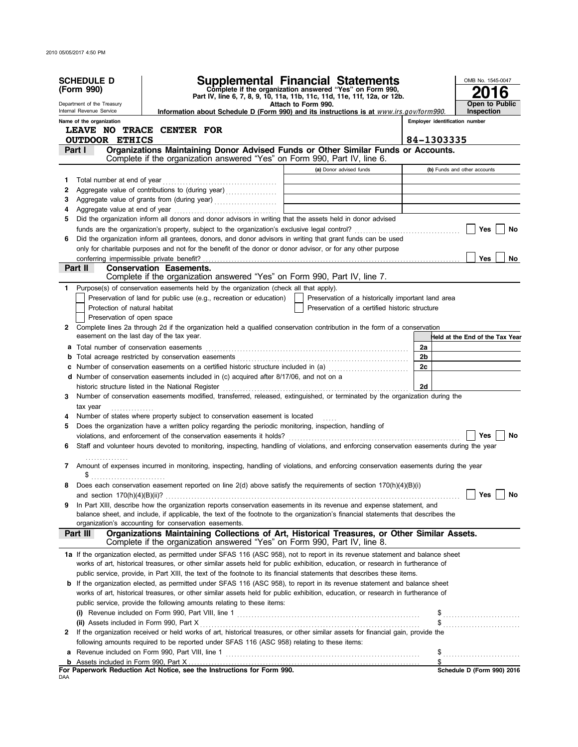|              | <b>SCHEDULE D</b><br>(Form 990)           |                                                                                                                                                                                                                                                             | <b>Supplemental Financial Statements</b><br>Complete if the organization answered "Yes" on Form 990,                  | OMB No. 1545-0047                                                |
|--------------|-------------------------------------------|-------------------------------------------------------------------------------------------------------------------------------------------------------------------------------------------------------------------------------------------------------------|-----------------------------------------------------------------------------------------------------------------------|------------------------------------------------------------------|
|              | Department of the Treasury                |                                                                                                                                                                                                                                                             | Part IV, line 6, 7, 8, 9, 10, 11a, 11b, 11c, 11d, 11e, 11f, 12a, or 12b.<br>Attach to Form 990.                       | Open to Public                                                   |
|              | Internal Revenue Service                  | Information about Schedule D (Form 990) and its instructions is at www.irs.gov/form990.                                                                                                                                                                     |                                                                                                                       | Inspection                                                       |
|              | Name of the organization                  |                                                                                                                                                                                                                                                             |                                                                                                                       | Employer identification number                                   |
|              |                                           | <b>LEAVE NO TRACE CENTER FOR</b>                                                                                                                                                                                                                            |                                                                                                                       |                                                                  |
|              | <b>OUTDOOR ETHICS</b>                     |                                                                                                                                                                                                                                                             |                                                                                                                       | 84-1303335                                                       |
|              | Part I                                    | Organizations Maintaining Donor Advised Funds or Other Similar Funds or Accounts.                                                                                                                                                                           |                                                                                                                       |                                                                  |
|              |                                           | Complete if the organization answered "Yes" on Form 990, Part IV, line 6.                                                                                                                                                                                   |                                                                                                                       |                                                                  |
|              |                                           |                                                                                                                                                                                                                                                             | (a) Donor advised funds                                                                                               | (b) Funds and other accounts                                     |
| 1            |                                           |                                                                                                                                                                                                                                                             |                                                                                                                       |                                                                  |
| 2            |                                           | Aggregate value of contributions to (during year)                                                                                                                                                                                                           | the control of the control of the control of the control of the control of                                            |                                                                  |
| 3            |                                           | Aggregate value of grants from (during year)                                                                                                                                                                                                                | <u> Linda a control de la control de la control de la control de la control de la control de la control de la con</u> |                                                                  |
| 4            |                                           |                                                                                                                                                                                                                                                             |                                                                                                                       |                                                                  |
| 5            |                                           | Did the organization inform all donors and donor advisors in writing that the assets held in donor advised                                                                                                                                                  |                                                                                                                       |                                                                  |
|              |                                           | Did the organization inform all grantees, donors, and donor advisors in writing that grant funds can be used                                                                                                                                                |                                                                                                                       | Yes<br>No                                                        |
| 6            |                                           |                                                                                                                                                                                                                                                             |                                                                                                                       |                                                                  |
|              | conferring impermissible private benefit? | only for charitable purposes and not for the benefit of the donor or donor advisor, or for any other purpose                                                                                                                                                |                                                                                                                       | Yes<br>No                                                        |
|              | Part II I                                 | <b>Conservation Easements.</b>                                                                                                                                                                                                                              |                                                                                                                       |                                                                  |
|              |                                           | Complete if the organization answered "Yes" on Form 990, Part IV, line 7.                                                                                                                                                                                   |                                                                                                                       |                                                                  |
| $\mathbf{1}$ |                                           | Purpose(s) of conservation easements held by the organization (check all that apply).                                                                                                                                                                       |                                                                                                                       |                                                                  |
|              |                                           | Preservation of land for public use (e.g., recreation or education)                                                                                                                                                                                         | Preservation of a historically important land area                                                                    |                                                                  |
|              | Protection of natural habitat             |                                                                                                                                                                                                                                                             | Preservation of a certified historic structure                                                                        |                                                                  |
|              | Preservation of open space                |                                                                                                                                                                                                                                                             |                                                                                                                       |                                                                  |
|              |                                           | 2 Complete lines 2a through 2d if the organization held a qualified conservation contribution in the form of a conservation                                                                                                                                 |                                                                                                                       |                                                                  |
|              | easement on the last day of the tax year. |                                                                                                                                                                                                                                                             |                                                                                                                       | Held at the End of the Tax Year                                  |
|              |                                           | a Total number of conservation easements [11] matter conservation conservation of the set of conservation easements [11] matter conservation easements [11] matter conservation except for the set of the set of the set of th                              |                                                                                                                       | 2a                                                               |
| b            |                                           |                                                                                                                                                                                                                                                             |                                                                                                                       | 2 <sub>b</sub>                                                   |
|              |                                           | c Number of conservation easements on a certified historic structure included in (a) [11] Number of conservation easements on a certified historic structure included in (a)                                                                                |                                                                                                                       | 2c                                                               |
|              |                                           | d Number of conservation easements included in (c) acquired after 8/17/06, and not on a                                                                                                                                                                     |                                                                                                                       |                                                                  |
|              |                                           | historic structure listed in the National Register                                                                                                                                                                                                          |                                                                                                                       | 2d                                                               |
| 3            |                                           | Number of conservation easements modified, transferred, released, extinguished, or terminated by the organization during the                                                                                                                                |                                                                                                                       |                                                                  |
|              | tax year                                  |                                                                                                                                                                                                                                                             |                                                                                                                       |                                                                  |
| 4            |                                           | Number of states where property subject to conservation easement is located                                                                                                                                                                                 |                                                                                                                       |                                                                  |
| 5            |                                           | Does the organization have a written policy regarding the periodic monitoring, inspection, handling of                                                                                                                                                      |                                                                                                                       |                                                                  |
|              |                                           |                                                                                                                                                                                                                                                             |                                                                                                                       | No<br>Yes                                                        |
| 6            |                                           | Staff and volunteer hours devoted to monitoring, inspecting, handling of violations, and enforcing conservation easements during the year                                                                                                                   |                                                                                                                       |                                                                  |
|              |                                           |                                                                                                                                                                                                                                                             |                                                                                                                       |                                                                  |
| 7            |                                           | Amount of expenses incurred in monitoring, inspecting, handling of violations, and enforcing conservation easements during the year                                                                                                                         |                                                                                                                       |                                                                  |
|              |                                           |                                                                                                                                                                                                                                                             |                                                                                                                       |                                                                  |
|              |                                           | Does each conservation easement reported on line 2(d) above satisfy the requirements of section 170(h)(4)(B)(i)                                                                                                                                             |                                                                                                                       |                                                                  |
|              |                                           |                                                                                                                                                                                                                                                             |                                                                                                                       |                                                                  |
| 9            |                                           | In Part XIII, describe how the organization reports conservation easements in its revenue and expense statement, and                                                                                                                                        |                                                                                                                       |                                                                  |
|              |                                           | balance sheet, and include, if applicable, the text of the footnote to the organization's financial statements that describes the                                                                                                                           |                                                                                                                       |                                                                  |
|              |                                           | organization's accounting for conservation easements.                                                                                                                                                                                                       |                                                                                                                       |                                                                  |
|              | Part III                                  | Organizations Maintaining Collections of Art, Historical Treasures, or Other Similar Assets.<br>Complete if the organization answered "Yes" on Form 990, Part IV, line 8.                                                                                   |                                                                                                                       |                                                                  |
|              |                                           |                                                                                                                                                                                                                                                             |                                                                                                                       |                                                                  |
|              |                                           | 1a If the organization elected, as permitted under SFAS 116 (ASC 958), not to report in its revenue statement and balance sheet                                                                                                                             |                                                                                                                       |                                                                  |
|              |                                           | works of art, historical treasures, or other similar assets held for public exhibition, education, or research in furtherance of<br>public service, provide, in Part XIII, the text of the footnote to its financial statements that describes these items. |                                                                                                                       |                                                                  |
|              |                                           |                                                                                                                                                                                                                                                             |                                                                                                                       |                                                                  |
|              |                                           | <b>b</b> If the organization elected, as permitted under SFAS 116 (ASC 958), to report in its revenue statement and balance sheet                                                                                                                           |                                                                                                                       |                                                                  |
|              |                                           | works of art, historical treasures, or other similar assets held for public exhibition, education, or research in furtherance of<br>public service, provide the following amounts relating to these items:                                                  |                                                                                                                       |                                                                  |
|              |                                           |                                                                                                                                                                                                                                                             |                                                                                                                       |                                                                  |
|              |                                           |                                                                                                                                                                                                                                                             |                                                                                                                       |                                                                  |
| 2            |                                           | If the organization received or held works of art, historical treasures, or other similar assets for financial gain, provide the                                                                                                                            |                                                                                                                       |                                                                  |
|              |                                           | following amounts required to be reported under SFAS 116 (ASC 958) relating to these items:                                                                                                                                                                 |                                                                                                                       |                                                                  |
| а            |                                           |                                                                                                                                                                                                                                                             |                                                                                                                       |                                                                  |
|              |                                           |                                                                                                                                                                                                                                                             |                                                                                                                       | $\$\ldots\ldots\ldots\ldots\ldots\ldots\ldots\ldots\ldots$<br>\$ |
|              |                                           | For Paperwork Reduction Act Notice, see the Instructions for Form 990.                                                                                                                                                                                      |                                                                                                                       | Schedule D (Form 990) 2016                                       |
| DAA          |                                           |                                                                                                                                                                                                                                                             |                                                                                                                       |                                                                  |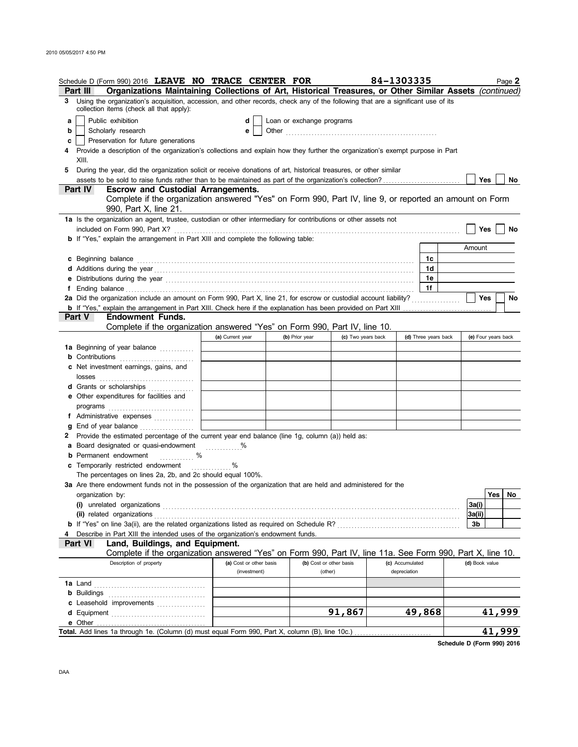|   | Schedule D (Form 990) 2016 LEAVE NO TRACE CENTER FOR                                                                                                                                                                                 |                         |                           |                         | 84-1303335           | Page 2              |
|---|--------------------------------------------------------------------------------------------------------------------------------------------------------------------------------------------------------------------------------------|-------------------------|---------------------------|-------------------------|----------------------|---------------------|
|   | Organizations Maintaining Collections of Art, Historical Treasures, or Other Similar Assets (continued)<br>Part III                                                                                                                  |                         |                           |                         |                      |                     |
| 3 | Using the organization's acquisition, accession, and other records, check any of the following that are a significant use of its<br>collection items (check all that apply):                                                         |                         |                           |                         |                      |                     |
| a | Public exhibition                                                                                                                                                                                                                    | d                       | Loan or exchange programs |                         |                      |                     |
| b | Scholarly research                                                                                                                                                                                                                   | е                       |                           |                         |                      |                     |
| c | Preservation for future generations                                                                                                                                                                                                  |                         |                           |                         |                      |                     |
| 4 | Provide a description of the organization's collections and explain how they further the organization's exempt purpose in Part                                                                                                       |                         |                           |                         |                      |                     |
|   | XIII.                                                                                                                                                                                                                                |                         |                           |                         |                      |                     |
| 5 | During the year, did the organization solicit or receive donations of art, historical treasures, or other similar                                                                                                                    |                         |                           |                         |                      |                     |
|   |                                                                                                                                                                                                                                      |                         |                           |                         |                      | Yes<br>No           |
|   | Part IV<br><b>Escrow and Custodial Arrangements.</b>                                                                                                                                                                                 |                         |                           |                         |                      |                     |
|   | Complete if the organization answered "Yes" on Form 990, Part IV, line 9, or reported an amount on Form                                                                                                                              |                         |                           |                         |                      |                     |
|   | 990, Part X, line 21.                                                                                                                                                                                                                |                         |                           |                         |                      |                     |
|   | 1a Is the organization an agent, trustee, custodian or other intermediary for contributions or other assets not                                                                                                                      |                         |                           |                         |                      |                     |
|   |                                                                                                                                                                                                                                      |                         |                           |                         |                      | Yes<br>No           |
|   | <b>b</b> If "Yes," explain the arrangement in Part XIII and complete the following table:                                                                                                                                            |                         |                           |                         |                      |                     |
|   |                                                                                                                                                                                                                                      |                         |                           |                         |                      | Amount              |
|   | c Beginning balance <b>contract the contract of the contract of the contract of the contract of the contract of the contract of the contract of the contract of the contract of the contract of the contract of the contract of </b> |                         |                           |                         | 1c                   |                     |
|   |                                                                                                                                                                                                                                      |                         |                           |                         | 1d                   |                     |
|   |                                                                                                                                                                                                                                      |                         |                           |                         | 1e                   |                     |
|   |                                                                                                                                                                                                                                      |                         |                           |                         | 1f                   |                     |
|   | 2a Did the organization include an amount on Form 990, Part X, line 21, for escrow or custodial account liability?                                                                                                                   |                         |                           |                         |                      | Yes<br>No           |
|   |                                                                                                                                                                                                                                      |                         |                           |                         |                      |                     |
|   | Part V<br>Endowment Funds.                                                                                                                                                                                                           |                         |                           |                         |                      |                     |
|   | Complete if the organization answered "Yes" on Form 990, Part IV, line 10.                                                                                                                                                           |                         |                           |                         |                      |                     |
|   |                                                                                                                                                                                                                                      | (a) Current year        | (b) Prior year            | (c) Two years back      | (d) Three years back | (e) Four years back |
|   | 1a Beginning of year balance                                                                                                                                                                                                         |                         |                           |                         |                      |                     |
|   | <b>b</b> Contributions <b>contributions</b>                                                                                                                                                                                          |                         |                           |                         |                      |                     |
|   | c Net investment earnings, gains, and                                                                                                                                                                                                |                         |                           |                         |                      |                     |
|   | d Grants or scholarships                                                                                                                                                                                                             |                         |                           |                         |                      |                     |
|   | <b>e</b> Other expenditures for facilities and                                                                                                                                                                                       |                         |                           |                         |                      |                     |
|   |                                                                                                                                                                                                                                      |                         |                           |                         |                      |                     |
|   | f Administrative expenses                                                                                                                                                                                                            |                         |                           |                         |                      |                     |
|   | g End of year balance                                                                                                                                                                                                                |                         |                           |                         |                      |                     |
|   | 2 Provide the estimated percentage of the current year end balance (line 1g, column (a)) held as:                                                                                                                                    |                         |                           |                         |                      |                     |
|   | a Board designated or quasi-endowment %                                                                                                                                                                                              |                         |                           |                         |                      |                     |
|   | $\sim$ %<br><b>b</b> Permanent endowment                                                                                                                                                                                             |                         |                           |                         |                      |                     |
|   | c Temporarily restricted endowment                                                                                                                                                                                                   |                         |                           |                         |                      |                     |
|   | The percentages on lines 2a, 2b, and 2c should equal 100%.                                                                                                                                                                           | .                       |                           |                         |                      |                     |
|   | 3a Are there endowment funds not in the possession of the organization that are held and administered for the                                                                                                                        |                         |                           |                         |                      |                     |
|   | organization by:                                                                                                                                                                                                                     |                         |                           |                         |                      | Yes   No            |
|   |                                                                                                                                                                                                                                      |                         |                           |                         |                      | 3a(i)               |
|   | (ii) related organizations                                                                                                                                                                                                           |                         |                           |                         |                      | 3a(ii)              |
|   |                                                                                                                                                                                                                                      |                         |                           |                         |                      | 3b                  |
| 4 | Describe in Part XIII the intended uses of the organization's endowment funds.                                                                                                                                                       |                         |                           |                         |                      |                     |
|   | Land, Buildings, and Equipment.<br>Part VI                                                                                                                                                                                           |                         |                           |                         |                      |                     |
|   | Complete if the organization answered "Yes" on Form 990, Part IV, line 11a. See Form 990, Part X, line 10.                                                                                                                           |                         |                           |                         |                      |                     |
|   | Description of property                                                                                                                                                                                                              | (a) Cost or other basis |                           | (b) Cost or other basis | (c) Accumulated      | (d) Book value      |
|   |                                                                                                                                                                                                                                      | (investment)            |                           | (other)                 | depreciation         |                     |
|   |                                                                                                                                                                                                                                      |                         |                           |                         |                      |                     |
|   |                                                                                                                                                                                                                                      |                         |                           |                         |                      |                     |
|   | c Leasehold improvements                                                                                                                                                                                                             |                         |                           |                         |                      |                     |
|   |                                                                                                                                                                                                                                      |                         |                           | 91,867                  | 49,868               | <u>41,999</u>       |
|   | e Other                                                                                                                                                                                                                              |                         |                           |                         |                      |                     |
|   | Total. Add lines 1a through 1e. (Column (d) must equal Form 990, Part X, column (B), line 10c.)                                                                                                                                      |                         |                           |                         |                      | 41,999              |

**Schedule D (Form 990) 2016**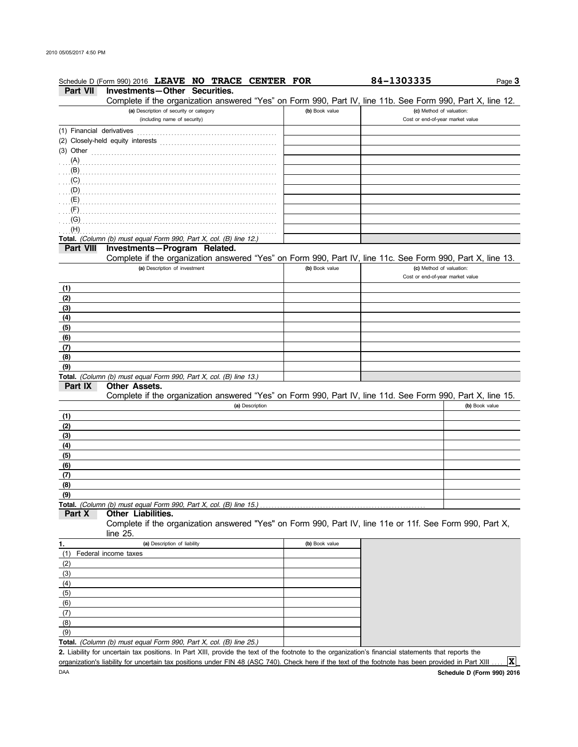| Investments-Other Securities.<br>Part VII<br>Complete if the organization answered "Yes" on Form 990, Part IV, line 11b. See Form 990, Part X, line 12.<br>(a) Description of security or category<br>(b) Book value<br>(c) Method of valuation:<br>(including name of security)<br>Cost or end-of-year market value<br>(1) Financial derivatives<br>$(3)$ Other<br>$(C)$ . The contract of the contract of the contract of the contract of the contract of the contract of the contract of the contract of the contract of the contract of the contract of the contract of the contract of the co<br>(G)<br>(H)<br>Total. (Column (b) must equal Form 990, Part X, col. (B) line 12.)<br>Investments-Program Related.<br>Part VIII<br>Complete if the organization answered "Yes" on Form 990, Part IV, line 11c. See Form 990, Part X, line 13.<br>(a) Description of investment<br>(b) Book value<br>(c) Method of valuation:<br>Cost or end-of-year market value<br>(1)<br>(2)<br>(3)<br>(4)<br>(5)<br>(6)<br>(7)<br>(8)<br>(9)<br>Total. (Column (b) must equal Form 990, Part X, col. (B) line 13.)<br>Part IX<br>Other Assets.<br>Complete if the organization answered "Yes" on Form 990, Part IV, line 11d. See Form 990, Part X, line 15.<br>(b) Book value<br>(a) Description<br>(1)<br>(2)<br>(3)<br>(4)<br>(5)<br>(6)<br>(7)<br>(8)<br>(9)<br>Total. (Column (b) must equal Form 990, Part X, col. (B) line 15.)<br>Other Liabilities.<br>Part X<br>Complete if the organization answered "Yes" on Form 990, Part IV, line 11e or 11f. See Form 990, Part X,<br>line $25$ .<br>(a) Description of liability<br>(b) Book value<br>1.<br>Federal income taxes<br>(1)<br>(2)<br>(3)<br>(4)<br>(5)<br>(6)<br>(7)<br>(8)<br>(9)<br>Total. (Column (b) must equal Form 990, Part X, col. (B) line 25.)<br>2. Liability for uncertain tax positions. In Part XIII, provide the text of the footnote to the organization's financial statements that reports the | Schedule D (Form 990) 2016 LEAVE NO TRACE CENTER FOR | 84-1303335 | Page 3 |
|-----------------------------------------------------------------------------------------------------------------------------------------------------------------------------------------------------------------------------------------------------------------------------------------------------------------------------------------------------------------------------------------------------------------------------------------------------------------------------------------------------------------------------------------------------------------------------------------------------------------------------------------------------------------------------------------------------------------------------------------------------------------------------------------------------------------------------------------------------------------------------------------------------------------------------------------------------------------------------------------------------------------------------------------------------------------------------------------------------------------------------------------------------------------------------------------------------------------------------------------------------------------------------------------------------------------------------------------------------------------------------------------------------------------------------------------------------------------------------------------------------------------------------------------------------------------------------------------------------------------------------------------------------------------------------------------------------------------------------------------------------------------------------------------------------------------------------------------------------------------------------------------------------------------------------------------------------------------------|------------------------------------------------------|------------|--------|
|                                                                                                                                                                                                                                                                                                                                                                                                                                                                                                                                                                                                                                                                                                                                                                                                                                                                                                                                                                                                                                                                                                                                                                                                                                                                                                                                                                                                                                                                                                                                                                                                                                                                                                                                                                                                                                                                                                                                                                       |                                                      |            |        |
|                                                                                                                                                                                                                                                                                                                                                                                                                                                                                                                                                                                                                                                                                                                                                                                                                                                                                                                                                                                                                                                                                                                                                                                                                                                                                                                                                                                                                                                                                                                                                                                                                                                                                                                                                                                                                                                                                                                                                                       |                                                      |            |        |
|                                                                                                                                                                                                                                                                                                                                                                                                                                                                                                                                                                                                                                                                                                                                                                                                                                                                                                                                                                                                                                                                                                                                                                                                                                                                                                                                                                                                                                                                                                                                                                                                                                                                                                                                                                                                                                                                                                                                                                       |                                                      |            |        |
|                                                                                                                                                                                                                                                                                                                                                                                                                                                                                                                                                                                                                                                                                                                                                                                                                                                                                                                                                                                                                                                                                                                                                                                                                                                                                                                                                                                                                                                                                                                                                                                                                                                                                                                                                                                                                                                                                                                                                                       |                                                      |            |        |
|                                                                                                                                                                                                                                                                                                                                                                                                                                                                                                                                                                                                                                                                                                                                                                                                                                                                                                                                                                                                                                                                                                                                                                                                                                                                                                                                                                                                                                                                                                                                                                                                                                                                                                                                                                                                                                                                                                                                                                       |                                                      |            |        |
|                                                                                                                                                                                                                                                                                                                                                                                                                                                                                                                                                                                                                                                                                                                                                                                                                                                                                                                                                                                                                                                                                                                                                                                                                                                                                                                                                                                                                                                                                                                                                                                                                                                                                                                                                                                                                                                                                                                                                                       |                                                      |            |        |
|                                                                                                                                                                                                                                                                                                                                                                                                                                                                                                                                                                                                                                                                                                                                                                                                                                                                                                                                                                                                                                                                                                                                                                                                                                                                                                                                                                                                                                                                                                                                                                                                                                                                                                                                                                                                                                                                                                                                                                       |                                                      |            |        |
|                                                                                                                                                                                                                                                                                                                                                                                                                                                                                                                                                                                                                                                                                                                                                                                                                                                                                                                                                                                                                                                                                                                                                                                                                                                                                                                                                                                                                                                                                                                                                                                                                                                                                                                                                                                                                                                                                                                                                                       |                                                      |            |        |
|                                                                                                                                                                                                                                                                                                                                                                                                                                                                                                                                                                                                                                                                                                                                                                                                                                                                                                                                                                                                                                                                                                                                                                                                                                                                                                                                                                                                                                                                                                                                                                                                                                                                                                                                                                                                                                                                                                                                                                       |                                                      |            |        |
|                                                                                                                                                                                                                                                                                                                                                                                                                                                                                                                                                                                                                                                                                                                                                                                                                                                                                                                                                                                                                                                                                                                                                                                                                                                                                                                                                                                                                                                                                                                                                                                                                                                                                                                                                                                                                                                                                                                                                                       |                                                      |            |        |
|                                                                                                                                                                                                                                                                                                                                                                                                                                                                                                                                                                                                                                                                                                                                                                                                                                                                                                                                                                                                                                                                                                                                                                                                                                                                                                                                                                                                                                                                                                                                                                                                                                                                                                                                                                                                                                                                                                                                                                       |                                                      |            |        |
|                                                                                                                                                                                                                                                                                                                                                                                                                                                                                                                                                                                                                                                                                                                                                                                                                                                                                                                                                                                                                                                                                                                                                                                                                                                                                                                                                                                                                                                                                                                                                                                                                                                                                                                                                                                                                                                                                                                                                                       |                                                      |            |        |
|                                                                                                                                                                                                                                                                                                                                                                                                                                                                                                                                                                                                                                                                                                                                                                                                                                                                                                                                                                                                                                                                                                                                                                                                                                                                                                                                                                                                                                                                                                                                                                                                                                                                                                                                                                                                                                                                                                                                                                       |                                                      |            |        |
|                                                                                                                                                                                                                                                                                                                                                                                                                                                                                                                                                                                                                                                                                                                                                                                                                                                                                                                                                                                                                                                                                                                                                                                                                                                                                                                                                                                                                                                                                                                                                                                                                                                                                                                                                                                                                                                                                                                                                                       |                                                      |            |        |
|                                                                                                                                                                                                                                                                                                                                                                                                                                                                                                                                                                                                                                                                                                                                                                                                                                                                                                                                                                                                                                                                                                                                                                                                                                                                                                                                                                                                                                                                                                                                                                                                                                                                                                                                                                                                                                                                                                                                                                       |                                                      |            |        |
|                                                                                                                                                                                                                                                                                                                                                                                                                                                                                                                                                                                                                                                                                                                                                                                                                                                                                                                                                                                                                                                                                                                                                                                                                                                                                                                                                                                                                                                                                                                                                                                                                                                                                                                                                                                                                                                                                                                                                                       |                                                      |            |        |
|                                                                                                                                                                                                                                                                                                                                                                                                                                                                                                                                                                                                                                                                                                                                                                                                                                                                                                                                                                                                                                                                                                                                                                                                                                                                                                                                                                                                                                                                                                                                                                                                                                                                                                                                                                                                                                                                                                                                                                       |                                                      |            |        |
|                                                                                                                                                                                                                                                                                                                                                                                                                                                                                                                                                                                                                                                                                                                                                                                                                                                                                                                                                                                                                                                                                                                                                                                                                                                                                                                                                                                                                                                                                                                                                                                                                                                                                                                                                                                                                                                                                                                                                                       |                                                      |            |        |
|                                                                                                                                                                                                                                                                                                                                                                                                                                                                                                                                                                                                                                                                                                                                                                                                                                                                                                                                                                                                                                                                                                                                                                                                                                                                                                                                                                                                                                                                                                                                                                                                                                                                                                                                                                                                                                                                                                                                                                       |                                                      |            |        |
|                                                                                                                                                                                                                                                                                                                                                                                                                                                                                                                                                                                                                                                                                                                                                                                                                                                                                                                                                                                                                                                                                                                                                                                                                                                                                                                                                                                                                                                                                                                                                                                                                                                                                                                                                                                                                                                                                                                                                                       |                                                      |            |        |
|                                                                                                                                                                                                                                                                                                                                                                                                                                                                                                                                                                                                                                                                                                                                                                                                                                                                                                                                                                                                                                                                                                                                                                                                                                                                                                                                                                                                                                                                                                                                                                                                                                                                                                                                                                                                                                                                                                                                                                       |                                                      |            |        |
|                                                                                                                                                                                                                                                                                                                                                                                                                                                                                                                                                                                                                                                                                                                                                                                                                                                                                                                                                                                                                                                                                                                                                                                                                                                                                                                                                                                                                                                                                                                                                                                                                                                                                                                                                                                                                                                                                                                                                                       |                                                      |            |        |
|                                                                                                                                                                                                                                                                                                                                                                                                                                                                                                                                                                                                                                                                                                                                                                                                                                                                                                                                                                                                                                                                                                                                                                                                                                                                                                                                                                                                                                                                                                                                                                                                                                                                                                                                                                                                                                                                                                                                                                       |                                                      |            |        |
|                                                                                                                                                                                                                                                                                                                                                                                                                                                                                                                                                                                                                                                                                                                                                                                                                                                                                                                                                                                                                                                                                                                                                                                                                                                                                                                                                                                                                                                                                                                                                                                                                                                                                                                                                                                                                                                                                                                                                                       |                                                      |            |        |
|                                                                                                                                                                                                                                                                                                                                                                                                                                                                                                                                                                                                                                                                                                                                                                                                                                                                                                                                                                                                                                                                                                                                                                                                                                                                                                                                                                                                                                                                                                                                                                                                                                                                                                                                                                                                                                                                                                                                                                       |                                                      |            |        |
|                                                                                                                                                                                                                                                                                                                                                                                                                                                                                                                                                                                                                                                                                                                                                                                                                                                                                                                                                                                                                                                                                                                                                                                                                                                                                                                                                                                                                                                                                                                                                                                                                                                                                                                                                                                                                                                                                                                                                                       |                                                      |            |        |
|                                                                                                                                                                                                                                                                                                                                                                                                                                                                                                                                                                                                                                                                                                                                                                                                                                                                                                                                                                                                                                                                                                                                                                                                                                                                                                                                                                                                                                                                                                                                                                                                                                                                                                                                                                                                                                                                                                                                                                       |                                                      |            |        |
|                                                                                                                                                                                                                                                                                                                                                                                                                                                                                                                                                                                                                                                                                                                                                                                                                                                                                                                                                                                                                                                                                                                                                                                                                                                                                                                                                                                                                                                                                                                                                                                                                                                                                                                                                                                                                                                                                                                                                                       |                                                      |            |        |
|                                                                                                                                                                                                                                                                                                                                                                                                                                                                                                                                                                                                                                                                                                                                                                                                                                                                                                                                                                                                                                                                                                                                                                                                                                                                                                                                                                                                                                                                                                                                                                                                                                                                                                                                                                                                                                                                                                                                                                       |                                                      |            |        |
|                                                                                                                                                                                                                                                                                                                                                                                                                                                                                                                                                                                                                                                                                                                                                                                                                                                                                                                                                                                                                                                                                                                                                                                                                                                                                                                                                                                                                                                                                                                                                                                                                                                                                                                                                                                                                                                                                                                                                                       |                                                      |            |        |
|                                                                                                                                                                                                                                                                                                                                                                                                                                                                                                                                                                                                                                                                                                                                                                                                                                                                                                                                                                                                                                                                                                                                                                                                                                                                                                                                                                                                                                                                                                                                                                                                                                                                                                                                                                                                                                                                                                                                                                       |                                                      |            |        |
|                                                                                                                                                                                                                                                                                                                                                                                                                                                                                                                                                                                                                                                                                                                                                                                                                                                                                                                                                                                                                                                                                                                                                                                                                                                                                                                                                                                                                                                                                                                                                                                                                                                                                                                                                                                                                                                                                                                                                                       |                                                      |            |        |
|                                                                                                                                                                                                                                                                                                                                                                                                                                                                                                                                                                                                                                                                                                                                                                                                                                                                                                                                                                                                                                                                                                                                                                                                                                                                                                                                                                                                                                                                                                                                                                                                                                                                                                                                                                                                                                                                                                                                                                       |                                                      |            |        |
|                                                                                                                                                                                                                                                                                                                                                                                                                                                                                                                                                                                                                                                                                                                                                                                                                                                                                                                                                                                                                                                                                                                                                                                                                                                                                                                                                                                                                                                                                                                                                                                                                                                                                                                                                                                                                                                                                                                                                                       |                                                      |            |        |
|                                                                                                                                                                                                                                                                                                                                                                                                                                                                                                                                                                                                                                                                                                                                                                                                                                                                                                                                                                                                                                                                                                                                                                                                                                                                                                                                                                                                                                                                                                                                                                                                                                                                                                                                                                                                                                                                                                                                                                       |                                                      |            |        |
|                                                                                                                                                                                                                                                                                                                                                                                                                                                                                                                                                                                                                                                                                                                                                                                                                                                                                                                                                                                                                                                                                                                                                                                                                                                                                                                                                                                                                                                                                                                                                                                                                                                                                                                                                                                                                                                                                                                                                                       |                                                      |            |        |
|                                                                                                                                                                                                                                                                                                                                                                                                                                                                                                                                                                                                                                                                                                                                                                                                                                                                                                                                                                                                                                                                                                                                                                                                                                                                                                                                                                                                                                                                                                                                                                                                                                                                                                                                                                                                                                                                                                                                                                       |                                                      |            |        |
|                                                                                                                                                                                                                                                                                                                                                                                                                                                                                                                                                                                                                                                                                                                                                                                                                                                                                                                                                                                                                                                                                                                                                                                                                                                                                                                                                                                                                                                                                                                                                                                                                                                                                                                                                                                                                                                                                                                                                                       |                                                      |            |        |
|                                                                                                                                                                                                                                                                                                                                                                                                                                                                                                                                                                                                                                                                                                                                                                                                                                                                                                                                                                                                                                                                                                                                                                                                                                                                                                                                                                                                                                                                                                                                                                                                                                                                                                                                                                                                                                                                                                                                                                       |                                                      |            |        |
|                                                                                                                                                                                                                                                                                                                                                                                                                                                                                                                                                                                                                                                                                                                                                                                                                                                                                                                                                                                                                                                                                                                                                                                                                                                                                                                                                                                                                                                                                                                                                                                                                                                                                                                                                                                                                                                                                                                                                                       |                                                      |            |        |
|                                                                                                                                                                                                                                                                                                                                                                                                                                                                                                                                                                                                                                                                                                                                                                                                                                                                                                                                                                                                                                                                                                                                                                                                                                                                                                                                                                                                                                                                                                                                                                                                                                                                                                                                                                                                                                                                                                                                                                       |                                                      |            |        |
|                                                                                                                                                                                                                                                                                                                                                                                                                                                                                                                                                                                                                                                                                                                                                                                                                                                                                                                                                                                                                                                                                                                                                                                                                                                                                                                                                                                                                                                                                                                                                                                                                                                                                                                                                                                                                                                                                                                                                                       |                                                      |            |        |
|                                                                                                                                                                                                                                                                                                                                                                                                                                                                                                                                                                                                                                                                                                                                                                                                                                                                                                                                                                                                                                                                                                                                                                                                                                                                                                                                                                                                                                                                                                                                                                                                                                                                                                                                                                                                                                                                                                                                                                       |                                                      |            |        |
|                                                                                                                                                                                                                                                                                                                                                                                                                                                                                                                                                                                                                                                                                                                                                                                                                                                                                                                                                                                                                                                                                                                                                                                                                                                                                                                                                                                                                                                                                                                                                                                                                                                                                                                                                                                                                                                                                                                                                                       |                                                      |            |        |
|                                                                                                                                                                                                                                                                                                                                                                                                                                                                                                                                                                                                                                                                                                                                                                                                                                                                                                                                                                                                                                                                                                                                                                                                                                                                                                                                                                                                                                                                                                                                                                                                                                                                                                                                                                                                                                                                                                                                                                       |                                                      |            |        |
|                                                                                                                                                                                                                                                                                                                                                                                                                                                                                                                                                                                                                                                                                                                                                                                                                                                                                                                                                                                                                                                                                                                                                                                                                                                                                                                                                                                                                                                                                                                                                                                                                                                                                                                                                                                                                                                                                                                                                                       |                                                      |            |        |
|                                                                                                                                                                                                                                                                                                                                                                                                                                                                                                                                                                                                                                                                                                                                                                                                                                                                                                                                                                                                                                                                                                                                                                                                                                                                                                                                                                                                                                                                                                                                                                                                                                                                                                                                                                                                                                                                                                                                                                       |                                                      |            |        |
|                                                                                                                                                                                                                                                                                                                                                                                                                                                                                                                                                                                                                                                                                                                                                                                                                                                                                                                                                                                                                                                                                                                                                                                                                                                                                                                                                                                                                                                                                                                                                                                                                                                                                                                                                                                                                                                                                                                                                                       |                                                      |            |        |
|                                                                                                                                                                                                                                                                                                                                                                                                                                                                                                                                                                                                                                                                                                                                                                                                                                                                                                                                                                                                                                                                                                                                                                                                                                                                                                                                                                                                                                                                                                                                                                                                                                                                                                                                                                                                                                                                                                                                                                       |                                                      |            |        |
|                                                                                                                                                                                                                                                                                                                                                                                                                                                                                                                                                                                                                                                                                                                                                                                                                                                                                                                                                                                                                                                                                                                                                                                                                                                                                                                                                                                                                                                                                                                                                                                                                                                                                                                                                                                                                                                                                                                                                                       |                                                      |            |        |
|                                                                                                                                                                                                                                                                                                                                                                                                                                                                                                                                                                                                                                                                                                                                                                                                                                                                                                                                                                                                                                                                                                                                                                                                                                                                                                                                                                                                                                                                                                                                                                                                                                                                                                                                                                                                                                                                                                                                                                       |                                                      |            |        |
|                                                                                                                                                                                                                                                                                                                                                                                                                                                                                                                                                                                                                                                                                                                                                                                                                                                                                                                                                                                                                                                                                                                                                                                                                                                                                                                                                                                                                                                                                                                                                                                                                                                                                                                                                                                                                                                                                                                                                                       |                                                      |            |        |
|                                                                                                                                                                                                                                                                                                                                                                                                                                                                                                                                                                                                                                                                                                                                                                                                                                                                                                                                                                                                                                                                                                                                                                                                                                                                                                                                                                                                                                                                                                                                                                                                                                                                                                                                                                                                                                                                                                                                                                       |                                                      |            |        |
|                                                                                                                                                                                                                                                                                                                                                                                                                                                                                                                                                                                                                                                                                                                                                                                                                                                                                                                                                                                                                                                                                                                                                                                                                                                                                                                                                                                                                                                                                                                                                                                                                                                                                                                                                                                                                                                                                                                                                                       |                                                      |            |        |
|                                                                                                                                                                                                                                                                                                                                                                                                                                                                                                                                                                                                                                                                                                                                                                                                                                                                                                                                                                                                                                                                                                                                                                                                                                                                                                                                                                                                                                                                                                                                                                                                                                                                                                                                                                                                                                                                                                                                                                       |                                                      |            |        |
|                                                                                                                                                                                                                                                                                                                                                                                                                                                                                                                                                                                                                                                                                                                                                                                                                                                                                                                                                                                                                                                                                                                                                                                                                                                                                                                                                                                                                                                                                                                                                                                                                                                                                                                                                                                                                                                                                                                                                                       |                                                      |            |        |
|                                                                                                                                                                                                                                                                                                                                                                                                                                                                                                                                                                                                                                                                                                                                                                                                                                                                                                                                                                                                                                                                                                                                                                                                                                                                                                                                                                                                                                                                                                                                                                                                                                                                                                                                                                                                                                                                                                                                                                       |                                                      |            |        |
|                                                                                                                                                                                                                                                                                                                                                                                                                                                                                                                                                                                                                                                                                                                                                                                                                                                                                                                                                                                                                                                                                                                                                                                                                                                                                                                                                                                                                                                                                                                                                                                                                                                                                                                                                                                                                                                                                                                                                                       |                                                      |            |        |

**Schedule D (Form 990) 2016** DAA organization's liability for uncertain tax positions under FIN 48 (ASC 740). Check here if the text of the footnote has been provided in Part XIII .... **2.** Liability for uncertain tax positions. In Part XIII, provide the text of the footnote to the organization's financial statements that reports the organization's liability for uncertain tax positions under FIN 48 (ASC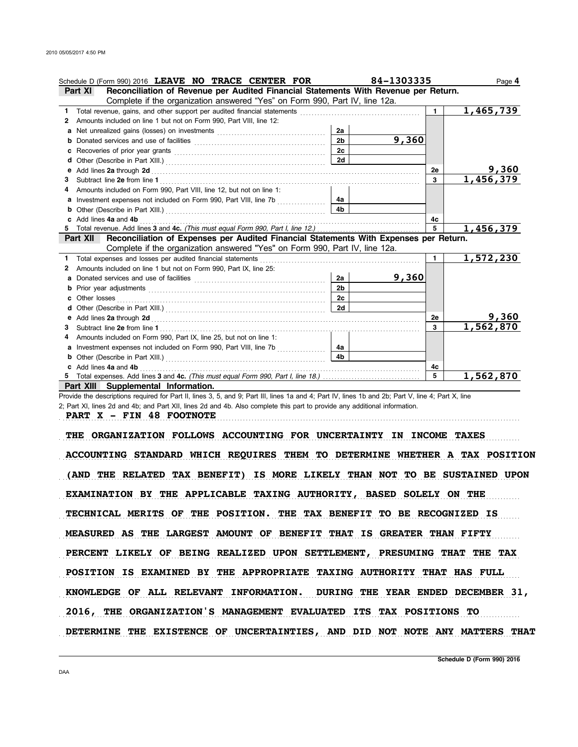|    | Schedule D (Form 990) 2016 LEAVE NO TRACE CENTER FOR                                                                  |                | 84-1303335 |              | Page 4    |
|----|-----------------------------------------------------------------------------------------------------------------------|----------------|------------|--------------|-----------|
|    | Reconciliation of Revenue per Audited Financial Statements With Revenue per Return.<br>Part XI                        |                |            |              |           |
|    | Complete if the organization answered "Yes" on Form 990, Part IV, line 12a.                                           |                |            |              |           |
| 1. | Total revenue, gains, and other support per audited financial statements                                              |                |            | $\mathbf{1}$ | 1,465,739 |
| 2  | Amounts included on line 1 but not on Form 990, Part VIII, line 12:                                                   |                |            |              |           |
| a  |                                                                                                                       | 2a             |            |              |           |
| b  |                                                                                                                       | 2 <sub>b</sub> | 9,360      |              |           |
| c  | Recoveries of prior year grants [11] Recoveries of prior year grants [11] Recoveries of prior year grants [11]        | 2c             |            |              |           |
| d  |                                                                                                                       | 2d             |            |              |           |
| е  | Add lines 2a through 2d [11] Add [11] Add [11] Add lines 2a through 2d [11] Add lines 2a through 2d [11] Add lines 2. |                |            | 2е           | 9,360     |
| з  |                                                                                                                       |                |            | 3            | 1,456,379 |
|    | Amounts included on Form 990, Part VIII, line 12, but not on line 1:                                                  |                |            |              |           |
| a  | Investment expenses not included on Form 990, Part VIII, line 7b                                                      | 4а             |            |              |           |
| b  |                                                                                                                       | 4 <sub>h</sub> |            |              |           |
| C  | Add lines 4a and 4b                                                                                                   |                |            | 4c           |           |
| 5. |                                                                                                                       |                |            | 5            | 1,456,379 |
|    | Reconciliation of Expenses per Audited Financial Statements With Expenses per Return.<br>Part XII                     |                |            |              |           |
|    | Complete if the organization answered "Yes" on Form 990, Part IV, line 12a.                                           |                |            |              |           |
| 1  | Total expenses and losses per audited financial statements                                                            |                |            | $\mathbf{1}$ | 1,572,230 |
| 2  | Amounts included on line 1 but not on Form 990, Part IX, line 25:                                                     |                |            |              |           |
| a  |                                                                                                                       | 2a             | 9,360      |              |           |
| b  |                                                                                                                       | 2 <sub>b</sub> |            |              |           |
| с  | Other losses                                                                                                          | 2c             |            |              |           |
|    |                                                                                                                       | 2d             |            |              |           |
| е  |                                                                                                                       |                |            | 2е           | 9,360     |
| 3  |                                                                                                                       |                |            | 3            | 1,562,870 |
| 4  | Amounts included on Form 990, Part IX, line 25, but not on line 1:                                                    |                |            |              |           |
| a  |                                                                                                                       | 4a             |            |              |           |
| b  |                                                                                                                       | 4 <sub>b</sub> |            |              |           |
|    | Add lines 4a and 4b                                                                                                   |                |            | 4c           |           |
|    |                                                                                                                       |                |            | 5            | 1,562,870 |
|    | Part XIII Supplemental Information.                                                                                   |                |            |              |           |

Provide the descriptions required for Part II, lines 3, 5, and 9; Part III, lines 1a and 4; Part IV, lines 1b and 2b; Part V, line 4; Part X, line 2; Part XI, lines 2d and 4b; and Part XII, lines 2d and 4b. Also complete this part to provide any additional information.

**PART X - FIN 48 FOOTNOTE**

THE ORGANIZATION FOLLOWS ACCOUNTING FOR UNCERTAINTY IN INCOME TAXES

. . . . . . . . . . . . . . . . . . . . . . . . . . . . . . . . . . . . . . . . . . . . . . . . . . . . . . . . . . . . . . . . . . . . . . . . . . . . . . . . . . . . . . . . . . . . . . . . . . . . . . . . . . . . . . . . . . . . . . . . . . . . . . . . . . . . . . . . . . . . . . . . . . . . . . . . . . . . . . . . .

ACCOUNTING STANDARD WHICH REQUIRES THEM TO DETERMINE WHETHER A TAX POSITION (AND THE RELATED TAX BENEFIT) IS MORE LIKELY THAN NOT TO BE SUSTAINED UPON EXAMINATION BY THE APPLICABLE TAXING AUTHORITY, BASED SOLELY ON THE TECHNICAL MERITS OF THE POSITION. THE TAX BENEFIT TO BE RECOGNIZED IS MEASURED AS THE LARGEST AMOUNT OF BENEFIT THAT IS GREATER THAN FIFTY KNOWLEDGE OF ALL RELEVANT INFORMATION. DURING THE YEAR ENDED DECEMBER 31, PERCENT LIKELY OF BEING REALIZED UPON SETTLEMENT, PRESUMING THAT THE TAX POSITION IS EXAMINED BY THE APPROPRIATE TAXING AUTHORITY THAT HAS FULL 2016, THE ORGANIZATION'S MANAGEMENT EVALUATED ITS TAX POSITIONS TO DETERMINE THE EXISTENCE OF UNCERTAINTIES, AND DID NOT NOTE ANY MATTERS THAT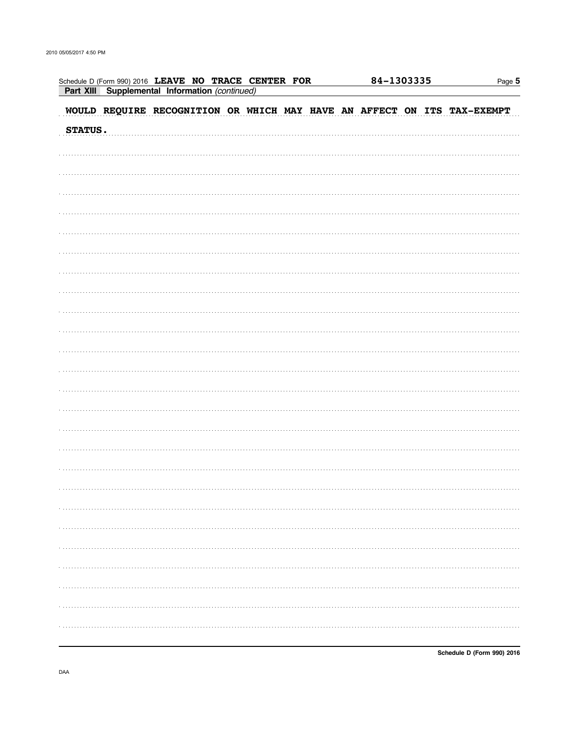| Schedule D (Form 990) 2016 LEAVE NO TRACE CENTER FOR<br>Part XIII Supplemental Information (continued) |  | 84-1303335 | Page 5 |  |  |   |
|--------------------------------------------------------------------------------------------------------|--|------------|--------|--|--|---|
| WOULD REQUIRE RECOGNITION OR WHICH MAY HAVE AN AFFECT ON ITS TAX-EXEMPT                                |  |            |        |  |  |   |
| STATUS.                                                                                                |  |            |        |  |  |   |
|                                                                                                        |  |            |        |  |  |   |
|                                                                                                        |  |            |        |  |  |   |
|                                                                                                        |  |            |        |  |  |   |
|                                                                                                        |  |            |        |  |  |   |
|                                                                                                        |  |            |        |  |  |   |
|                                                                                                        |  |            |        |  |  |   |
|                                                                                                        |  |            |        |  |  |   |
|                                                                                                        |  |            |        |  |  |   |
|                                                                                                        |  |            |        |  |  |   |
|                                                                                                        |  |            |        |  |  |   |
|                                                                                                        |  |            |        |  |  |   |
|                                                                                                        |  |            |        |  |  |   |
|                                                                                                        |  |            |        |  |  |   |
|                                                                                                        |  |            |        |  |  |   |
|                                                                                                        |  |            |        |  |  |   |
|                                                                                                        |  |            |        |  |  |   |
|                                                                                                        |  |            |        |  |  |   |
|                                                                                                        |  |            |        |  |  |   |
|                                                                                                        |  |            |        |  |  |   |
|                                                                                                        |  |            |        |  |  |   |
|                                                                                                        |  |            |        |  |  |   |
|                                                                                                        |  |            |        |  |  |   |
|                                                                                                        |  |            |        |  |  |   |
|                                                                                                        |  |            |        |  |  | . |
|                                                                                                        |  |            |        |  |  |   |
|                                                                                                        |  |            |        |  |  |   |

Schedule D (Form 990) 2016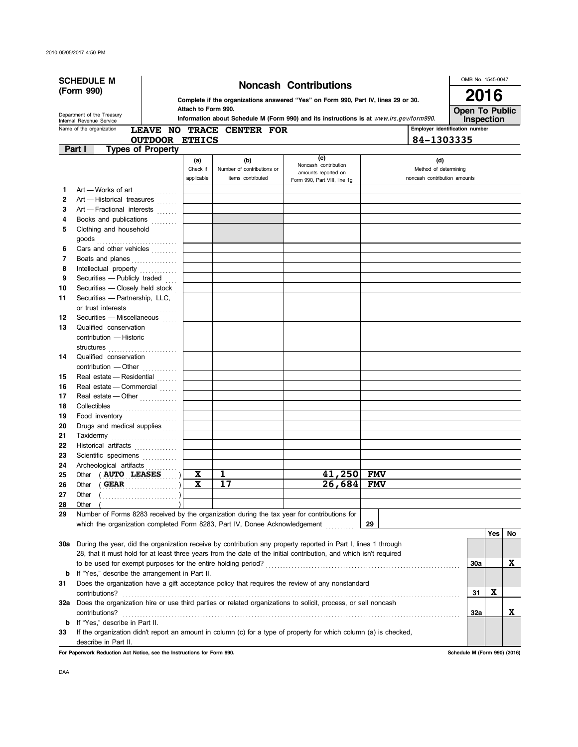| (Form 990)<br>2016<br>Complete if the organizations answered "Yes" on Form 990, Part IV, lines 29 or 30.<br>Attach to Form 990.<br><b>Open To Public</b><br>Department of the Treasury<br>Information about Schedule M (Form 990) and its instructions is at www.irs.gov/form990.<br>Inspection<br>Internal Revenue Service<br>Employer identification number<br>Name of the organization<br>LEAVE NO TRACE CENTER FOR<br><b>OUTDOOR ETHICS</b><br>84-1303335<br><b>Types of Property</b><br>Part I<br>(c)<br>(a)<br>(b)<br>(d)<br>Noncash contribution<br>Check if<br>Number of contributions or<br>Method of determining<br>amounts reported on<br>applicable<br>noncash contribution amounts<br>items contributed<br>Form 990, Part VIII, line 1g<br>Art - Works of art<br>1<br>Art - Historical treasures<br>2<br>Art - Fractional interests<br>3<br>Books and publications<br>4<br>Clothing and household<br>5<br>6<br>Cars and other vehicles<br>7<br>Boats and planes<br>8<br>Intellectual property<br>Securities - Publicly traded<br>9<br>Securities - Closely held stock<br>10<br>Securities - Partnership, LLC,<br>11<br>or trust interests<br>Securities - Miscellaneous<br>12<br>13<br>Qualified conservation<br>contribution - Historic<br>Qualified conservation<br>14<br>contribution - Other<br>Real estate - Residential<br>15<br>Real estate - Commercial<br>16<br>Real estate - Other<br>17<br>18<br>Collectibles<br>Food inventory<br>19<br>Drugs and medical supplies<br>20<br>21<br>Taxidermy<br>22<br>Historical artifacts<br>23<br>Scientific specimens<br>24<br>Archeological artifacts<br>1<br>41,250<br>Other ( AUTO LEASES<br>X<br><b>FMV</b><br>25<br>26,684<br>17<br>Other (GEAR<br>X<br><b>FMV</b><br>26<br>27<br>Other<br>28<br>29<br>Number of Forms 8283 received by the organization during the tax year for contributions for<br>which the organization completed Form 8283, Part IV, Donee Acknowledgement<br>29<br>Yes<br>No<br>30a During the year, did the organization receive by contribution any property reported in Part I, lines 1 through<br>28, that it must hold for at least three years from the date of the initial contribution, and which isn't required<br>X.<br>30a<br>If "Yes," describe the arrangement in Part II.<br>b<br>Does the organization have a gift acceptance policy that requires the review of any nonstandard<br>31<br>X<br>contributions?<br>31<br>Does the organization hire or use third parties or related organizations to solicit, process, or sell noncash<br>32a<br>x<br>32a<br>contributions?<br>If "Yes," describe in Part II.<br>b<br>If the organization didn't report an amount in column (c) for a type of property for which column (a) is checked,<br>33<br>describe in Part II.<br>For Paperwork Reduction Act Notice, see the Instructions for Form 990.<br>Schedule M (Form 990) (2016) | <b>SCHEDULE M</b> |  |  |  |                              |  |  |  |  |  |  |  |  |  |  | OMB No. 1545-0047 |  |  |
|-------------------------------------------------------------------------------------------------------------------------------------------------------------------------------------------------------------------------------------------------------------------------------------------------------------------------------------------------------------------------------------------------------------------------------------------------------------------------------------------------------------------------------------------------------------------------------------------------------------------------------------------------------------------------------------------------------------------------------------------------------------------------------------------------------------------------------------------------------------------------------------------------------------------------------------------------------------------------------------------------------------------------------------------------------------------------------------------------------------------------------------------------------------------------------------------------------------------------------------------------------------------------------------------------------------------------------------------------------------------------------------------------------------------------------------------------------------------------------------------------------------------------------------------------------------------------------------------------------------------------------------------------------------------------------------------------------------------------------------------------------------------------------------------------------------------------------------------------------------------------------------------------------------------------------------------------------------------------------------------------------------------------------------------------------------------------------------------------------------------------------------------------------------------------------------------------------------------------------------------------------------------------------------------------------------------------------------------------------------------------------------------------------------------------------------------------------------------------------------------------------------------------------------------------------------------------------------------------------------------------------------------------------------------------------------------------------------------------------------------------------------------------------------------------------------------------------------------------------------------------------------|-------------------|--|--|--|------------------------------|--|--|--|--|--|--|--|--|--|--|-------------------|--|--|
|                                                                                                                                                                                                                                                                                                                                                                                                                                                                                                                                                                                                                                                                                                                                                                                                                                                                                                                                                                                                                                                                                                                                                                                                                                                                                                                                                                                                                                                                                                                                                                                                                                                                                                                                                                                                                                                                                                                                                                                                                                                                                                                                                                                                                                                                                                                                                                                                                                                                                                                                                                                                                                                                                                                                                                                                                                                                                     |                   |  |  |  | <b>Noncash Contributions</b> |  |  |  |  |  |  |  |  |  |  |                   |  |  |
|                                                                                                                                                                                                                                                                                                                                                                                                                                                                                                                                                                                                                                                                                                                                                                                                                                                                                                                                                                                                                                                                                                                                                                                                                                                                                                                                                                                                                                                                                                                                                                                                                                                                                                                                                                                                                                                                                                                                                                                                                                                                                                                                                                                                                                                                                                                                                                                                                                                                                                                                                                                                                                                                                                                                                                                                                                                                                     |                   |  |  |  |                              |  |  |  |  |  |  |  |  |  |  |                   |  |  |
|                                                                                                                                                                                                                                                                                                                                                                                                                                                                                                                                                                                                                                                                                                                                                                                                                                                                                                                                                                                                                                                                                                                                                                                                                                                                                                                                                                                                                                                                                                                                                                                                                                                                                                                                                                                                                                                                                                                                                                                                                                                                                                                                                                                                                                                                                                                                                                                                                                                                                                                                                                                                                                                                                                                                                                                                                                                                                     |                   |  |  |  |                              |  |  |  |  |  |  |  |  |  |  |                   |  |  |
|                                                                                                                                                                                                                                                                                                                                                                                                                                                                                                                                                                                                                                                                                                                                                                                                                                                                                                                                                                                                                                                                                                                                                                                                                                                                                                                                                                                                                                                                                                                                                                                                                                                                                                                                                                                                                                                                                                                                                                                                                                                                                                                                                                                                                                                                                                                                                                                                                                                                                                                                                                                                                                                                                                                                                                                                                                                                                     |                   |  |  |  |                              |  |  |  |  |  |  |  |  |  |  |                   |  |  |
|                                                                                                                                                                                                                                                                                                                                                                                                                                                                                                                                                                                                                                                                                                                                                                                                                                                                                                                                                                                                                                                                                                                                                                                                                                                                                                                                                                                                                                                                                                                                                                                                                                                                                                                                                                                                                                                                                                                                                                                                                                                                                                                                                                                                                                                                                                                                                                                                                                                                                                                                                                                                                                                                                                                                                                                                                                                                                     |                   |  |  |  |                              |  |  |  |  |  |  |  |  |  |  |                   |  |  |
|                                                                                                                                                                                                                                                                                                                                                                                                                                                                                                                                                                                                                                                                                                                                                                                                                                                                                                                                                                                                                                                                                                                                                                                                                                                                                                                                                                                                                                                                                                                                                                                                                                                                                                                                                                                                                                                                                                                                                                                                                                                                                                                                                                                                                                                                                                                                                                                                                                                                                                                                                                                                                                                                                                                                                                                                                                                                                     |                   |  |  |  |                              |  |  |  |  |  |  |  |  |  |  |                   |  |  |
|                                                                                                                                                                                                                                                                                                                                                                                                                                                                                                                                                                                                                                                                                                                                                                                                                                                                                                                                                                                                                                                                                                                                                                                                                                                                                                                                                                                                                                                                                                                                                                                                                                                                                                                                                                                                                                                                                                                                                                                                                                                                                                                                                                                                                                                                                                                                                                                                                                                                                                                                                                                                                                                                                                                                                                                                                                                                                     |                   |  |  |  |                              |  |  |  |  |  |  |  |  |  |  |                   |  |  |
|                                                                                                                                                                                                                                                                                                                                                                                                                                                                                                                                                                                                                                                                                                                                                                                                                                                                                                                                                                                                                                                                                                                                                                                                                                                                                                                                                                                                                                                                                                                                                                                                                                                                                                                                                                                                                                                                                                                                                                                                                                                                                                                                                                                                                                                                                                                                                                                                                                                                                                                                                                                                                                                                                                                                                                                                                                                                                     |                   |  |  |  |                              |  |  |  |  |  |  |  |  |  |  |                   |  |  |
|                                                                                                                                                                                                                                                                                                                                                                                                                                                                                                                                                                                                                                                                                                                                                                                                                                                                                                                                                                                                                                                                                                                                                                                                                                                                                                                                                                                                                                                                                                                                                                                                                                                                                                                                                                                                                                                                                                                                                                                                                                                                                                                                                                                                                                                                                                                                                                                                                                                                                                                                                                                                                                                                                                                                                                                                                                                                                     |                   |  |  |  |                              |  |  |  |  |  |  |  |  |  |  |                   |  |  |
|                                                                                                                                                                                                                                                                                                                                                                                                                                                                                                                                                                                                                                                                                                                                                                                                                                                                                                                                                                                                                                                                                                                                                                                                                                                                                                                                                                                                                                                                                                                                                                                                                                                                                                                                                                                                                                                                                                                                                                                                                                                                                                                                                                                                                                                                                                                                                                                                                                                                                                                                                                                                                                                                                                                                                                                                                                                                                     |                   |  |  |  |                              |  |  |  |  |  |  |  |  |  |  |                   |  |  |
|                                                                                                                                                                                                                                                                                                                                                                                                                                                                                                                                                                                                                                                                                                                                                                                                                                                                                                                                                                                                                                                                                                                                                                                                                                                                                                                                                                                                                                                                                                                                                                                                                                                                                                                                                                                                                                                                                                                                                                                                                                                                                                                                                                                                                                                                                                                                                                                                                                                                                                                                                                                                                                                                                                                                                                                                                                                                                     |                   |  |  |  |                              |  |  |  |  |  |  |  |  |  |  |                   |  |  |
|                                                                                                                                                                                                                                                                                                                                                                                                                                                                                                                                                                                                                                                                                                                                                                                                                                                                                                                                                                                                                                                                                                                                                                                                                                                                                                                                                                                                                                                                                                                                                                                                                                                                                                                                                                                                                                                                                                                                                                                                                                                                                                                                                                                                                                                                                                                                                                                                                                                                                                                                                                                                                                                                                                                                                                                                                                                                                     |                   |  |  |  |                              |  |  |  |  |  |  |  |  |  |  |                   |  |  |
|                                                                                                                                                                                                                                                                                                                                                                                                                                                                                                                                                                                                                                                                                                                                                                                                                                                                                                                                                                                                                                                                                                                                                                                                                                                                                                                                                                                                                                                                                                                                                                                                                                                                                                                                                                                                                                                                                                                                                                                                                                                                                                                                                                                                                                                                                                                                                                                                                                                                                                                                                                                                                                                                                                                                                                                                                                                                                     |                   |  |  |  |                              |  |  |  |  |  |  |  |  |  |  |                   |  |  |
|                                                                                                                                                                                                                                                                                                                                                                                                                                                                                                                                                                                                                                                                                                                                                                                                                                                                                                                                                                                                                                                                                                                                                                                                                                                                                                                                                                                                                                                                                                                                                                                                                                                                                                                                                                                                                                                                                                                                                                                                                                                                                                                                                                                                                                                                                                                                                                                                                                                                                                                                                                                                                                                                                                                                                                                                                                                                                     |                   |  |  |  |                              |  |  |  |  |  |  |  |  |  |  |                   |  |  |
|                                                                                                                                                                                                                                                                                                                                                                                                                                                                                                                                                                                                                                                                                                                                                                                                                                                                                                                                                                                                                                                                                                                                                                                                                                                                                                                                                                                                                                                                                                                                                                                                                                                                                                                                                                                                                                                                                                                                                                                                                                                                                                                                                                                                                                                                                                                                                                                                                                                                                                                                                                                                                                                                                                                                                                                                                                                                                     |                   |  |  |  |                              |  |  |  |  |  |  |  |  |  |  |                   |  |  |
|                                                                                                                                                                                                                                                                                                                                                                                                                                                                                                                                                                                                                                                                                                                                                                                                                                                                                                                                                                                                                                                                                                                                                                                                                                                                                                                                                                                                                                                                                                                                                                                                                                                                                                                                                                                                                                                                                                                                                                                                                                                                                                                                                                                                                                                                                                                                                                                                                                                                                                                                                                                                                                                                                                                                                                                                                                                                                     |                   |  |  |  |                              |  |  |  |  |  |  |  |  |  |  |                   |  |  |
|                                                                                                                                                                                                                                                                                                                                                                                                                                                                                                                                                                                                                                                                                                                                                                                                                                                                                                                                                                                                                                                                                                                                                                                                                                                                                                                                                                                                                                                                                                                                                                                                                                                                                                                                                                                                                                                                                                                                                                                                                                                                                                                                                                                                                                                                                                                                                                                                                                                                                                                                                                                                                                                                                                                                                                                                                                                                                     |                   |  |  |  |                              |  |  |  |  |  |  |  |  |  |  |                   |  |  |
|                                                                                                                                                                                                                                                                                                                                                                                                                                                                                                                                                                                                                                                                                                                                                                                                                                                                                                                                                                                                                                                                                                                                                                                                                                                                                                                                                                                                                                                                                                                                                                                                                                                                                                                                                                                                                                                                                                                                                                                                                                                                                                                                                                                                                                                                                                                                                                                                                                                                                                                                                                                                                                                                                                                                                                                                                                                                                     |                   |  |  |  |                              |  |  |  |  |  |  |  |  |  |  |                   |  |  |
|                                                                                                                                                                                                                                                                                                                                                                                                                                                                                                                                                                                                                                                                                                                                                                                                                                                                                                                                                                                                                                                                                                                                                                                                                                                                                                                                                                                                                                                                                                                                                                                                                                                                                                                                                                                                                                                                                                                                                                                                                                                                                                                                                                                                                                                                                                                                                                                                                                                                                                                                                                                                                                                                                                                                                                                                                                                                                     |                   |  |  |  |                              |  |  |  |  |  |  |  |  |  |  |                   |  |  |
|                                                                                                                                                                                                                                                                                                                                                                                                                                                                                                                                                                                                                                                                                                                                                                                                                                                                                                                                                                                                                                                                                                                                                                                                                                                                                                                                                                                                                                                                                                                                                                                                                                                                                                                                                                                                                                                                                                                                                                                                                                                                                                                                                                                                                                                                                                                                                                                                                                                                                                                                                                                                                                                                                                                                                                                                                                                                                     |                   |  |  |  |                              |  |  |  |  |  |  |  |  |  |  |                   |  |  |
|                                                                                                                                                                                                                                                                                                                                                                                                                                                                                                                                                                                                                                                                                                                                                                                                                                                                                                                                                                                                                                                                                                                                                                                                                                                                                                                                                                                                                                                                                                                                                                                                                                                                                                                                                                                                                                                                                                                                                                                                                                                                                                                                                                                                                                                                                                                                                                                                                                                                                                                                                                                                                                                                                                                                                                                                                                                                                     |                   |  |  |  |                              |  |  |  |  |  |  |  |  |  |  |                   |  |  |
|                                                                                                                                                                                                                                                                                                                                                                                                                                                                                                                                                                                                                                                                                                                                                                                                                                                                                                                                                                                                                                                                                                                                                                                                                                                                                                                                                                                                                                                                                                                                                                                                                                                                                                                                                                                                                                                                                                                                                                                                                                                                                                                                                                                                                                                                                                                                                                                                                                                                                                                                                                                                                                                                                                                                                                                                                                                                                     |                   |  |  |  |                              |  |  |  |  |  |  |  |  |  |  |                   |  |  |
|                                                                                                                                                                                                                                                                                                                                                                                                                                                                                                                                                                                                                                                                                                                                                                                                                                                                                                                                                                                                                                                                                                                                                                                                                                                                                                                                                                                                                                                                                                                                                                                                                                                                                                                                                                                                                                                                                                                                                                                                                                                                                                                                                                                                                                                                                                                                                                                                                                                                                                                                                                                                                                                                                                                                                                                                                                                                                     |                   |  |  |  |                              |  |  |  |  |  |  |  |  |  |  |                   |  |  |
|                                                                                                                                                                                                                                                                                                                                                                                                                                                                                                                                                                                                                                                                                                                                                                                                                                                                                                                                                                                                                                                                                                                                                                                                                                                                                                                                                                                                                                                                                                                                                                                                                                                                                                                                                                                                                                                                                                                                                                                                                                                                                                                                                                                                                                                                                                                                                                                                                                                                                                                                                                                                                                                                                                                                                                                                                                                                                     |                   |  |  |  |                              |  |  |  |  |  |  |  |  |  |  |                   |  |  |
|                                                                                                                                                                                                                                                                                                                                                                                                                                                                                                                                                                                                                                                                                                                                                                                                                                                                                                                                                                                                                                                                                                                                                                                                                                                                                                                                                                                                                                                                                                                                                                                                                                                                                                                                                                                                                                                                                                                                                                                                                                                                                                                                                                                                                                                                                                                                                                                                                                                                                                                                                                                                                                                                                                                                                                                                                                                                                     |                   |  |  |  |                              |  |  |  |  |  |  |  |  |  |  |                   |  |  |
|                                                                                                                                                                                                                                                                                                                                                                                                                                                                                                                                                                                                                                                                                                                                                                                                                                                                                                                                                                                                                                                                                                                                                                                                                                                                                                                                                                                                                                                                                                                                                                                                                                                                                                                                                                                                                                                                                                                                                                                                                                                                                                                                                                                                                                                                                                                                                                                                                                                                                                                                                                                                                                                                                                                                                                                                                                                                                     |                   |  |  |  |                              |  |  |  |  |  |  |  |  |  |  |                   |  |  |
|                                                                                                                                                                                                                                                                                                                                                                                                                                                                                                                                                                                                                                                                                                                                                                                                                                                                                                                                                                                                                                                                                                                                                                                                                                                                                                                                                                                                                                                                                                                                                                                                                                                                                                                                                                                                                                                                                                                                                                                                                                                                                                                                                                                                                                                                                                                                                                                                                                                                                                                                                                                                                                                                                                                                                                                                                                                                                     |                   |  |  |  |                              |  |  |  |  |  |  |  |  |  |  |                   |  |  |
|                                                                                                                                                                                                                                                                                                                                                                                                                                                                                                                                                                                                                                                                                                                                                                                                                                                                                                                                                                                                                                                                                                                                                                                                                                                                                                                                                                                                                                                                                                                                                                                                                                                                                                                                                                                                                                                                                                                                                                                                                                                                                                                                                                                                                                                                                                                                                                                                                                                                                                                                                                                                                                                                                                                                                                                                                                                                                     |                   |  |  |  |                              |  |  |  |  |  |  |  |  |  |  |                   |  |  |
|                                                                                                                                                                                                                                                                                                                                                                                                                                                                                                                                                                                                                                                                                                                                                                                                                                                                                                                                                                                                                                                                                                                                                                                                                                                                                                                                                                                                                                                                                                                                                                                                                                                                                                                                                                                                                                                                                                                                                                                                                                                                                                                                                                                                                                                                                                                                                                                                                                                                                                                                                                                                                                                                                                                                                                                                                                                                                     |                   |  |  |  |                              |  |  |  |  |  |  |  |  |  |  |                   |  |  |
|                                                                                                                                                                                                                                                                                                                                                                                                                                                                                                                                                                                                                                                                                                                                                                                                                                                                                                                                                                                                                                                                                                                                                                                                                                                                                                                                                                                                                                                                                                                                                                                                                                                                                                                                                                                                                                                                                                                                                                                                                                                                                                                                                                                                                                                                                                                                                                                                                                                                                                                                                                                                                                                                                                                                                                                                                                                                                     |                   |  |  |  |                              |  |  |  |  |  |  |  |  |  |  |                   |  |  |
|                                                                                                                                                                                                                                                                                                                                                                                                                                                                                                                                                                                                                                                                                                                                                                                                                                                                                                                                                                                                                                                                                                                                                                                                                                                                                                                                                                                                                                                                                                                                                                                                                                                                                                                                                                                                                                                                                                                                                                                                                                                                                                                                                                                                                                                                                                                                                                                                                                                                                                                                                                                                                                                                                                                                                                                                                                                                                     |                   |  |  |  |                              |  |  |  |  |  |  |  |  |  |  |                   |  |  |
|                                                                                                                                                                                                                                                                                                                                                                                                                                                                                                                                                                                                                                                                                                                                                                                                                                                                                                                                                                                                                                                                                                                                                                                                                                                                                                                                                                                                                                                                                                                                                                                                                                                                                                                                                                                                                                                                                                                                                                                                                                                                                                                                                                                                                                                                                                                                                                                                                                                                                                                                                                                                                                                                                                                                                                                                                                                                                     |                   |  |  |  |                              |  |  |  |  |  |  |  |  |  |  |                   |  |  |
|                                                                                                                                                                                                                                                                                                                                                                                                                                                                                                                                                                                                                                                                                                                                                                                                                                                                                                                                                                                                                                                                                                                                                                                                                                                                                                                                                                                                                                                                                                                                                                                                                                                                                                                                                                                                                                                                                                                                                                                                                                                                                                                                                                                                                                                                                                                                                                                                                                                                                                                                                                                                                                                                                                                                                                                                                                                                                     |                   |  |  |  |                              |  |  |  |  |  |  |  |  |  |  |                   |  |  |
|                                                                                                                                                                                                                                                                                                                                                                                                                                                                                                                                                                                                                                                                                                                                                                                                                                                                                                                                                                                                                                                                                                                                                                                                                                                                                                                                                                                                                                                                                                                                                                                                                                                                                                                                                                                                                                                                                                                                                                                                                                                                                                                                                                                                                                                                                                                                                                                                                                                                                                                                                                                                                                                                                                                                                                                                                                                                                     |                   |  |  |  |                              |  |  |  |  |  |  |  |  |  |  |                   |  |  |
|                                                                                                                                                                                                                                                                                                                                                                                                                                                                                                                                                                                                                                                                                                                                                                                                                                                                                                                                                                                                                                                                                                                                                                                                                                                                                                                                                                                                                                                                                                                                                                                                                                                                                                                                                                                                                                                                                                                                                                                                                                                                                                                                                                                                                                                                                                                                                                                                                                                                                                                                                                                                                                                                                                                                                                                                                                                                                     |                   |  |  |  |                              |  |  |  |  |  |  |  |  |  |  |                   |  |  |
|                                                                                                                                                                                                                                                                                                                                                                                                                                                                                                                                                                                                                                                                                                                                                                                                                                                                                                                                                                                                                                                                                                                                                                                                                                                                                                                                                                                                                                                                                                                                                                                                                                                                                                                                                                                                                                                                                                                                                                                                                                                                                                                                                                                                                                                                                                                                                                                                                                                                                                                                                                                                                                                                                                                                                                                                                                                                                     |                   |  |  |  |                              |  |  |  |  |  |  |  |  |  |  |                   |  |  |
|                                                                                                                                                                                                                                                                                                                                                                                                                                                                                                                                                                                                                                                                                                                                                                                                                                                                                                                                                                                                                                                                                                                                                                                                                                                                                                                                                                                                                                                                                                                                                                                                                                                                                                                                                                                                                                                                                                                                                                                                                                                                                                                                                                                                                                                                                                                                                                                                                                                                                                                                                                                                                                                                                                                                                                                                                                                                                     |                   |  |  |  |                              |  |  |  |  |  |  |  |  |  |  |                   |  |  |
|                                                                                                                                                                                                                                                                                                                                                                                                                                                                                                                                                                                                                                                                                                                                                                                                                                                                                                                                                                                                                                                                                                                                                                                                                                                                                                                                                                                                                                                                                                                                                                                                                                                                                                                                                                                                                                                                                                                                                                                                                                                                                                                                                                                                                                                                                                                                                                                                                                                                                                                                                                                                                                                                                                                                                                                                                                                                                     |                   |  |  |  |                              |  |  |  |  |  |  |  |  |  |  |                   |  |  |
|                                                                                                                                                                                                                                                                                                                                                                                                                                                                                                                                                                                                                                                                                                                                                                                                                                                                                                                                                                                                                                                                                                                                                                                                                                                                                                                                                                                                                                                                                                                                                                                                                                                                                                                                                                                                                                                                                                                                                                                                                                                                                                                                                                                                                                                                                                                                                                                                                                                                                                                                                                                                                                                                                                                                                                                                                                                                                     |                   |  |  |  |                              |  |  |  |  |  |  |  |  |  |  |                   |  |  |
|                                                                                                                                                                                                                                                                                                                                                                                                                                                                                                                                                                                                                                                                                                                                                                                                                                                                                                                                                                                                                                                                                                                                                                                                                                                                                                                                                                                                                                                                                                                                                                                                                                                                                                                                                                                                                                                                                                                                                                                                                                                                                                                                                                                                                                                                                                                                                                                                                                                                                                                                                                                                                                                                                                                                                                                                                                                                                     |                   |  |  |  |                              |  |  |  |  |  |  |  |  |  |  |                   |  |  |
|                                                                                                                                                                                                                                                                                                                                                                                                                                                                                                                                                                                                                                                                                                                                                                                                                                                                                                                                                                                                                                                                                                                                                                                                                                                                                                                                                                                                                                                                                                                                                                                                                                                                                                                                                                                                                                                                                                                                                                                                                                                                                                                                                                                                                                                                                                                                                                                                                                                                                                                                                                                                                                                                                                                                                                                                                                                                                     |                   |  |  |  |                              |  |  |  |  |  |  |  |  |  |  |                   |  |  |
|                                                                                                                                                                                                                                                                                                                                                                                                                                                                                                                                                                                                                                                                                                                                                                                                                                                                                                                                                                                                                                                                                                                                                                                                                                                                                                                                                                                                                                                                                                                                                                                                                                                                                                                                                                                                                                                                                                                                                                                                                                                                                                                                                                                                                                                                                                                                                                                                                                                                                                                                                                                                                                                                                                                                                                                                                                                                                     |                   |  |  |  |                              |  |  |  |  |  |  |  |  |  |  |                   |  |  |
|                                                                                                                                                                                                                                                                                                                                                                                                                                                                                                                                                                                                                                                                                                                                                                                                                                                                                                                                                                                                                                                                                                                                                                                                                                                                                                                                                                                                                                                                                                                                                                                                                                                                                                                                                                                                                                                                                                                                                                                                                                                                                                                                                                                                                                                                                                                                                                                                                                                                                                                                                                                                                                                                                                                                                                                                                                                                                     |                   |  |  |  |                              |  |  |  |  |  |  |  |  |  |  |                   |  |  |
|                                                                                                                                                                                                                                                                                                                                                                                                                                                                                                                                                                                                                                                                                                                                                                                                                                                                                                                                                                                                                                                                                                                                                                                                                                                                                                                                                                                                                                                                                                                                                                                                                                                                                                                                                                                                                                                                                                                                                                                                                                                                                                                                                                                                                                                                                                                                                                                                                                                                                                                                                                                                                                                                                                                                                                                                                                                                                     |                   |  |  |  |                              |  |  |  |  |  |  |  |  |  |  |                   |  |  |
|                                                                                                                                                                                                                                                                                                                                                                                                                                                                                                                                                                                                                                                                                                                                                                                                                                                                                                                                                                                                                                                                                                                                                                                                                                                                                                                                                                                                                                                                                                                                                                                                                                                                                                                                                                                                                                                                                                                                                                                                                                                                                                                                                                                                                                                                                                                                                                                                                                                                                                                                                                                                                                                                                                                                                                                                                                                                                     |                   |  |  |  |                              |  |  |  |  |  |  |  |  |  |  |                   |  |  |
|                                                                                                                                                                                                                                                                                                                                                                                                                                                                                                                                                                                                                                                                                                                                                                                                                                                                                                                                                                                                                                                                                                                                                                                                                                                                                                                                                                                                                                                                                                                                                                                                                                                                                                                                                                                                                                                                                                                                                                                                                                                                                                                                                                                                                                                                                                                                                                                                                                                                                                                                                                                                                                                                                                                                                                                                                                                                                     |                   |  |  |  |                              |  |  |  |  |  |  |  |  |  |  |                   |  |  |
|                                                                                                                                                                                                                                                                                                                                                                                                                                                                                                                                                                                                                                                                                                                                                                                                                                                                                                                                                                                                                                                                                                                                                                                                                                                                                                                                                                                                                                                                                                                                                                                                                                                                                                                                                                                                                                                                                                                                                                                                                                                                                                                                                                                                                                                                                                                                                                                                                                                                                                                                                                                                                                                                                                                                                                                                                                                                                     |                   |  |  |  |                              |  |  |  |  |  |  |  |  |  |  |                   |  |  |
|                                                                                                                                                                                                                                                                                                                                                                                                                                                                                                                                                                                                                                                                                                                                                                                                                                                                                                                                                                                                                                                                                                                                                                                                                                                                                                                                                                                                                                                                                                                                                                                                                                                                                                                                                                                                                                                                                                                                                                                                                                                                                                                                                                                                                                                                                                                                                                                                                                                                                                                                                                                                                                                                                                                                                                                                                                                                                     |                   |  |  |  |                              |  |  |  |  |  |  |  |  |  |  |                   |  |  |
|                                                                                                                                                                                                                                                                                                                                                                                                                                                                                                                                                                                                                                                                                                                                                                                                                                                                                                                                                                                                                                                                                                                                                                                                                                                                                                                                                                                                                                                                                                                                                                                                                                                                                                                                                                                                                                                                                                                                                                                                                                                                                                                                                                                                                                                                                                                                                                                                                                                                                                                                                                                                                                                                                                                                                                                                                                                                                     |                   |  |  |  |                              |  |  |  |  |  |  |  |  |  |  |                   |  |  |
|                                                                                                                                                                                                                                                                                                                                                                                                                                                                                                                                                                                                                                                                                                                                                                                                                                                                                                                                                                                                                                                                                                                                                                                                                                                                                                                                                                                                                                                                                                                                                                                                                                                                                                                                                                                                                                                                                                                                                                                                                                                                                                                                                                                                                                                                                                                                                                                                                                                                                                                                                                                                                                                                                                                                                                                                                                                                                     |                   |  |  |  |                              |  |  |  |  |  |  |  |  |  |  |                   |  |  |
|                                                                                                                                                                                                                                                                                                                                                                                                                                                                                                                                                                                                                                                                                                                                                                                                                                                                                                                                                                                                                                                                                                                                                                                                                                                                                                                                                                                                                                                                                                                                                                                                                                                                                                                                                                                                                                                                                                                                                                                                                                                                                                                                                                                                                                                                                                                                                                                                                                                                                                                                                                                                                                                                                                                                                                                                                                                                                     |                   |  |  |  |                              |  |  |  |  |  |  |  |  |  |  |                   |  |  |
|                                                                                                                                                                                                                                                                                                                                                                                                                                                                                                                                                                                                                                                                                                                                                                                                                                                                                                                                                                                                                                                                                                                                                                                                                                                                                                                                                                                                                                                                                                                                                                                                                                                                                                                                                                                                                                                                                                                                                                                                                                                                                                                                                                                                                                                                                                                                                                                                                                                                                                                                                                                                                                                                                                                                                                                                                                                                                     |                   |  |  |  |                              |  |  |  |  |  |  |  |  |  |  |                   |  |  |
|                                                                                                                                                                                                                                                                                                                                                                                                                                                                                                                                                                                                                                                                                                                                                                                                                                                                                                                                                                                                                                                                                                                                                                                                                                                                                                                                                                                                                                                                                                                                                                                                                                                                                                                                                                                                                                                                                                                                                                                                                                                                                                                                                                                                                                                                                                                                                                                                                                                                                                                                                                                                                                                                                                                                                                                                                                                                                     |                   |  |  |  |                              |  |  |  |  |  |  |  |  |  |  |                   |  |  |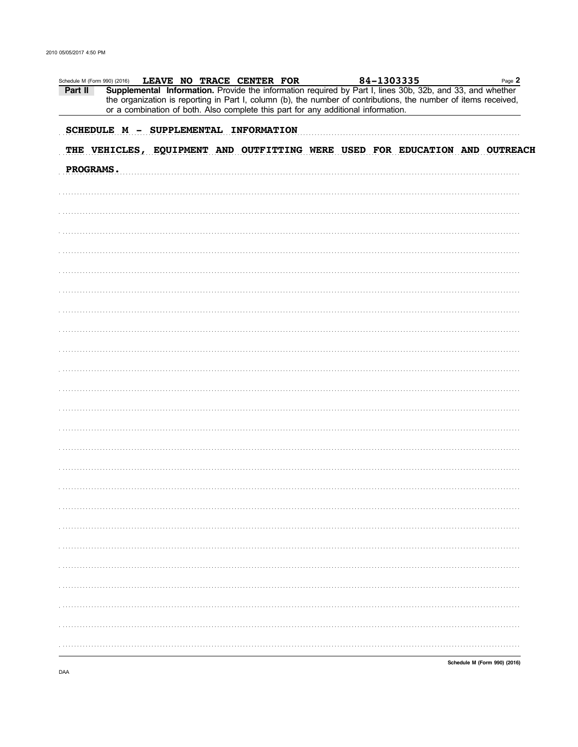| Schedule M (Form 990) (2016) |  |  | LEAVE NO TRACE CENTER FOR                                                         |  | 84-1303335 |                                                                                                                                                                                                                              | Page 2 |
|------------------------------|--|--|-----------------------------------------------------------------------------------|--|------------|------------------------------------------------------------------------------------------------------------------------------------------------------------------------------------------------------------------------------|--------|
| Part II                      |  |  | or a combination of both. Also complete this part for any additional information. |  |            | Supplemental Information. Provide the information required by Part I, lines 30b, 32b, and 33, and whether<br>the organization is reporting in Part I, column (b), the number of contributions, the number of items received, |        |
|                              |  |  |                                                                                   |  |            |                                                                                                                                                                                                                              |        |
|                              |  |  | SCHEDULE M - SUPPLEMENTAL INFORMATION                                             |  |            |                                                                                                                                                                                                                              |        |
|                              |  |  |                                                                                   |  |            | THE VEHICLES, EQUIPMENT AND OUTFITTING WERE USED FOR EDUCATION AND OUTREACH                                                                                                                                                  |        |
| PROGRAMS.                    |  |  |                                                                                   |  |            |                                                                                                                                                                                                                              |        |
|                              |  |  |                                                                                   |  |            |                                                                                                                                                                                                                              |        |
|                              |  |  |                                                                                   |  |            |                                                                                                                                                                                                                              |        |
|                              |  |  |                                                                                   |  |            |                                                                                                                                                                                                                              |        |
|                              |  |  |                                                                                   |  |            |                                                                                                                                                                                                                              |        |
|                              |  |  |                                                                                   |  |            |                                                                                                                                                                                                                              |        |
|                              |  |  |                                                                                   |  |            |                                                                                                                                                                                                                              |        |
|                              |  |  |                                                                                   |  |            |                                                                                                                                                                                                                              |        |
|                              |  |  |                                                                                   |  |            |                                                                                                                                                                                                                              |        |
|                              |  |  |                                                                                   |  |            |                                                                                                                                                                                                                              |        |
|                              |  |  |                                                                                   |  |            |                                                                                                                                                                                                                              |        |
|                              |  |  |                                                                                   |  |            |                                                                                                                                                                                                                              |        |
|                              |  |  |                                                                                   |  |            |                                                                                                                                                                                                                              |        |
|                              |  |  |                                                                                   |  |            |                                                                                                                                                                                                                              |        |
|                              |  |  |                                                                                   |  |            |                                                                                                                                                                                                                              |        |
|                              |  |  |                                                                                   |  |            |                                                                                                                                                                                                                              |        |
|                              |  |  |                                                                                   |  |            |                                                                                                                                                                                                                              |        |
|                              |  |  |                                                                                   |  |            |                                                                                                                                                                                                                              |        |
|                              |  |  |                                                                                   |  |            |                                                                                                                                                                                                                              |        |
|                              |  |  |                                                                                   |  |            |                                                                                                                                                                                                                              |        |
|                              |  |  |                                                                                   |  |            |                                                                                                                                                                                                                              |        |
|                              |  |  |                                                                                   |  |            |                                                                                                                                                                                                                              |        |
|                              |  |  |                                                                                   |  |            |                                                                                                                                                                                                                              |        |
|                              |  |  |                                                                                   |  |            |                                                                                                                                                                                                                              |        |
|                              |  |  |                                                                                   |  |            |                                                                                                                                                                                                                              |        |
|                              |  |  |                                                                                   |  |            |                                                                                                                                                                                                                              |        |
|                              |  |  |                                                                                   |  |            |                                                                                                                                                                                                                              |        |
|                              |  |  |                                                                                   |  |            |                                                                                                                                                                                                                              |        |
|                              |  |  |                                                                                   |  |            |                                                                                                                                                                                                                              |        |
|                              |  |  |                                                                                   |  |            |                                                                                                                                                                                                                              |        |
|                              |  |  |                                                                                   |  |            |                                                                                                                                                                                                                              |        |
|                              |  |  |                                                                                   |  |            |                                                                                                                                                                                                                              |        |
|                              |  |  |                                                                                   |  |            |                                                                                                                                                                                                                              |        |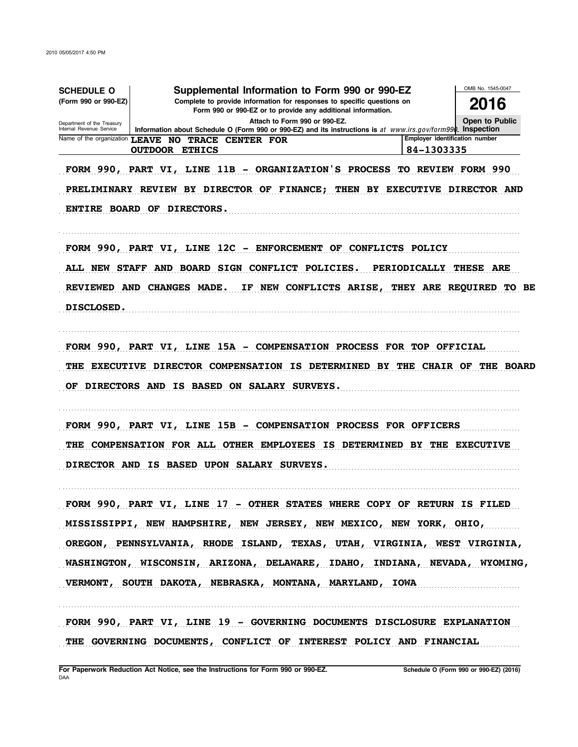| <b>SCHEDULE O</b>                                                                                                                                              | Supplemental Information to Form 990 or 990-EZ                                                                                                                     |                                                    |  |  |  |  |  |
|----------------------------------------------------------------------------------------------------------------------------------------------------------------|--------------------------------------------------------------------------------------------------------------------------------------------------------------------|----------------------------------------------------|--|--|--|--|--|
| Complete to provide information for responses to specific questions on<br>(Form 990 or 990-EZ)<br>Form 990 or 990-EZ or to provide any additional information. |                                                                                                                                                                    |                                                    |  |  |  |  |  |
| Department of the Treasury<br>Internal Revenue Service                                                                                                         | Open to Public                                                                                                                                                     |                                                    |  |  |  |  |  |
|                                                                                                                                                                | Information about Schedule O (Form 990 or 990-EZ) and its instructions is at www.irs.gov/form990. Inspection<br>Name of the organization LEAVE NO TRACE CENTER FOR | <b>Employer identification number</b>              |  |  |  |  |  |
|                                                                                                                                                                | <b>OUTDOOR ETHICS</b>                                                                                                                                              | 84-1303335                                         |  |  |  |  |  |
| FORM 990, PART VI, LINE<br>ENTIRE BOARD OF DIRECTORS.                                                                                                          | 11B - ORGANIZATION'S PROCESS<br>PRELIMINARY REVIEW BY DIRECTOR OF FINANCE;<br>THEN                                                                                 | TO REVIEW FORM 990<br>BY EXECUTIVE DIRECTOR AND    |  |  |  |  |  |
|                                                                                                                                                                | FORM 990, PART VI, LINE 12C - ENFORCEMENT OF CONFLICTS POLICY                                                                                                      |                                                    |  |  |  |  |  |
| <b>ALL NEW STAFF</b>                                                                                                                                           | AND BOARD SIGN CONFLICT POLICIES.                                                                                                                                  | PERIODICALLY THESE ARE                             |  |  |  |  |  |
| REVIEWED AND CHANGES MADE.                                                                                                                                     |                                                                                                                                                                    | IF NEW CONFLICTS ARISE, THEY ARE REQUIRED<br>TO BE |  |  |  |  |  |
| <b>DISCLOSED.</b>                                                                                                                                              |                                                                                                                                                                    |                                                    |  |  |  |  |  |
|                                                                                                                                                                |                                                                                                                                                                    |                                                    |  |  |  |  |  |
|                                                                                                                                                                | FORM 990, PART VI, LINE 15A – COMPENSATION PROCESS FOR TOP OFFICIAL                                                                                                |                                                    |  |  |  |  |  |
|                                                                                                                                                                |                                                                                                                                                                    |                                                    |  |  |  |  |  |
|                                                                                                                                                                |                                                                                                                                                                    |                                                    |  |  |  |  |  |
| <b>EXECUTIVE</b><br>THE                                                                                                                                        | <b>DIRECTOR COMPENSATION IS</b><br><b>DETERMINED BY</b>                                                                                                            | THE CHAIR OF<br><b>THE BOARD</b>                   |  |  |  |  |  |
| OF.                                                                                                                                                            | DIRECTORS AND IS BASED ON SALARY SURVEYS.                                                                                                                          |                                                    |  |  |  |  |  |
|                                                                                                                                                                |                                                                                                                                                                    |                                                    |  |  |  |  |  |
| FORM 990, PART VI, LINE                                                                                                                                        | <b>15B - COMPENSATION PROCESS FOR OFFICERS</b>                                                                                                                     |                                                    |  |  |  |  |  |
|                                                                                                                                                                | THE COMPENSATION FOR ALL OTHER EMPLOYEES IS DETERMINED BY THE EXECUTIVE                                                                                            |                                                    |  |  |  |  |  |
|                                                                                                                                                                | DIRECTOR AND IS BASED UPON SALARY SURVEYS.                                                                                                                         |                                                    |  |  |  |  |  |
|                                                                                                                                                                |                                                                                                                                                                    |                                                    |  |  |  |  |  |
|                                                                                                                                                                | FORM 990, PART VI, LINE 17 - OTHER STATES WHERE COPY OF RETURN IS FILED                                                                                            |                                                    |  |  |  |  |  |
|                                                                                                                                                                |                                                                                                                                                                    |                                                    |  |  |  |  |  |
|                                                                                                                                                                | MISSISSIPPI, NEW HAMPSHIRE, NEW JERSEY, NEW MEXICO, NEW YORK, OHIO,                                                                                                |                                                    |  |  |  |  |  |
|                                                                                                                                                                | OREGON, PENNSYLVANIA, RHODE ISLAND, TEXAS, UTAH, VIRGINIA, WEST VIRGINIA,                                                                                          |                                                    |  |  |  |  |  |
|                                                                                                                                                                | WASHINGTON, WISCONSIN, ARIZONA, DELAWARE, IDAHO, INDIANA, NEVADA, WYOMING,                                                                                         |                                                    |  |  |  |  |  |
|                                                                                                                                                                | VERMONT, SOUTH DAKOTA, NEBRASKA, MONTANA, MARYLAND, IOWA                                                                                                           |                                                    |  |  |  |  |  |
|                                                                                                                                                                | FORM 990, PART VI, LINE 19 - GOVERNING DOCUMENTS DISCLOSURE EXPLANATION                                                                                            |                                                    |  |  |  |  |  |
|                                                                                                                                                                | THE GOVERNING DOCUMENTS, CONFLICT OF INTEREST POLICY AND FINANCIAL                                                                                                 |                                                    |  |  |  |  |  |